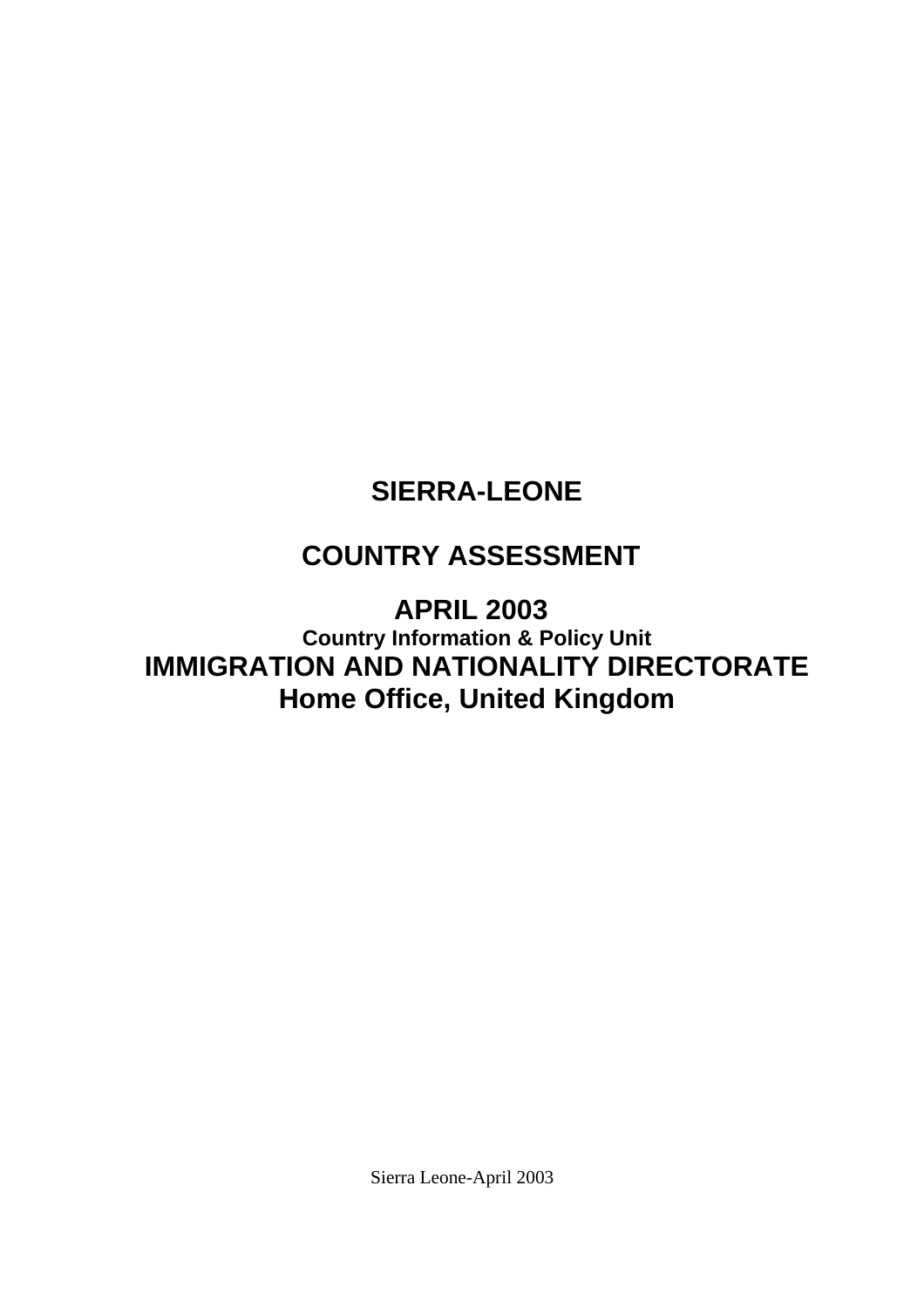# <span id="page-0-0"></span>**SIERRA-LEONE**

# **COUNTRY ASSESSMENT**

**APRIL 2003 Country Information & Policy Unit IMMIGRATION AND NATIONALITY DIRECTORATE Home Office, United Kingdom**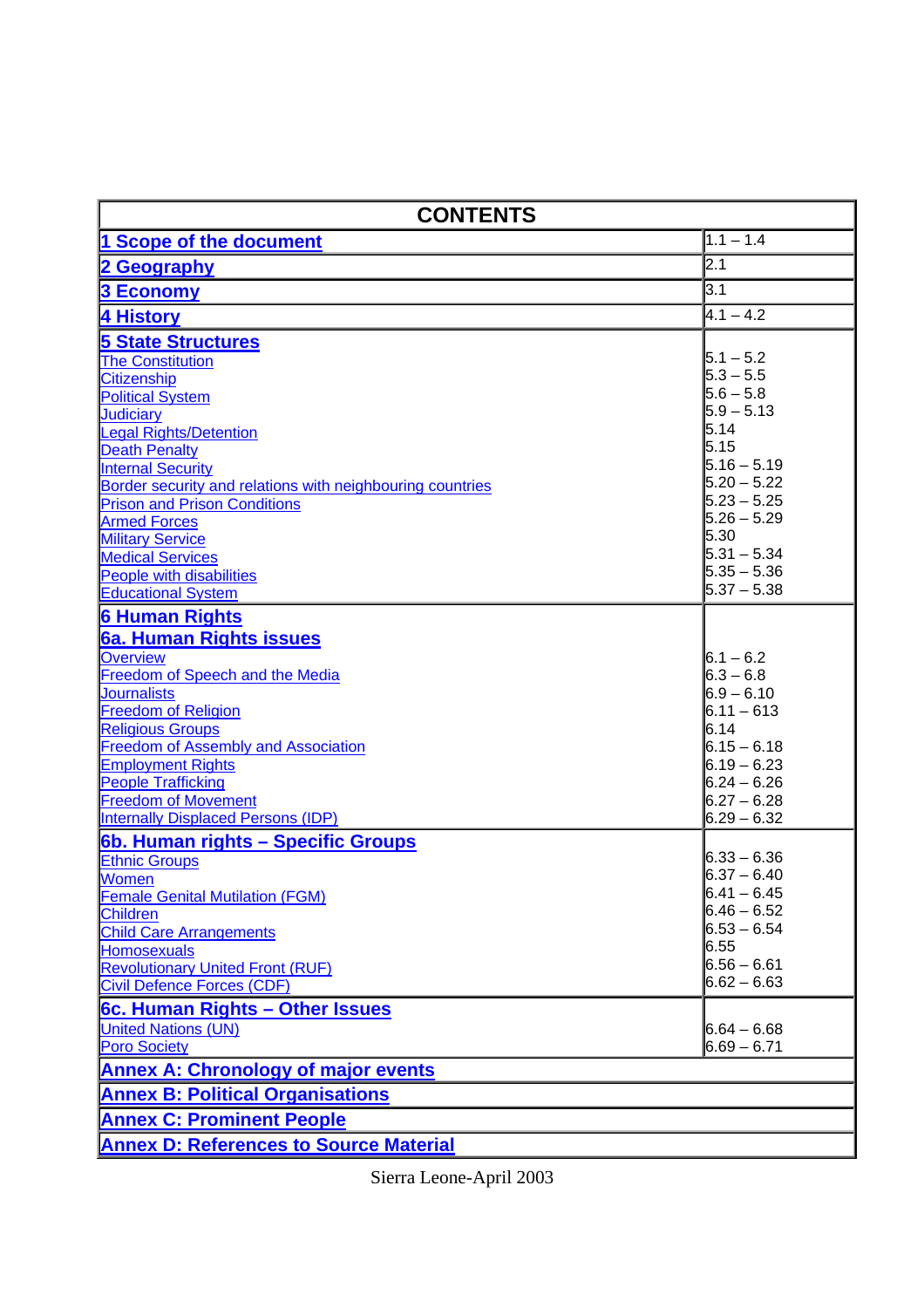| <b>CONTENTS</b>                                                                                                                                                                                                                                                                                                                                                                                                                                                 |                                                                                                                                                                                                          |
|-----------------------------------------------------------------------------------------------------------------------------------------------------------------------------------------------------------------------------------------------------------------------------------------------------------------------------------------------------------------------------------------------------------------------------------------------------------------|----------------------------------------------------------------------------------------------------------------------------------------------------------------------------------------------------------|
| 1 Scope of the document                                                                                                                                                                                                                                                                                                                                                                                                                                         | $1.1 - 1.4$                                                                                                                                                                                              |
| 2 Geography                                                                                                                                                                                                                                                                                                                                                                                                                                                     | 2.1                                                                                                                                                                                                      |
| <b>3 Economy</b>                                                                                                                                                                                                                                                                                                                                                                                                                                                | 3.1                                                                                                                                                                                                      |
| 4 History                                                                                                                                                                                                                                                                                                                                                                                                                                                       | $4.1 - 4.2$                                                                                                                                                                                              |
| <b>5 State Structures</b><br><b>The Constitution</b><br><b>Citizenship</b><br><b>Political System</b><br><b>Judiciary</b><br><b>Legal Rights/Detention</b><br><b>Death Penalty</b><br><b>Internal Security</b><br>Border security and relations with neighbouring countries<br><b>Prison and Prison Conditions</b><br><b>Armed Forces</b><br><b>Military Service</b><br><b>Medical Services</b><br><b>People with disabilities</b><br><b>Educational System</b> | $5.1 - 5.2$<br>$5.3 - 5.5$<br>$5.6 - 5.8$<br>$5.9 - 5.13$<br>5.14<br>5.15<br>$5.16 - 5.19$<br>$5.20 - 5.22$<br>$5.23 - 5.25$<br>$5.26 - 5.29$<br>5.30<br>$5.31 - 5.34$<br>$5.35 - 5.36$<br>$5.37 - 5.38$ |
| <b>6 Human Rights</b><br>6a. Human Rights issues<br><b>Overview</b><br>Freedom of Speech and the Media<br><b>Journalists</b><br><b>Freedom of Religion</b><br><b>Religious Groups</b><br><b>Freedom of Assembly and Association</b><br><b>Employment Rights</b><br><b>People Trafficking</b><br><b>Freedom of Movement</b><br><b>Internally Displaced Persons (IDP)</b>                                                                                         | $6.1 - 6.2$<br>$6.3 - 6.8$<br>$6.9 - 6.10$<br>$6.11 - 613$<br>6.14<br>$6.15 - 6.18$<br>$6.19 - 6.23$<br>$6.24 - 6.26$<br>$6.27 - 6.28$<br>$6.29 - 6.32$                                                  |
| 6b. Human rights - Specific Groups<br><b>Ethnic Groups</b><br>Women<br><b>Female Genital Mutilation (FGM)</b><br><b>Children</b><br><b>Child Care Arrangements</b><br><b>Homosexuals</b><br><b>Revolutionary United Front (RUF)</b><br><b>Civil Defence Forces (CDF)</b><br>6c. Human Rights - Other Issues                                                                                                                                                     | $6.33 - 6.36$<br>$6.37 - 6.40$<br>$6.41 - 6.45$<br>$6.46 - 6.52$<br>$6.53 - 6.54$<br>6.55<br><b>6.56 – 6.61</b><br>$6.62 - 6.63$                                                                         |
| <b>United Nations (UN)</b><br><b>Poro Society</b>                                                                                                                                                                                                                                                                                                                                                                                                               | $6.64 - 6.68$<br>$6.69 - 6.71$                                                                                                                                                                           |
| <b>Annex A: Chronology of major events</b>                                                                                                                                                                                                                                                                                                                                                                                                                      |                                                                                                                                                                                                          |
| <b>Annex B: Political Organisations</b>                                                                                                                                                                                                                                                                                                                                                                                                                         |                                                                                                                                                                                                          |
| <b>Annex C: Prominent People</b>                                                                                                                                                                                                                                                                                                                                                                                                                                |                                                                                                                                                                                                          |
| <b>Annex D: References to Source Material</b>                                                                                                                                                                                                                                                                                                                                                                                                                   |                                                                                                                                                                                                          |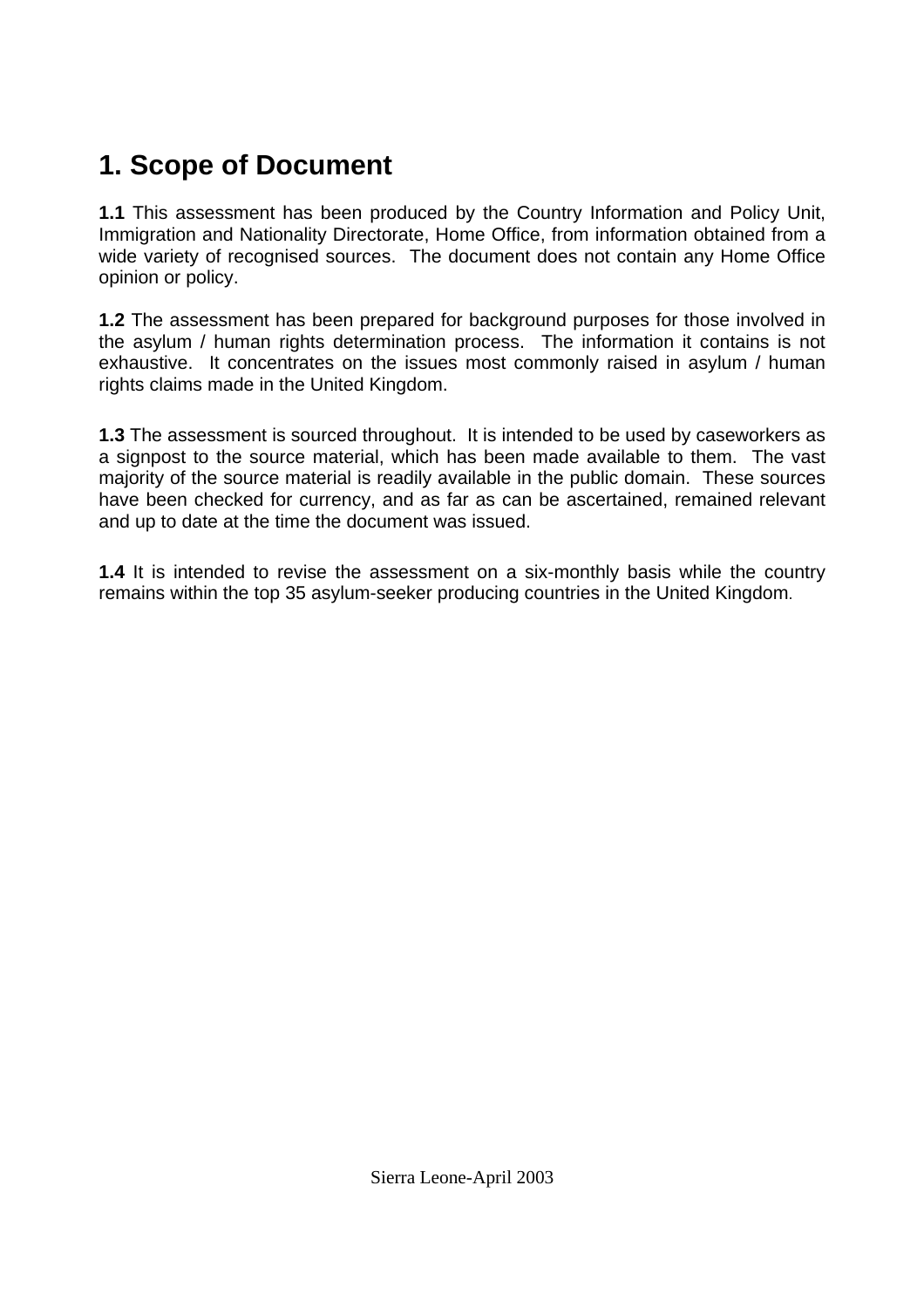# <span id="page-2-0"></span>**1. Scope of Document**

**1.1** This assessment has been produced by the Country Information and Policy Unit, Immigration and Nationality Directorate, Home Office, from information obtained from a wide variety of recognised sources. The document does not contain any Home Office opinion or policy.

**1.2** The assessment has been prepared for background purposes for those involved in the asylum / human rights determination process. The information it contains is not exhaustive. It concentrates on the issues most commonly raised in asylum / human rights claims made in the United Kingdom.

**1.3** The assessment is sourced throughout. It is intended to be used by caseworkers as a signpost to the source material, which has been made available to them. The vast majority of the source material is readily available in the public domain. These sources have been checked for currency, and as far as can be ascertained, remained relevant and up to date at the time the document was issued.

**1.4** It is intended to revise the assessment on a six-monthly basis while the country remains within the top 35 asylum-seeker producing countries in the United Kingdom.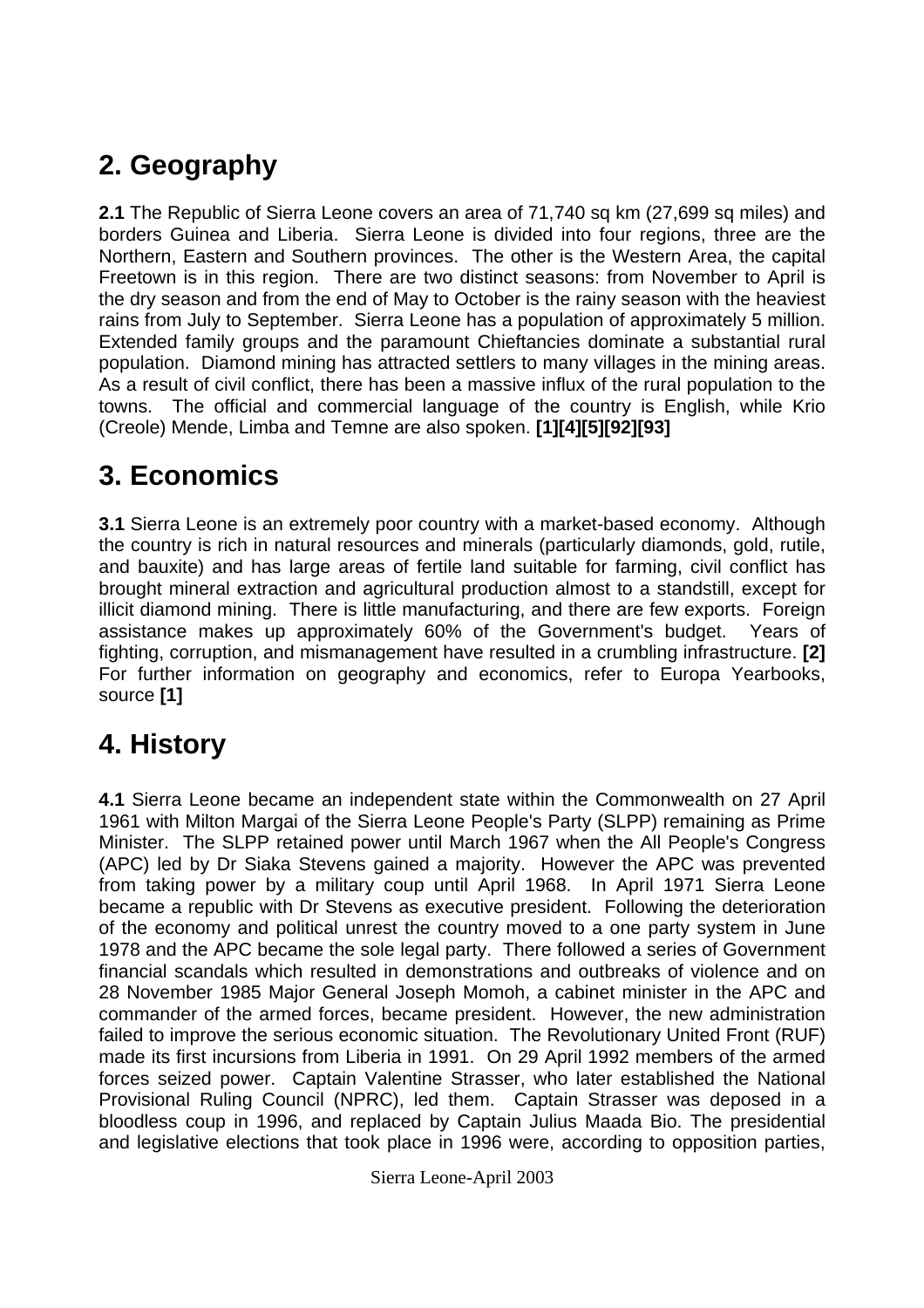# <span id="page-3-0"></span>**2. Geography**

**2.1** The Republic of Sierra Leone covers an area of 71,740 sq km (27,699 sq miles) and borders Guinea and Liberia. Sierra Leone is divided into four regions, three are the Northern, Eastern and Southern provinces. The other is the Western Area, the capital Freetown is in this region. There are two distinct seasons: from November to April is the dry season and from the end of May to October is the rainy season with the heaviest rains from July to September. Sierra Leone has a population of approximately 5 million. Extended family groups and the paramount Chieftancies dominate a substantial rural population. Diamond mining has attracted settlers to many villages in the mining areas. As a result of civil conflict, there has been a massive influx of the rural population to the towns. The official and commercial language of the country is English, while Krio (Creole) Mende, Limba and Temne are also spoken. **[1][4][5][92][93]** 

# **3. Economics**

**3.1** Sierra Leone is an extremely poor country with a market-based economy. Although the country is rich in natural resources and minerals (particularly diamonds, gold, rutile, and bauxite) and has large areas of fertile land suitable for farming, civil conflict has brought mineral extraction and agricultural production almost to a standstill, except for illicit diamond mining. There is little manufacturing, and there are few exports. Foreign assistance makes up approximately 60% of the Government's budget. Years of fighting, corruption, and mismanagement have resulted in a crumbling infrastructure. **[2]** For further information on geography and economics, refer to Europa Yearbooks, source **[1]** 

# **4. History**

**4.1** Sierra Leone became an independent state within the Commonwealth on 27 April 1961 with Milton Margai of the Sierra Leone People's Party (SLPP) remaining as Prime Minister. The SLPP retained power until March 1967 when the All People's Congress (APC) led by Dr Siaka Stevens gained a majority. However the APC was prevented from taking power by a military coup until April 1968. In April 1971 Sierra Leone became a republic with Dr Stevens as executive president. Following the deterioration of the economy and political unrest the country moved to a one party system in June 1978 and the APC became the sole legal party. There followed a series of Government financial scandals which resulted in demonstrations and outbreaks of violence and on 28 November 1985 Major General Joseph Momoh, a cabinet minister in the APC and commander of the armed forces, became president. However, the new administration failed to improve the serious economic situation. The Revolutionary United Front (RUF) made its first incursions from Liberia in 1991. On 29 April 1992 members of the armed forces seized power. Captain Valentine Strasser, who later established the National Provisional Ruling Council (NPRC), led them. Captain Strasser was deposed in a bloodless coup in 1996, and replaced by Captain Julius Maada Bio. The presidential and legislative elections that took place in 1996 were, according to opposition parties,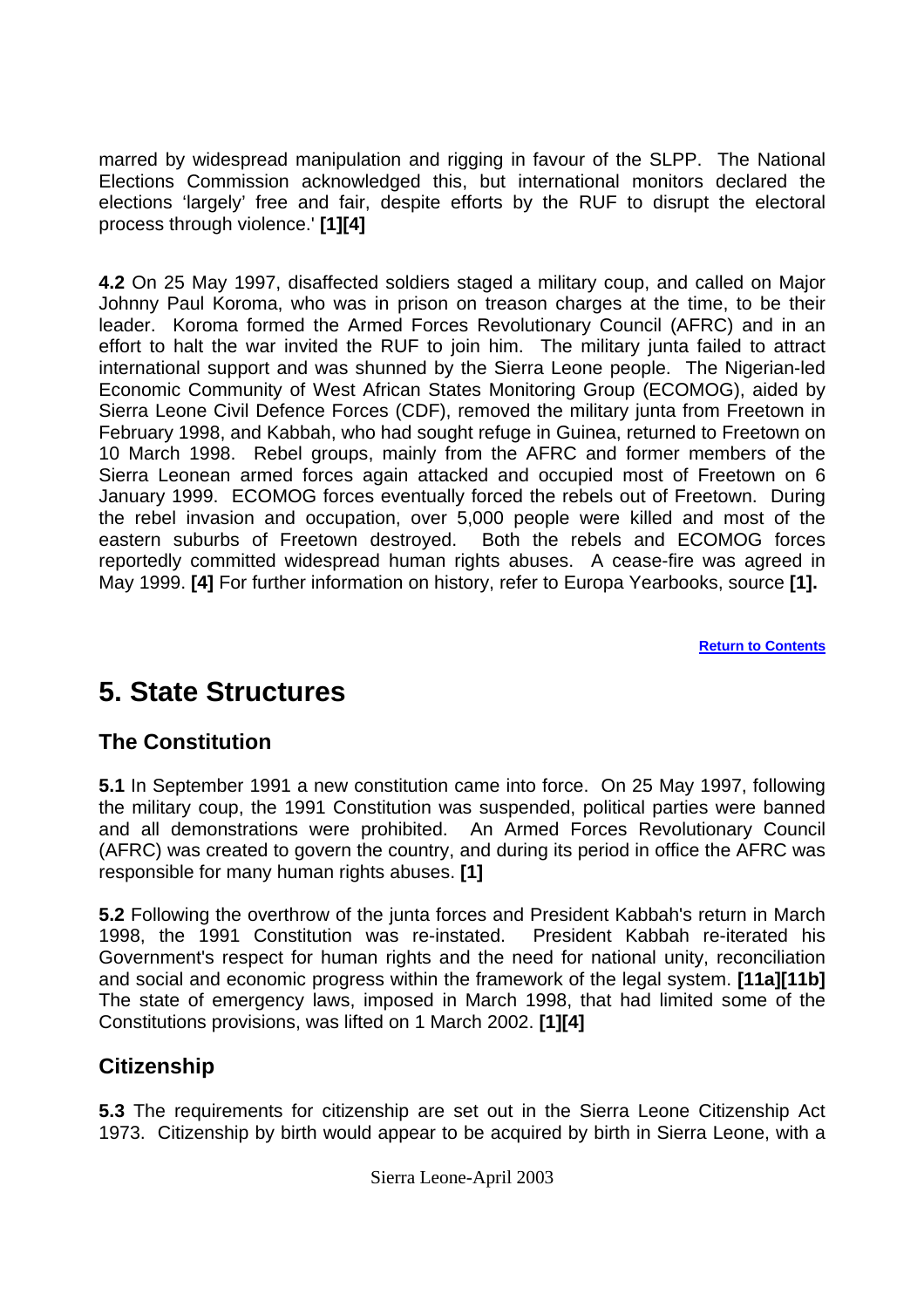<span id="page-4-0"></span>marred by widespread manipulation and rigging in favour of the SLPP. The National Elections Commission acknowledged this, but international monitors declared the elections 'largely' free and fair, despite efforts by the RUF to disrupt the electoral process through violence.' **[1][4]** 

**4.2** On 25 May 1997, disaffected soldiers staged a military coup, and called on Major Johnny Paul Koroma, who was in prison on treason charges at the time, to be their leader. Koroma formed the Armed Forces Revolutionary Council (AFRC) and in an effort to halt the war invited the RUF to join him. The military junta failed to attract international support and was shunned by the Sierra Leone people. The Nigerian-led Economic Community of West African States Monitoring Group (ECOMOG), aided by Sierra Leone Civil Defence Forces (CDF), removed the military junta from Freetown in February 1998, and Kabbah, who had sought refuge in Guinea, returned to Freetown on 10 March 1998. Rebel groups, mainly from the AFRC and former members of the Sierra Leonean armed forces again attacked and occupied most of Freetown on 6 January 1999. ECOMOG forces eventually forced the rebels out of Freetown. During the rebel invasion and occupation, over 5,000 people were killed and most of the eastern suburbs of Freetown destroyed. Both the rebels and ECOMOG forces reportedly committed widespread human rights abuses. A cease-fire was agreed in May 1999. **[4]** For further information on history, refer to Europa Yearbooks, source **[1].**

**[Return to Contents](#page-0-0)**

# **5. State Structures**

## **The Constitution**

**5.1** In September 1991 a new constitution came into force. On 25 May 1997, following the military coup, the 1991 Constitution was suspended, political parties were banned and all demonstrations were prohibited. An Armed Forces Revolutionary Council (AFRC) was created to govern the country, and during its period in office the AFRC was responsible for many human rights abuses. **[1]** 

**5.2** Following the overthrow of the junta forces and President Kabbah's return in March 1998, the 1991 Constitution was re-instated. President Kabbah re-iterated his Government's respect for human rights and the need for national unity, reconciliation and social and economic progress within the framework of the legal system. **[11a][11b]** The state of emergency laws, imposed in March 1998, that had limited some of the Constitutions provisions, was lifted on 1 March 2002. **[1][4]** 

## **Citizenship**

**5.3** The requirements for citizenship are set out in the Sierra Leone Citizenship Act 1973. Citizenship by birth would appear to be acquired by birth in Sierra Leone, with a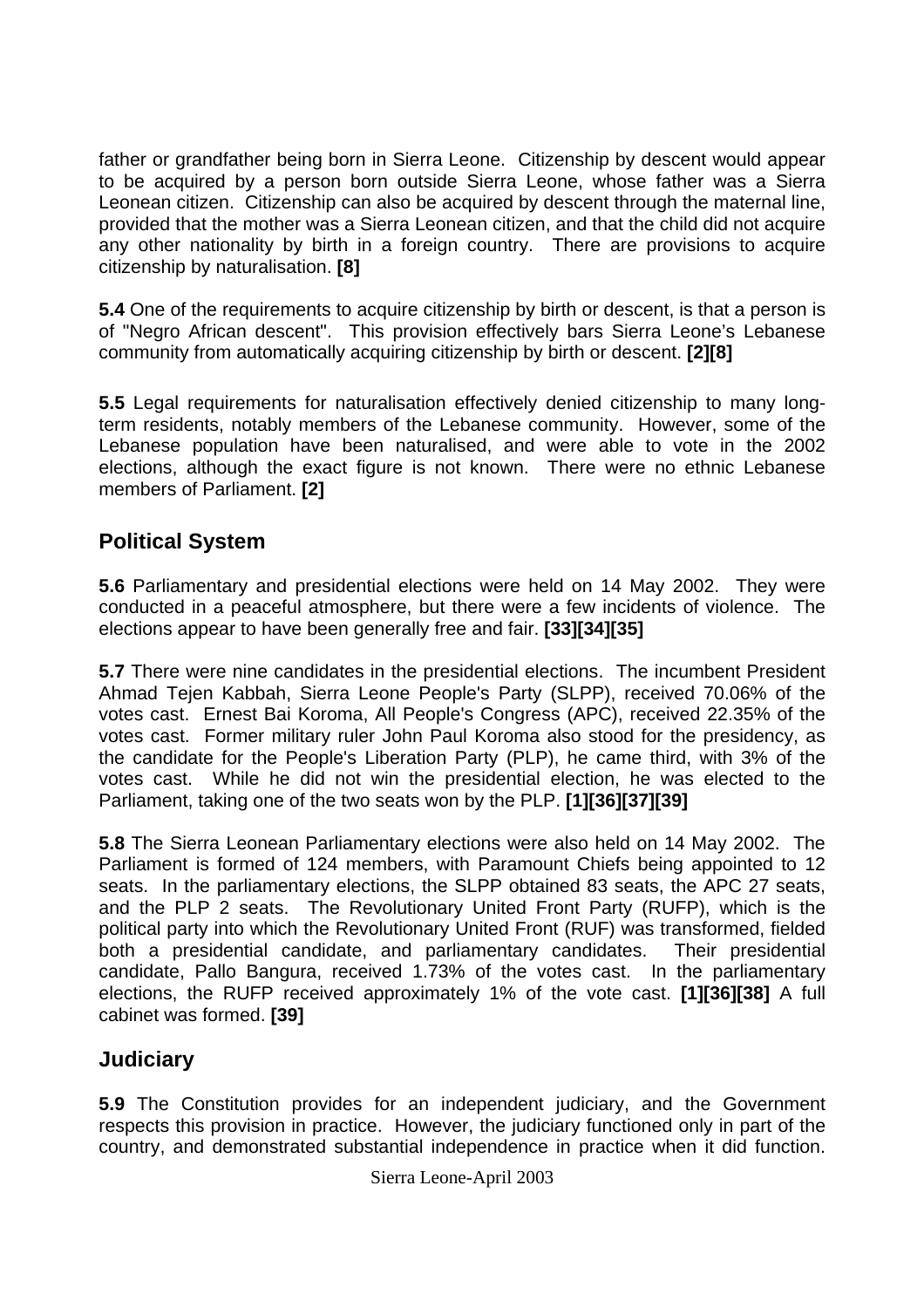<span id="page-5-0"></span>father or grandfather being born in Sierra Leone. Citizenship by descent would appear to be acquired by a person born outside Sierra Leone, whose father was a Sierra Leonean citizen. Citizenship can also be acquired by descent through the maternal line, provided that the mother was a Sierra Leonean citizen, and that the child did not acquire any other nationality by birth in a foreign country. There are provisions to acquire citizenship by naturalisation. **[8]** 

**5.4** One of the requirements to acquire citizenship by birth or descent, is that a person is of "Negro African descent". This provision effectively bars Sierra Leone's Lebanese community from automatically acquiring citizenship by birth or descent. **[2][8]**

**5.5** Legal requirements for naturalisation effectively denied citizenship to many longterm residents, notably members of the Lebanese community. However, some of the Lebanese population have been naturalised, and were able to vote in the 2002 elections, although the exact figure is not known. There were no ethnic Lebanese members of Parliament. **[2]**

## **Political System**

**5.6** Parliamentary and presidential elections were held on 14 May 2002. They were conducted in a peaceful atmosphere, but there were a few incidents of violence. The elections appear to have been generally free and fair. **[33][34][35]** 

**5.7** There were nine candidates in the presidential elections. The incumbent President Ahmad Tejen Kabbah, Sierra Leone People's Party (SLPP), received 70.06% of the votes cast. Ernest Bai Koroma, All People's Congress (APC), received 22.35% of the votes cast. Former military ruler John Paul Koroma also stood for the presidency, as the candidate for the People's Liberation Party (PLP), he came third, with 3% of the votes cast. While he did not win the presidential election, he was elected to the Parliament, taking one of the two seats won by the PLP. **[1][36][37][39]** 

**5.8** The Sierra Leonean Parliamentary elections were also held on 14 May 2002. The Parliament is formed of 124 members, with Paramount Chiefs being appointed to 12 seats. In the parliamentary elections, the SLPP obtained 83 seats, the APC 27 seats, and the PLP 2 seats. The Revolutionary United Front Party (RUFP), which is the political party into which the Revolutionary United Front (RUF) was transformed, fielded both a presidential candidate, and parliamentary candidates. Their presidential candidate, Pallo Bangura, received 1.73% of the votes cast. In the parliamentary elections, the RUFP received approximately 1% of the vote cast. **[1][36][38]** A full cabinet was formed. **[39]**

## **Judiciary**

**5.9** The Constitution provides for an independent judiciary, and the Government respects this provision in practice. However, the judiciary functioned only in part of the country, and demonstrated substantial independence in practice when it did function.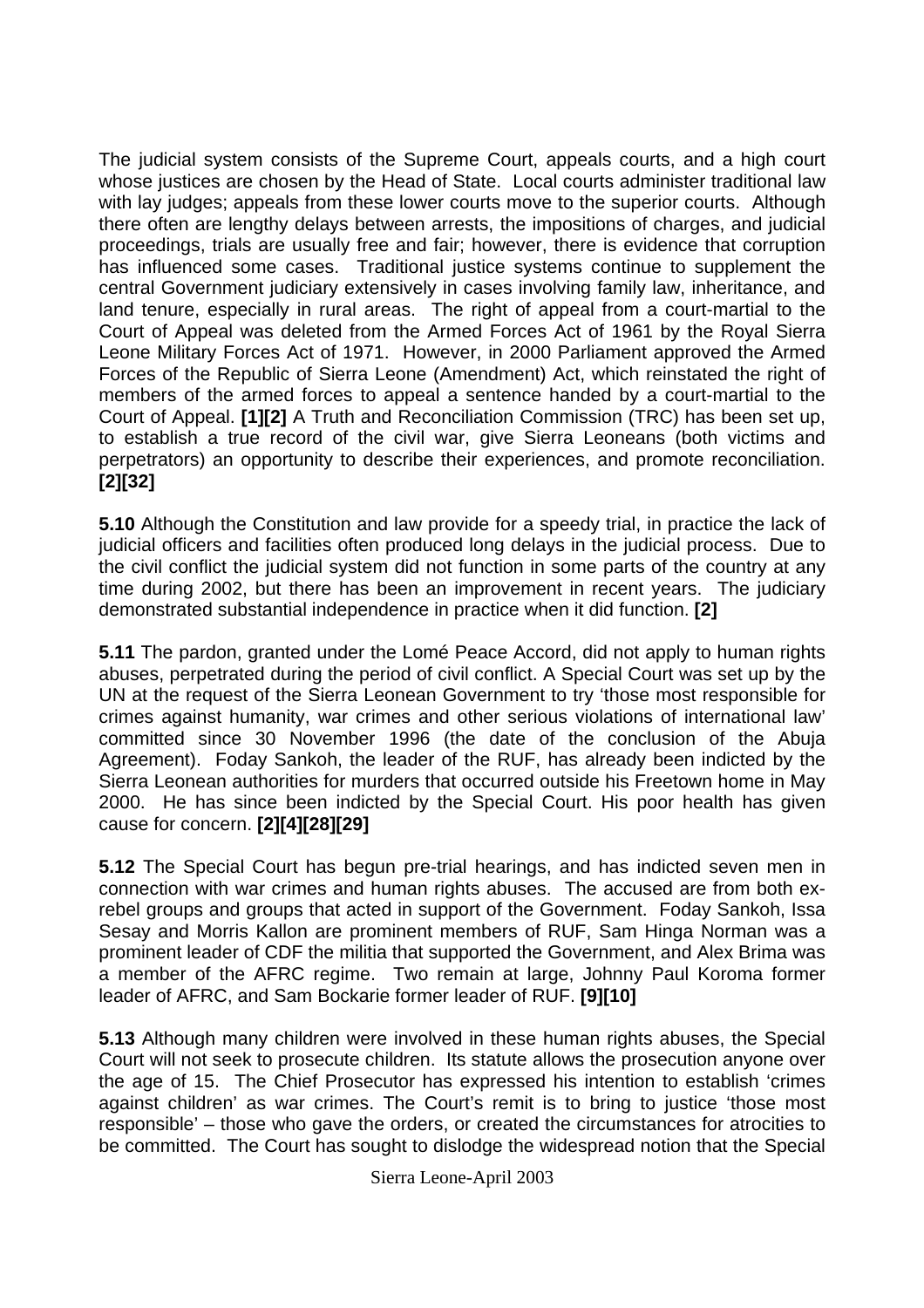The judicial system consists of the Supreme Court, appeals courts, and a high court whose justices are chosen by the Head of State. Local courts administer traditional law with lay judges; appeals from these lower courts move to the superior courts. Although there often are lengthy delays between arrests, the impositions of charges, and judicial proceedings, trials are usually free and fair; however, there is evidence that corruption has influenced some cases. Traditional justice systems continue to supplement the central Government judiciary extensively in cases involving family law, inheritance, and land tenure, especially in rural areas. The right of appeal from a court-martial to the Court of Appeal was deleted from the Armed Forces Act of 1961 by the Royal Sierra Leone Military Forces Act of 1971. However, in 2000 Parliament approved the Armed Forces of the Republic of Sierra Leone (Amendment) Act, which reinstated the right of members of the armed forces to appeal a sentence handed by a court-martial to the Court of Appeal. **[1][2]** A Truth and Reconciliation Commission (TRC) has been set up, to establish a true record of the civil war, give Sierra Leoneans (both victims and perpetrators) an opportunity to describe their experiences, and promote reconciliation. **[2][32]** 

**5.10** Although the Constitution and law provide for a speedy trial, in practice the lack of judicial officers and facilities often produced long delays in the judicial process. Due to the civil conflict the judicial system did not function in some parts of the country at any time during 2002, but there has been an improvement in recent years. The judiciary demonstrated substantial independence in practice when it did function. **[2]** 

**5.11** The pardon, granted under the Lomé Peace Accord, did not apply to human rights abuses, perpetrated during the period of civil conflict. A Special Court was set up by the UN at the request of the Sierra Leonean Government to try 'those most responsible for crimes against humanity, war crimes and other serious violations of international law' committed since 30 November 1996 (the date of the conclusion of the Abuja Agreement). Foday Sankoh, the leader of the RUF, has already been indicted by the Sierra Leonean authorities for murders that occurred outside his Freetown home in May 2000. He has since been indicted by the Special Court. His poor health has given cause for concern. **[2][4][28][29]** 

**5.12** The Special Court has begun pre-trial hearings, and has indicted seven men in connection with war crimes and human rights abuses. The accused are from both exrebel groups and groups that acted in support of the Government. Foday Sankoh, Issa Sesay and Morris Kallon are prominent members of RUF, Sam Hinga Norman was a prominent leader of CDF the militia that supported the Government, and Alex Brima was a member of the AFRC regime. Two remain at large, Johnny Paul Koroma former leader of AFRC, and Sam Bockarie former leader of RUF. **[9][10]**

**5.13** Although many children were involved in these human rights abuses, the Special Court will not seek to prosecute children. Its statute allows the prosecution anyone over the age of 15. The Chief Prosecutor has expressed his intention to establish 'crimes against children' as war crimes. The Court's remit is to bring to justice 'those most responsible' – those who gave the orders, or created the circumstances for atrocities to be committed. The Court has sought to dislodge the widespread notion that the Special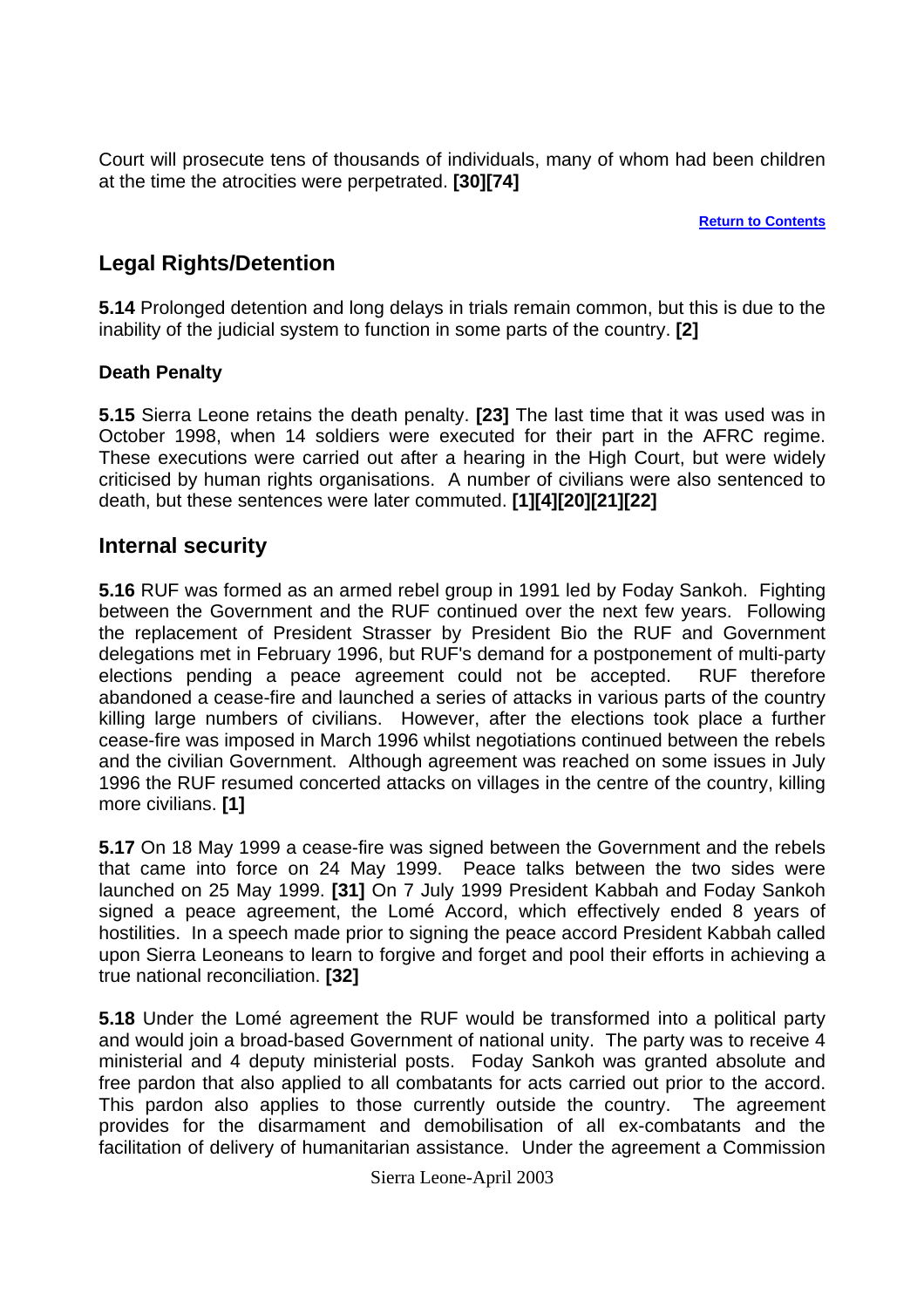<span id="page-7-0"></span>Court will prosecute tens of thousands of individuals, many of whom had been children at the time the atrocities were perpetrated. **[30][74]**

**[Return to Contents](#page-0-0)**

## **Legal Rights/Detention**

**5.14** Prolonged detention and long delays in trials remain common, but this is due to the inability of the judicial system to function in some parts of the country. **[2]**

#### **Death Penalty**

**5.15** Sierra Leone retains the death penalty. **[23]** The last time that it was used was in October 1998, when 14 soldiers were executed for their part in the AFRC regime. These executions were carried out after a hearing in the High Court, but were widely criticised by human rights organisations. A number of civilians were also sentenced to death, but these sentences were later commuted. **[1][4][20][21][22]**

### **Internal security**

**5.16** RUF was formed as an armed rebel group in 1991 led by Foday Sankoh. Fighting between the Government and the RUF continued over the next few years. Following the replacement of President Strasser by President Bio the RUF and Government delegations met in February 1996, but RUF's demand for a postponement of multi-party elections pending a peace agreement could not be accepted. RUF therefore abandoned a cease-fire and launched a series of attacks in various parts of the country killing large numbers of civilians. However, after the elections took place a further cease-fire was imposed in March 1996 whilst negotiations continued between the rebels and the civilian Government. Although agreement was reached on some issues in July 1996 the RUF resumed concerted attacks on villages in the centre of the country, killing more civilians. **[1]** 

**5.17** On 18 May 1999 a cease-fire was signed between the Government and the rebels that came into force on 24 May 1999. Peace talks between the two sides were launched on 25 May 1999. **[31]** On 7 July 1999 President Kabbah and Foday Sankoh signed a peace agreement, the Lomé Accord, which effectively ended 8 years of hostilities. In a speech made prior to signing the peace accord President Kabbah called upon Sierra Leoneans to learn to forgive and forget and pool their efforts in achieving a true national reconciliation. **[32]**

**5.18** Under the Lomé agreement the RUF would be transformed into a political party and would join a broad-based Government of national unity. The party was to receive 4 ministerial and 4 deputy ministerial posts. Foday Sankoh was granted absolute and free pardon that also applied to all combatants for acts carried out prior to the accord. This pardon also applies to those currently outside the country. The agreement provides for the disarmament and demobilisation of all ex-combatants and the facilitation of delivery of humanitarian assistance. Under the agreement a Commission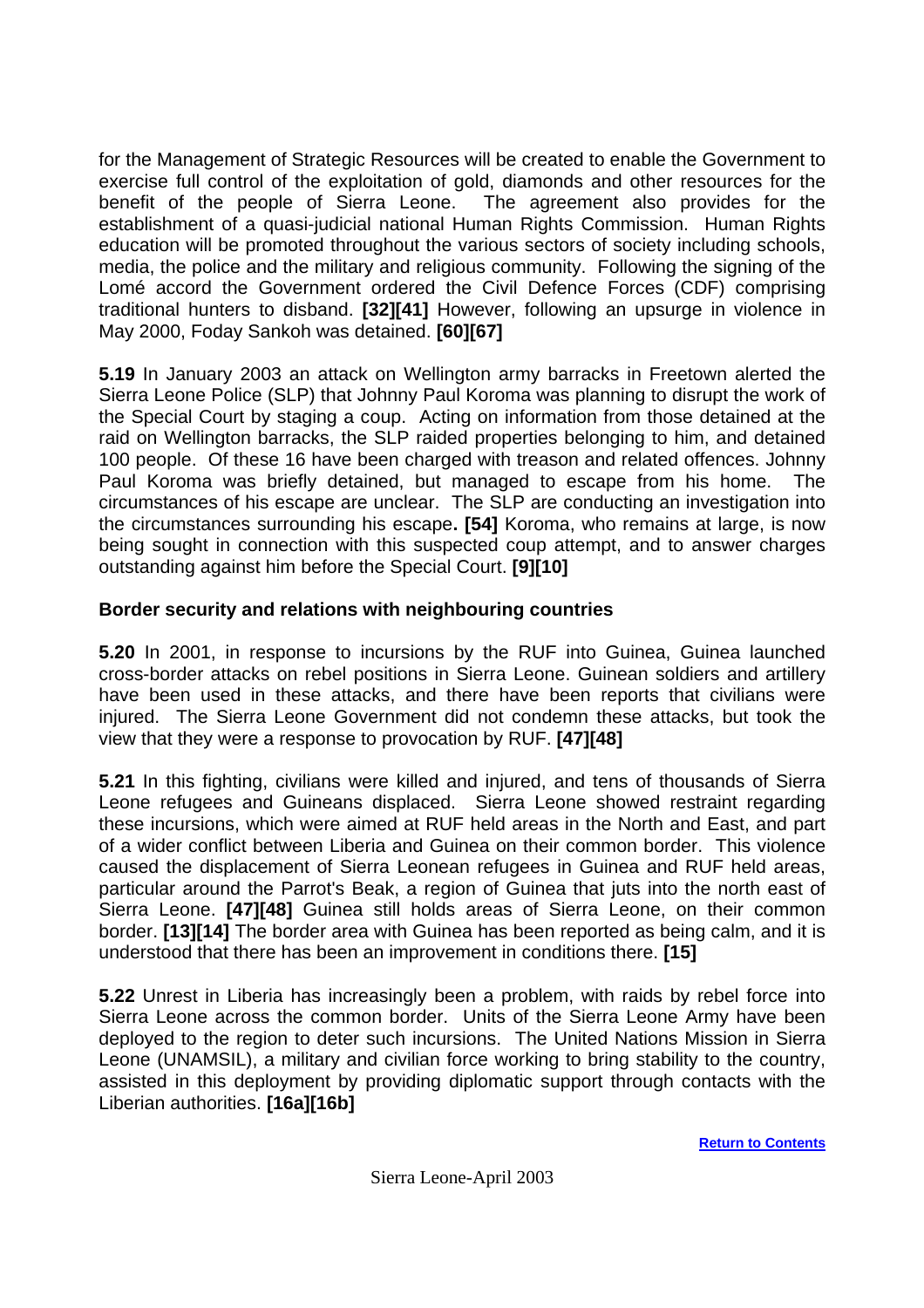<span id="page-8-0"></span>for the Management of Strategic Resources will be created to enable the Government to exercise full control of the exploitation of gold, diamonds and other resources for the benefit of the people of Sierra Leone. The agreement also provides for the establishment of a quasi-judicial national Human Rights Commission. Human Rights education will be promoted throughout the various sectors of society including schools, media, the police and the military and religious community. Following the signing of the Lomé accord the Government ordered the Civil Defence Forces (CDF) comprising traditional hunters to disband. **[32][41]** However, following an upsurge in violence in May 2000, Foday Sankoh was detained. **[60][67]**

**5.19** In January 2003 an attack on Wellington army barracks in Freetown alerted the Sierra Leone Police (SLP) that Johnny Paul Koroma was planning to disrupt the work of the Special Court by staging a coup. Acting on information from those detained at the raid on Wellington barracks, the SLP raided properties belonging to him, and detained 100 people. Of these 16 have been charged with treason and related offences. Johnny Paul Koroma was briefly detained, but managed to escape from his home. The circumstances of his escape are unclear. The SLP are conducting an investigation into the circumstances surrounding his escape**. [54]** Koroma, who remains at large, is now being sought in connection with this suspected coup attempt, and to answer charges outstanding against him before the Special Court. **[9][10]**

#### **Border security and relations with neighbouring countries**

**5.20** In 2001, in response to incursions by the RUF into Guinea, Guinea launched cross-border attacks on rebel positions in Sierra Leone. Guinean soldiers and artillery have been used in these attacks, and there have been reports that civilians were injured. The Sierra Leone Government did not condemn these attacks, but took the view that they were a response to provocation by RUF. **[47][48]**

**5.21** In this fighting, civilians were killed and injured, and tens of thousands of Sierra Leone refugees and Guineans displaced. Sierra Leone showed restraint regarding these incursions, which were aimed at RUF held areas in the North and East, and part of a wider conflict between Liberia and Guinea on their common border. This violence caused the displacement of Sierra Leonean refugees in Guinea and RUF held areas, particular around the Parrot's Beak, a region of Guinea that juts into the north east of Sierra Leone. **[47][48]** Guinea still holds areas of Sierra Leone, on their common border. **[13][14]** The border area with Guinea has been reported as being calm, and it is understood that there has been an improvement in conditions there. **[15]** 

**5.22** Unrest in Liberia has increasingly been a problem, with raids by rebel force into Sierra Leone across the common border. Units of the Sierra Leone Army have been deployed to the region to deter such incursions. The United Nations Mission in Sierra Leone (UNAMSIL), a military and civilian force working to bring stability to the country, assisted in this deployment by providing diplomatic support through contacts with the Liberian authorities. **[16a][16b]**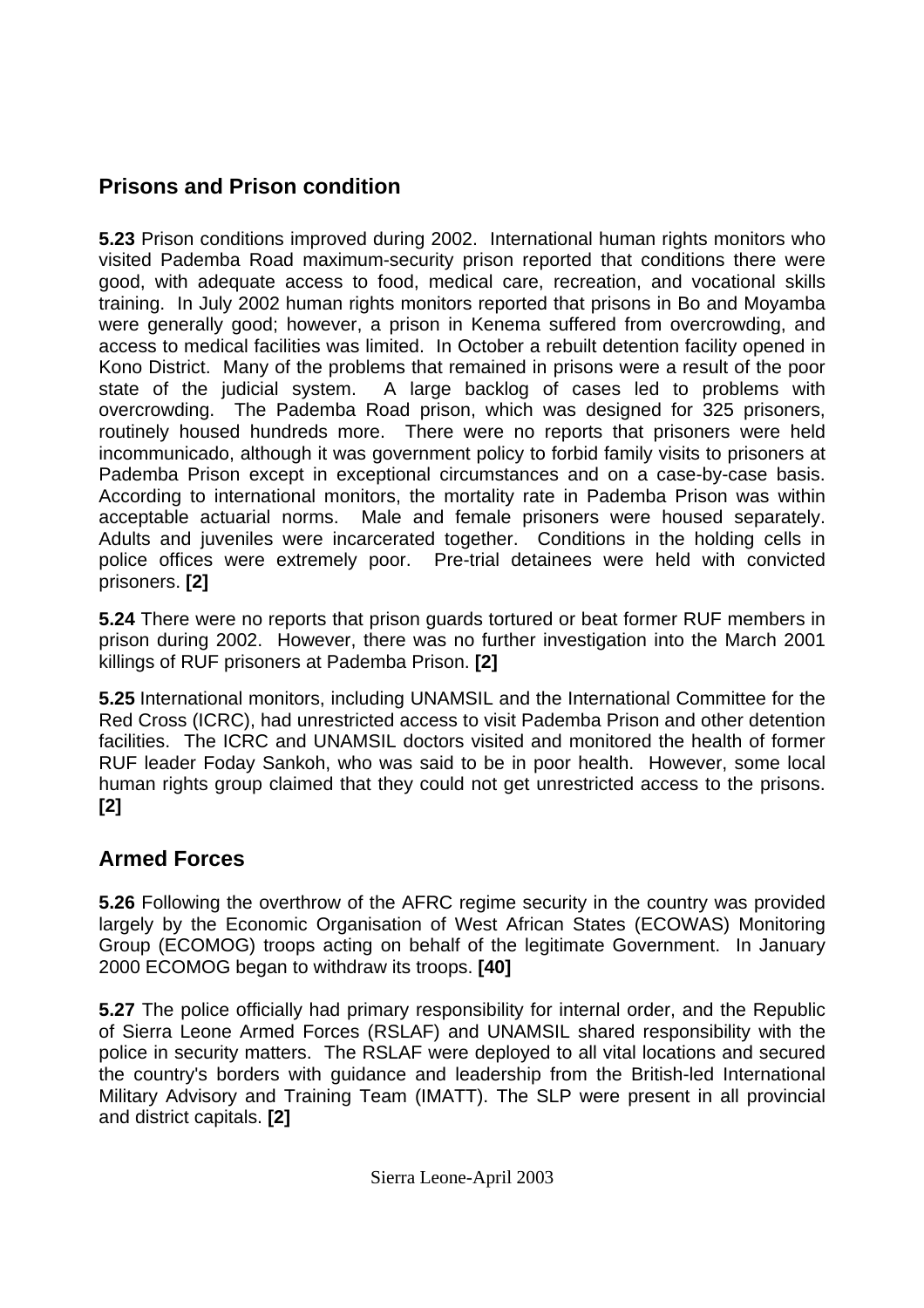## <span id="page-9-0"></span>**Prisons and Prison condition**

**5.23** Prison conditions improved during 2002. International human rights monitors who visited Pademba Road maximum-security prison reported that conditions there were good, with adequate access to food, medical care, recreation, and vocational skills training. In July 2002 human rights monitors reported that prisons in Bo and Moyamba were generally good; however, a prison in Kenema suffered from overcrowding, and access to medical facilities was limited. In October a rebuilt detention facility opened in Kono District. Many of the problems that remained in prisons were a result of the poor state of the judicial system. A large backlog of cases led to problems with overcrowding. The Pademba Road prison, which was designed for 325 prisoners, routinely housed hundreds more. There were no reports that prisoners were held incommunicado, although it was government policy to forbid family visits to prisoners at Pademba Prison except in exceptional circumstances and on a case-by-case basis. According to international monitors, the mortality rate in Pademba Prison was within acceptable actuarial norms. Male and female prisoners were housed separately. Adults and juveniles were incarcerated together. Conditions in the holding cells in police offices were extremely poor. Pre-trial detainees were held with convicted prisoners. **[2]**

**5.24** There were no reports that prison guards tortured or beat former RUF members in prison during 2002. However, there was no further investigation into the March 2001 killings of RUF prisoners at Pademba Prison. **[2]** 

**5.25** International monitors, including UNAMSIL and the International Committee for the Red Cross (ICRC), had unrestricted access to visit Pademba Prison and other detention facilities. The ICRC and UNAMSIL doctors visited and monitored the health of former RUF leader Foday Sankoh, who was said to be in poor health. However, some local human rights group claimed that they could not get unrestricted access to the prisons. **[2]**

## **Armed Forces**

**5.26** Following the overthrow of the AFRC regime security in the country was provided largely by the Economic Organisation of West African States (ECOWAS) Monitoring Group (ECOMOG) troops acting on behalf of the legitimate Government. In January 2000 ECOMOG began to withdraw its troops. **[40]**

**5.27** The police officially had primary responsibility for internal order, and the Republic of Sierra Leone Armed Forces (RSLAF) and UNAMSIL shared responsibility with the police in security matters. The RSLAF were deployed to all vital locations and secured the country's borders with guidance and leadership from the British-led International Military Advisory and Training Team (IMATT). The SLP were present in all provincial and district capitals. **[2]**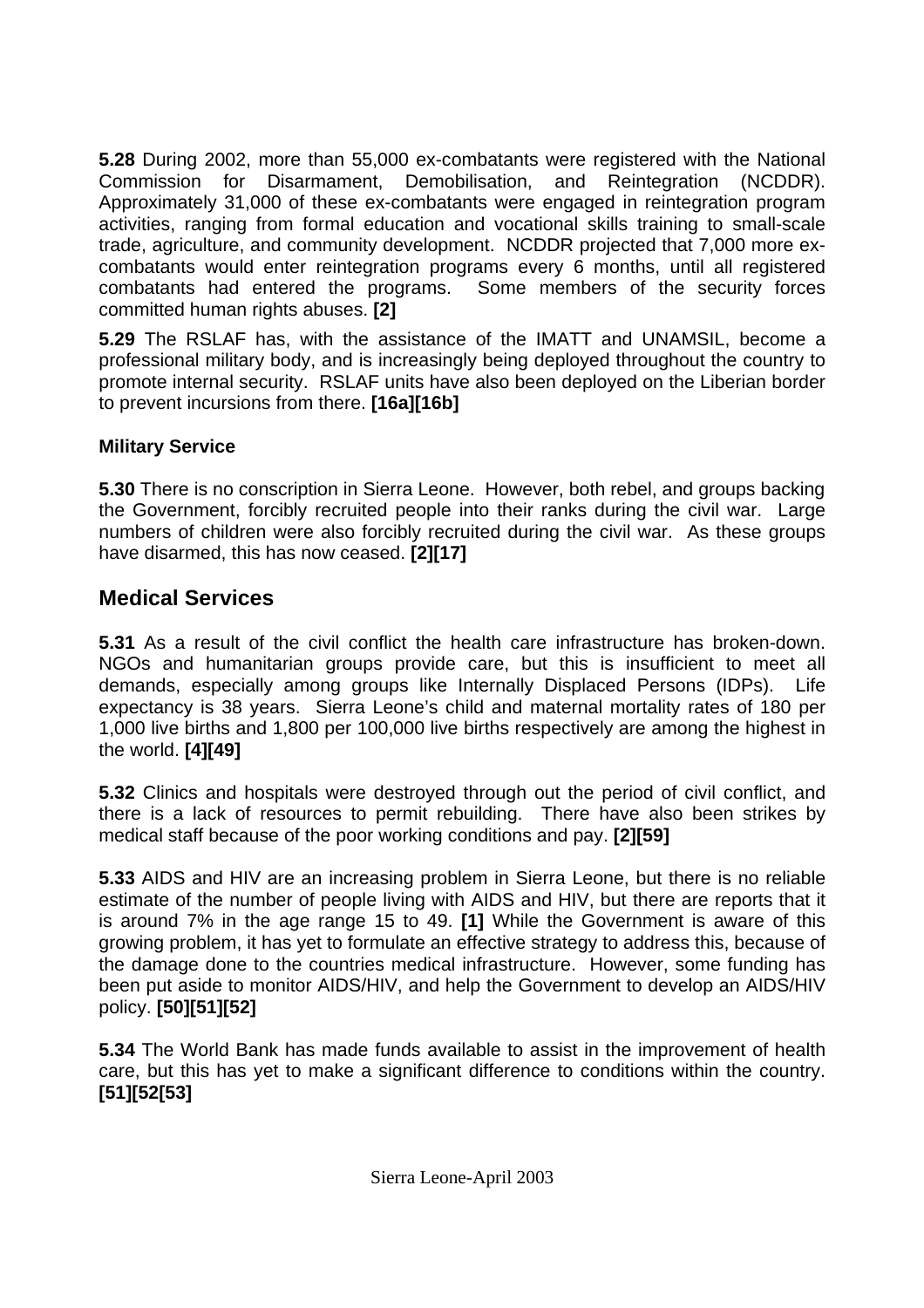<span id="page-10-0"></span>**5.28** During 2002, more than 55,000 ex-combatants were registered with the National Commission for Disarmament, Demobilisation, and Reintegration (NCDDR). Approximately 31,000 of these ex-combatants were engaged in reintegration program activities, ranging from formal education and vocational skills training to small-scale trade, agriculture, and community development. NCDDR projected that 7,000 more excombatants would enter reintegration programs every 6 months, until all registered combatants had entered the programs. Some members of the security forces committed human rights abuses. **[2]**

**5.29** The RSLAF has, with the assistance of the IMATT and UNAMSIL, become a professional military body, and is increasingly being deployed throughout the country to promote internal security. RSLAF units have also been deployed on the Liberian border to prevent incursions from there. **[16a][16b]** 

### **Military Service**

**5.30** There is no conscription in Sierra Leone. However, both rebel, and groups backing the Government, forcibly recruited people into their ranks during the civil war. Large numbers of children were also forcibly recruited during the civil war. As these groups have disarmed, this has now ceased. **[2][17]** 

## **Medical Services**

**5.31** As a result of the civil conflict the health care infrastructure has broken-down. NGOs and humanitarian groups provide care, but this is insufficient to meet all demands, especially among groups like Internally Displaced Persons (IDPs). Life expectancy is 38 years. Sierra Leone's child and maternal mortality rates of 180 per 1,000 live births and 1,800 per 100,000 live births respectively are among the highest in the world. **[4][49]** 

**5.32** Clinics and hospitals were destroyed through out the period of civil conflict, and there is a lack of resources to permit rebuilding. There have also been strikes by medical staff because of the poor working conditions and pay. **[2][59]** 

**5.33** AIDS and HIV are an increasing problem in Sierra Leone, but there is no reliable estimate of the number of people living with AIDS and HIV, but there are reports that it is around 7% in the age range 15 to 49. **[1]** While the Government is aware of this growing problem, it has yet to formulate an effective strategy to address this, because of the damage done to the countries medical infrastructure. However, some funding has been put aside to monitor AIDS/HIV, and help the Government to develop an AIDS/HIV policy. **[50][51][52]** 

**5.34** The World Bank has made funds available to assist in the improvement of health care, but this has yet to make a significant difference to conditions within the country. **[51][52[53]**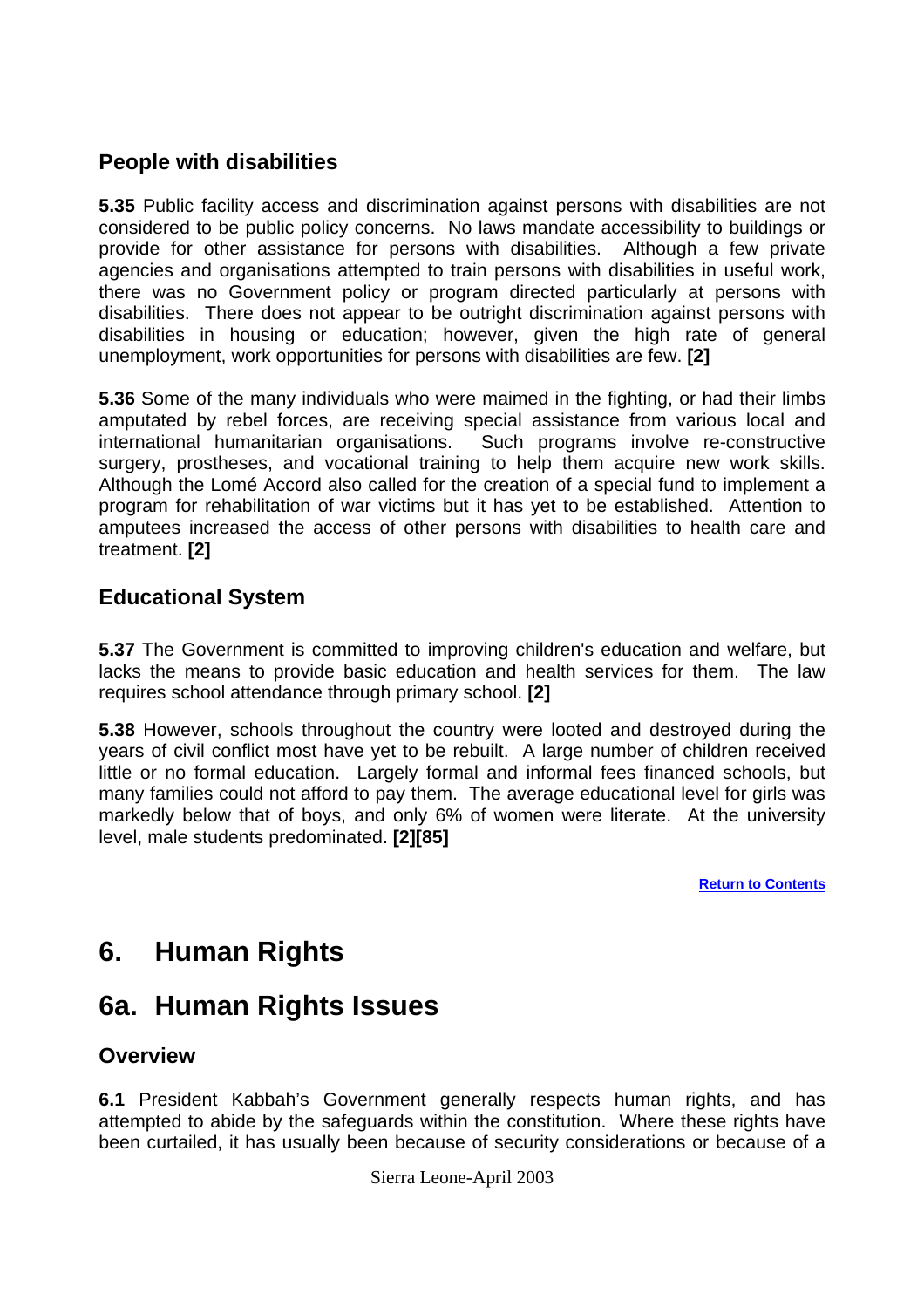## <span id="page-11-0"></span>**People with disabilities**

**5.35** Public facility access and discrimination against persons with disabilities are not considered to be public policy concerns. No laws mandate accessibility to buildings or provide for other assistance for persons with disabilities. Although a few private agencies and organisations attempted to train persons with disabilities in useful work, there was no Government policy or program directed particularly at persons with disabilities. There does not appear to be outright discrimination against persons with disabilities in housing or education; however, given the high rate of general unemployment, work opportunities for persons with disabilities are few. **[2]** 

**5.36** Some of the many individuals who were maimed in the fighting, or had their limbs amputated by rebel forces, are receiving special assistance from various local and international humanitarian organisations. Such programs involve re-constructive surgery, prostheses, and vocational training to help them acquire new work skills. Although the Lomé Accord also called for the creation of a special fund to implement a program for rehabilitation of war victims but it has yet to be established. Attention to amputees increased the access of other persons with disabilities to health care and treatment. **[2]** 

## **Educational System**

**5.37** The Government is committed to improving children's education and welfare, but lacks the means to provide basic education and health services for them. The law requires school attendance through primary school. **[2]** 

**5.38** However, schools throughout the country were looted and destroyed during the years of civil conflict most have yet to be rebuilt. A large number of children received little or no formal education. Largely formal and informal fees financed schools, but many families could not afford to pay them. The average educational level for girls was markedly below that of boys, and only 6% of women were literate. At the university level, male students predominated. **[2][85]**

**[Return to Contents](#page-0-0)**

# **6. Human Rights**

# **6a. Human Rights Issues**

## **Overview**

**6.1** President Kabbah's Government generally respects human rights, and has attempted to abide by the safeguards within the constitution. Where these rights have been curtailed, it has usually been because of security considerations or because of a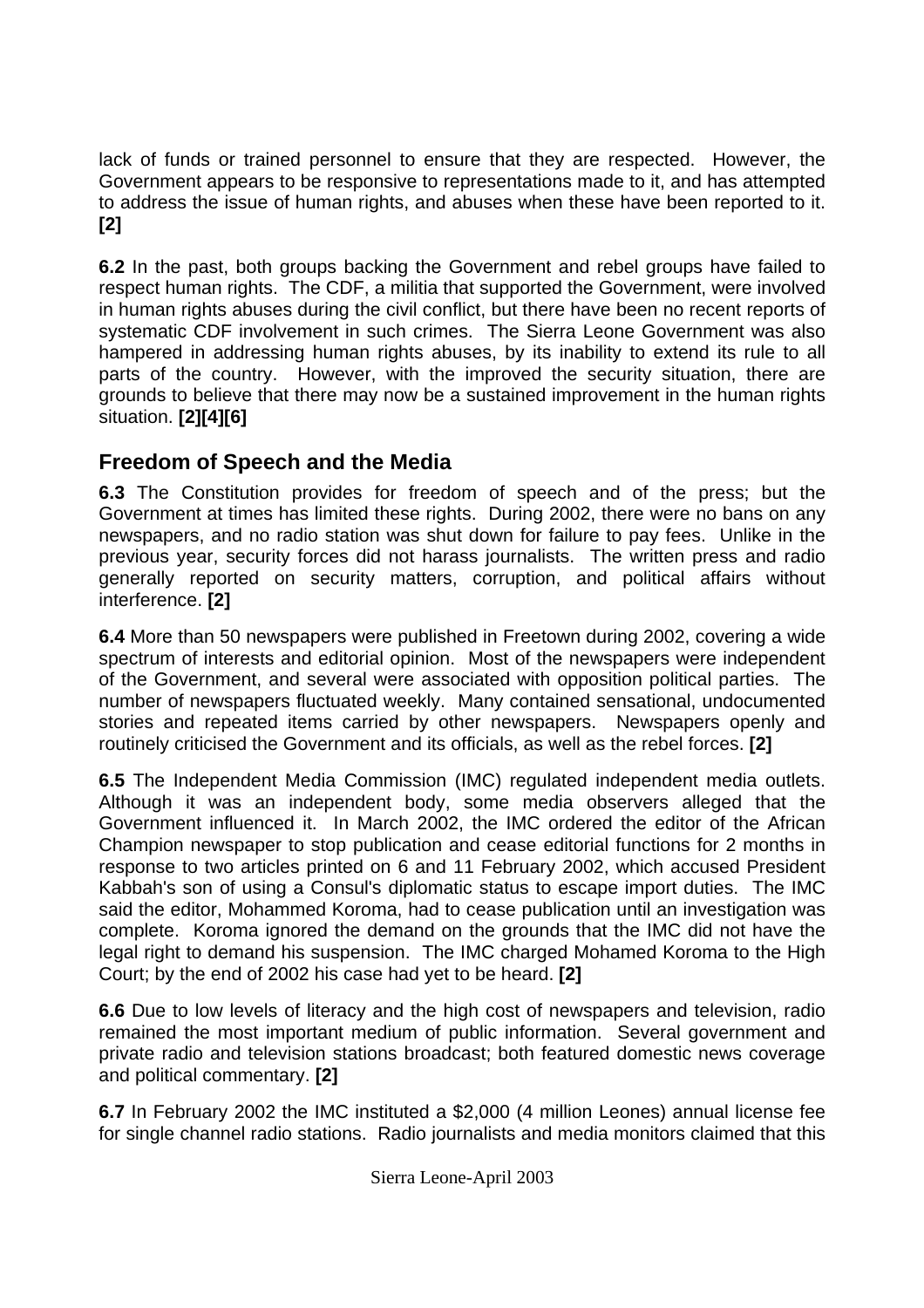<span id="page-12-0"></span>lack of funds or trained personnel to ensure that they are respected. However, the Government appears to be responsive to representations made to it, and has attempted to address the issue of human rights, and abuses when these have been reported to it. **[2]** 

**6.2** In the past, both groups backing the Government and rebel groups have failed to respect human rights. The CDF, a militia that supported the Government, were involved in human rights abuses during the civil conflict, but there have been no recent reports of systematic CDF involvement in such crimes. The Sierra Leone Government was also hampered in addressing human rights abuses, by its inability to extend its rule to all parts of the country. However, with the improved the security situation, there are grounds to believe that there may now be a sustained improvement in the human rights situation. **[2][4][6]** 

## **Freedom of Speech and the Media**

**6.3** The Constitution provides for freedom of speech and of the press; but the Government at times has limited these rights. During 2002, there were no bans on any newspapers, and no radio station was shut down for failure to pay fees. Unlike in the previous year, security forces did not harass journalists. The written press and radio generally reported on security matters, corruption, and political affairs without interference. **[2]**

**6.4** More than 50 newspapers were published in Freetown during 2002, covering a wide spectrum of interests and editorial opinion. Most of the newspapers were independent of the Government, and several were associated with opposition political parties. The number of newspapers fluctuated weekly. Many contained sensational, undocumented stories and repeated items carried by other newspapers. Newspapers openly and routinely criticised the Government and its officials, as well as the rebel forces. **[2]**

**6.5** The Independent Media Commission (IMC) regulated independent media outlets. Although it was an independent body, some media observers alleged that the Government influenced it. In March 2002, the IMC ordered the editor of the African Champion newspaper to stop publication and cease editorial functions for 2 months in response to two articles printed on 6 and 11 February 2002, which accused President Kabbah's son of using a Consul's diplomatic status to escape import duties. The IMC said the editor, Mohammed Koroma, had to cease publication until an investigation was complete. Koroma ignored the demand on the grounds that the IMC did not have the legal right to demand his suspension. The IMC charged Mohamed Koroma to the High Court; by the end of 2002 his case had yet to be heard. **[2]**

**6.6** Due to low levels of literacy and the high cost of newspapers and television, radio remained the most important medium of public information. Several government and private radio and television stations broadcast; both featured domestic news coverage and political commentary. **[2]**

**6.7** In February 2002 the IMC instituted a \$2,000 (4 million Leones) annual license fee for single channel radio stations. Radio journalists and media monitors claimed that this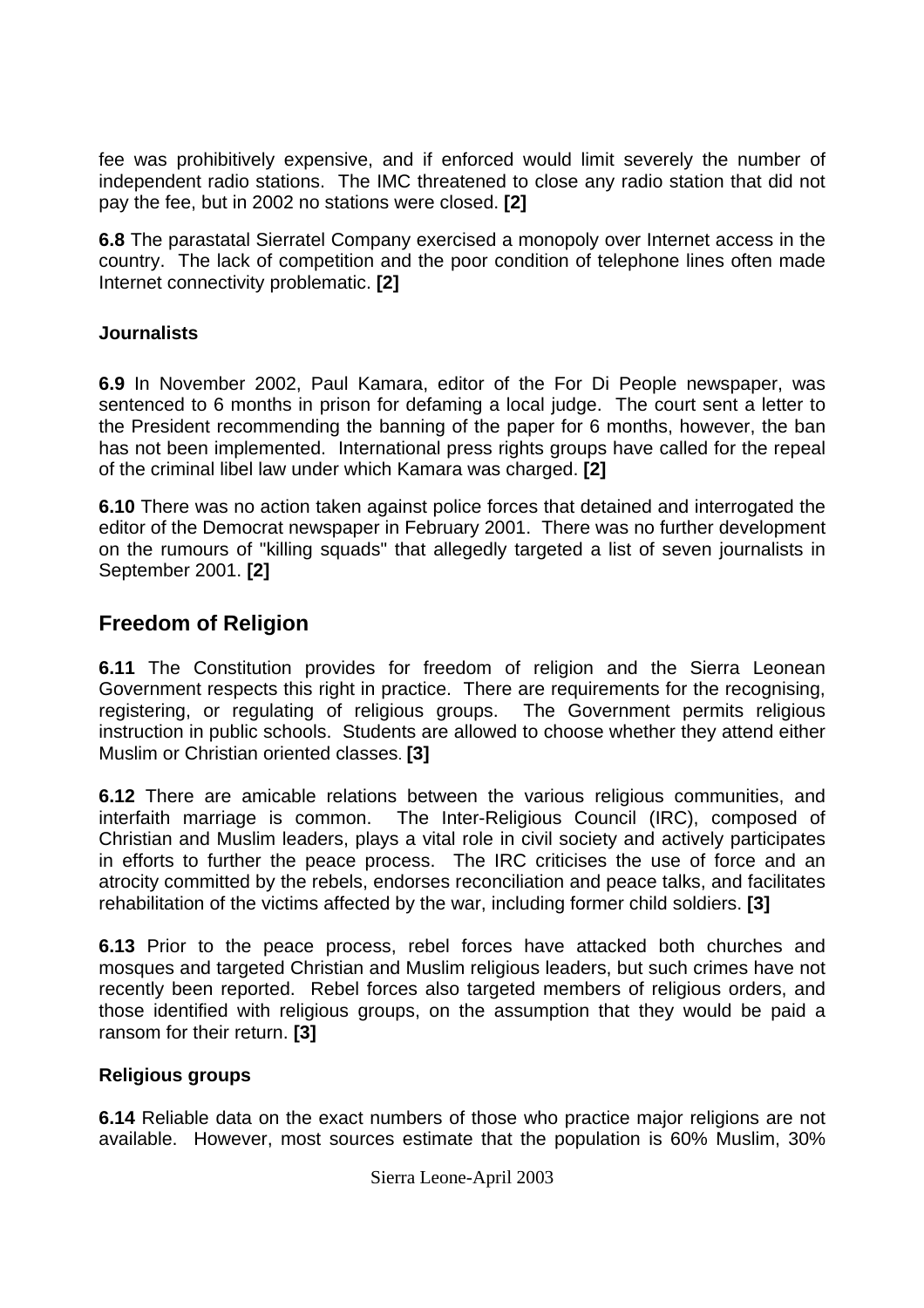<span id="page-13-0"></span>fee was prohibitively expensive, and if enforced would limit severely the number of independent radio stations. The IMC threatened to close any radio station that did not pay the fee, but in 2002 no stations were closed. **[2]**

**6.8** The parastatal Sierratel Company exercised a monopoly over Internet access in the country. The lack of competition and the poor condition of telephone lines often made Internet connectivity problematic. **[2]**

### **Journalists**

**6.9** In November 2002, Paul Kamara, editor of the For Di People newspaper, was sentenced to 6 months in prison for defaming a local judge. The court sent a letter to the President recommending the banning of the paper for 6 months, however, the ban has not been implemented. International press rights groups have called for the repeal of the criminal libel law under which Kamara was charged. **[2]**

**6.10** There was no action taken against police forces that detained and interrogated the editor of the Democrat newspaper in February 2001. There was no further development on the rumours of "killing squads" that allegedly targeted a list of seven journalists in September 2001. **[2]**

## **Freedom of Religion**

**6.11** The Constitution provides for freedom of religion and the Sierra Leonean Government respects this right in practice. There are requirements for the recognising, registering, or regulating of religious groups. The Government permits religious instruction in public schools. Students are allowed to choose whether they attend either Muslim or Christian oriented classes. **[3]** 

**6.12** There are amicable relations between the various religious communities, and interfaith marriage is common. The Inter-Religious Council (IRC), composed of Christian and Muslim leaders, plays a vital role in civil society and actively participates in efforts to further the peace process. The IRC criticises the use of force and an atrocity committed by the rebels, endorses reconciliation and peace talks, and facilitates rehabilitation of the victims affected by the war, including former child soldiers. **[3]** 

**6.13** Prior to the peace process, rebel forces have attacked both churches and mosques and targeted Christian and Muslim religious leaders, but such crimes have not recently been reported. Rebel forces also targeted members of religious orders, and those identified with religious groups, on the assumption that they would be paid a ransom for their return. **[3]**

#### **Religious groups**

**6.14** Reliable data on the exact numbers of those who practice major religions are not available. However, most sources estimate that the population is 60% Muslim, 30%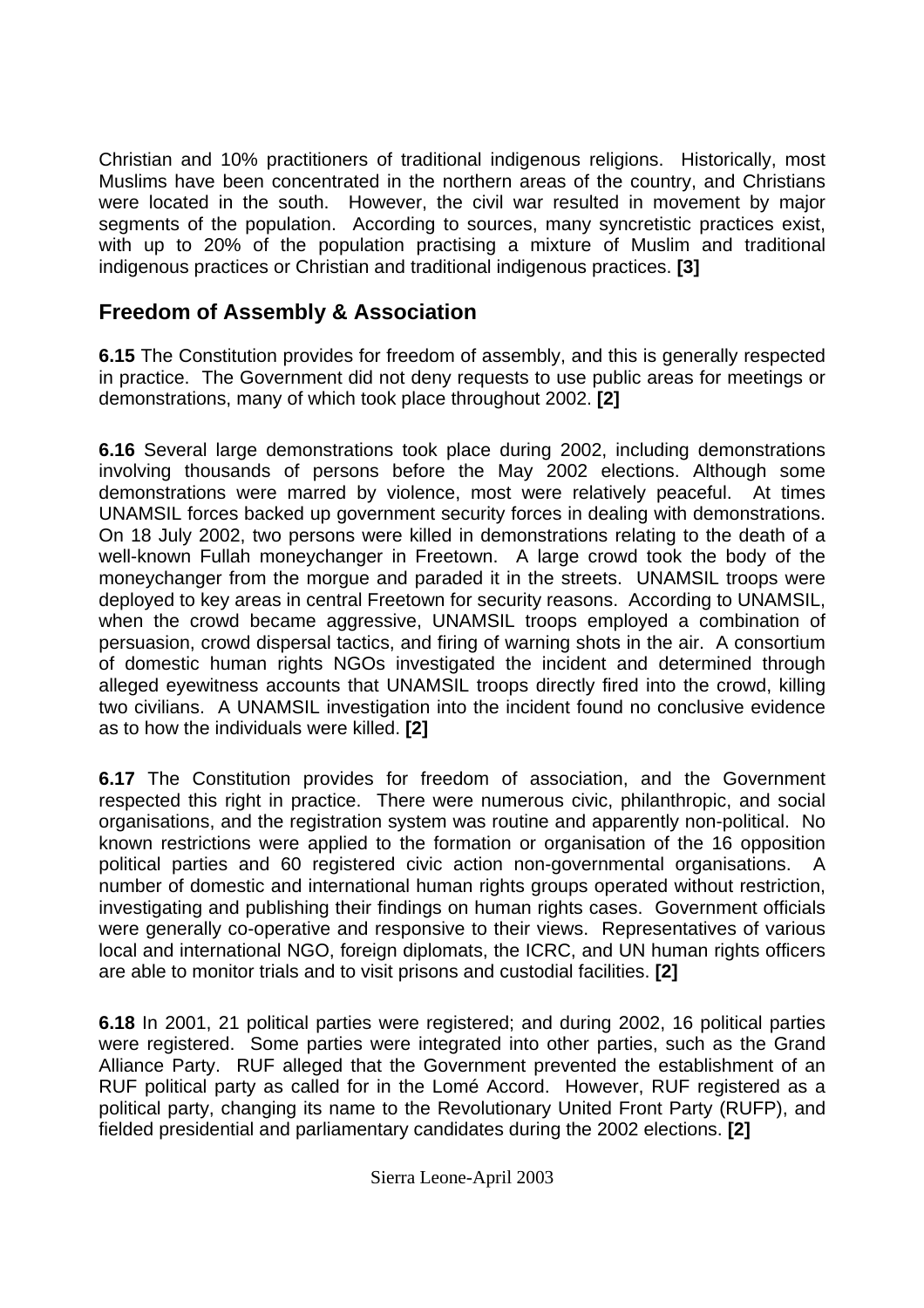<span id="page-14-0"></span>Christian and 10% practitioners of traditional indigenous religions. Historically, most Muslims have been concentrated in the northern areas of the country, and Christians were located in the south. However, the civil war resulted in movement by major segments of the population. According to sources, many syncretistic practices exist, with up to 20% of the population practising a mixture of Muslim and traditional indigenous practices or Christian and traditional indigenous practices. **[3]**

## **Freedom of Assembly & Association**

**6.15** The Constitution provides for freedom of assembly, and this is generally respected in practice. The Government did not deny requests to use public areas for meetings or demonstrations, many of which took place throughout 2002. **[2]**

**6.16** Several large demonstrations took place during 2002, including demonstrations involving thousands of persons before the May 2002 elections. Although some demonstrations were marred by violence, most were relatively peaceful. At times UNAMSIL forces backed up government security forces in dealing with demonstrations. On 18 July 2002, two persons were killed in demonstrations relating to the death of a well-known Fullah moneychanger in Freetown. A large crowd took the body of the moneychanger from the morgue and paraded it in the streets. UNAMSIL troops were deployed to key areas in central Freetown for security reasons. According to UNAMSIL, when the crowd became aggressive, UNAMSIL troops employed a combination of persuasion, crowd dispersal tactics, and firing of warning shots in the air. A consortium of domestic human rights NGOs investigated the incident and determined through alleged eyewitness accounts that UNAMSIL troops directly fired into the crowd, killing two civilians. A UNAMSIL investigation into the incident found no conclusive evidence as to how the individuals were killed. **[2]**

**6.17** The Constitution provides for freedom of association, and the Government respected this right in practice. There were numerous civic, philanthropic, and social organisations, and the registration system was routine and apparently non-political. No known restrictions were applied to the formation or organisation of the 16 opposition political parties and 60 registered civic action non-governmental organisations. A number of domestic and international human rights groups operated without restriction, investigating and publishing their findings on human rights cases. Government officials were generally co-operative and responsive to their views. Representatives of various local and international NGO, foreign diplomats, the ICRC, and UN human rights officers are able to monitor trials and to visit prisons and custodial facilities. **[2]** 

**6.18** In 2001, 21 political parties were registered; and during 2002, 16 political parties were registered. Some parties were integrated into other parties, such as the Grand Alliance Party. RUF alleged that the Government prevented the establishment of an RUF political party as called for in the Lomé Accord. However, RUF registered as a political party, changing its name to the Revolutionary United Front Party (RUFP), and fielded presidential and parliamentary candidates during the 2002 elections. **[2]**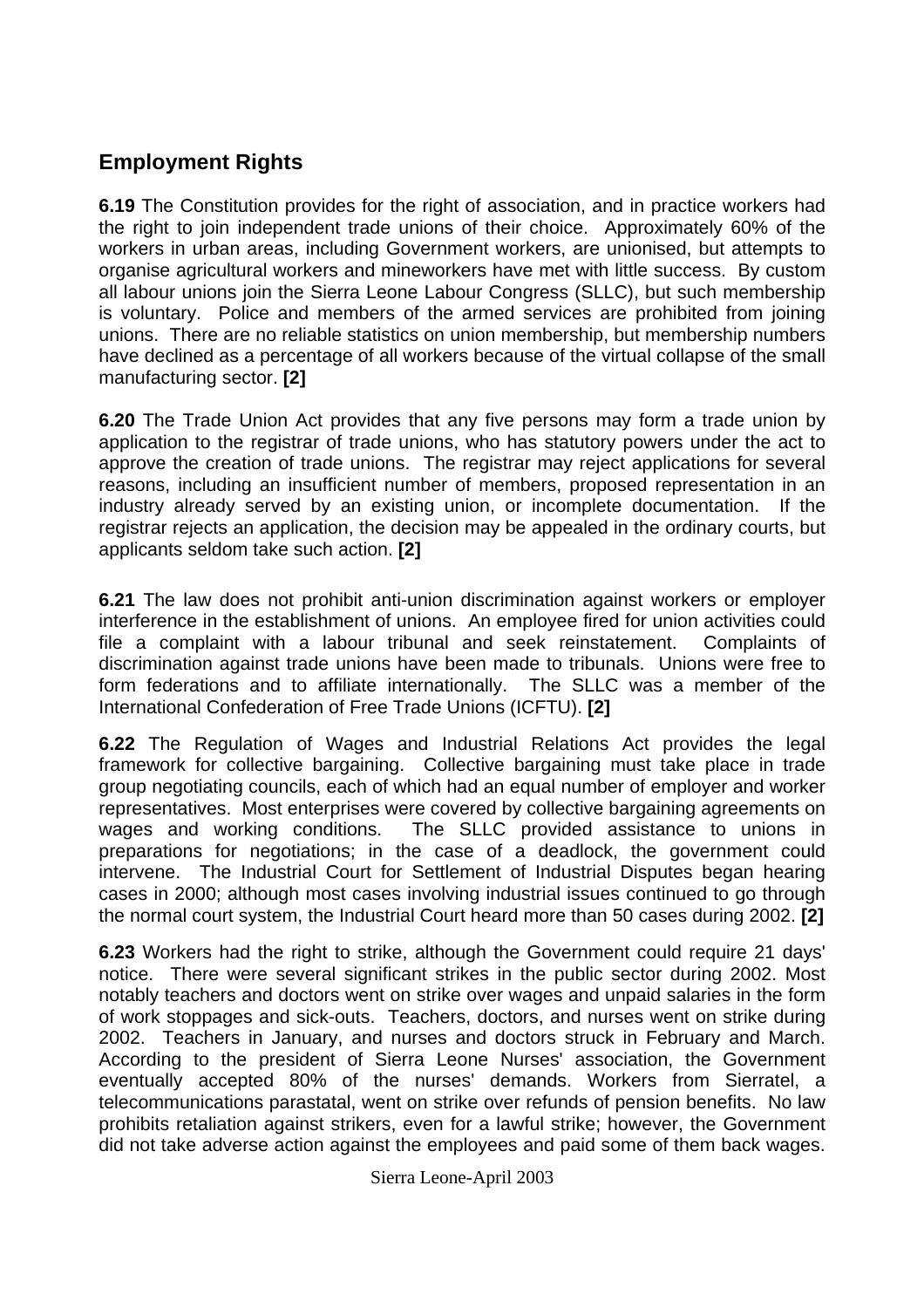## <span id="page-15-0"></span>**Employment Rights**

**6.19** The Constitution provides for the right of association, and in practice workers had the right to join independent trade unions of their choice. Approximately 60% of the workers in urban areas, including Government workers, are unionised, but attempts to organise agricultural workers and mineworkers have met with little success. By custom all labour unions join the Sierra Leone Labour Congress (SLLC), but such membership is voluntary. Police and members of the armed services are prohibited from joining unions. There are no reliable statistics on union membership, but membership numbers have declined as a percentage of all workers because of the virtual collapse of the small manufacturing sector. **[2]** 

**6.20** The Trade Union Act provides that any five persons may form a trade union by application to the registrar of trade unions, who has statutory powers under the act to approve the creation of trade unions. The registrar may reject applications for several reasons, including an insufficient number of members, proposed representation in an industry already served by an existing union, or incomplete documentation. If the registrar rejects an application, the decision may be appealed in the ordinary courts, but applicants seldom take such action. **[2]** 

**6.21** The law does not prohibit anti-union discrimination against workers or employer interference in the establishment of unions. An employee fired for union activities could file a complaint with a labour tribunal and seek reinstatement. Complaints of discrimination against trade unions have been made to tribunals. Unions were free to form federations and to affiliate internationally. The SLLC was a member of the International Confederation of Free Trade Unions (ICFTU). **[2]**

**6.22** The Regulation of Wages and Industrial Relations Act provides the legal framework for collective bargaining. Collective bargaining must take place in trade group negotiating councils, each of which had an equal number of employer and worker representatives. Most enterprises were covered by collective bargaining agreements on wages and working conditions. The SLLC provided assistance to unions in preparations for negotiations; in the case of a deadlock, the government could intervene. The Industrial Court for Settlement of Industrial Disputes began hearing cases in 2000; although most cases involving industrial issues continued to go through the normal court system, the Industrial Court heard more than 50 cases during 2002. **[2]**

**6.23** Workers had the right to strike, although the Government could require 21 days' notice. There were several significant strikes in the public sector during 2002. Most notably teachers and doctors went on strike over wages and unpaid salaries in the form of work stoppages and sick-outs. Teachers, doctors, and nurses went on strike during 2002. Teachers in January, and nurses and doctors struck in February and March. According to the president of Sierra Leone Nurses' association, the Government eventually accepted 80% of the nurses' demands. Workers from Sierratel, a telecommunications parastatal, went on strike over refunds of pension benefits. No law prohibits retaliation against strikers, even for a lawful strike; however, the Government did not take adverse action against the employees and paid some of them back wages.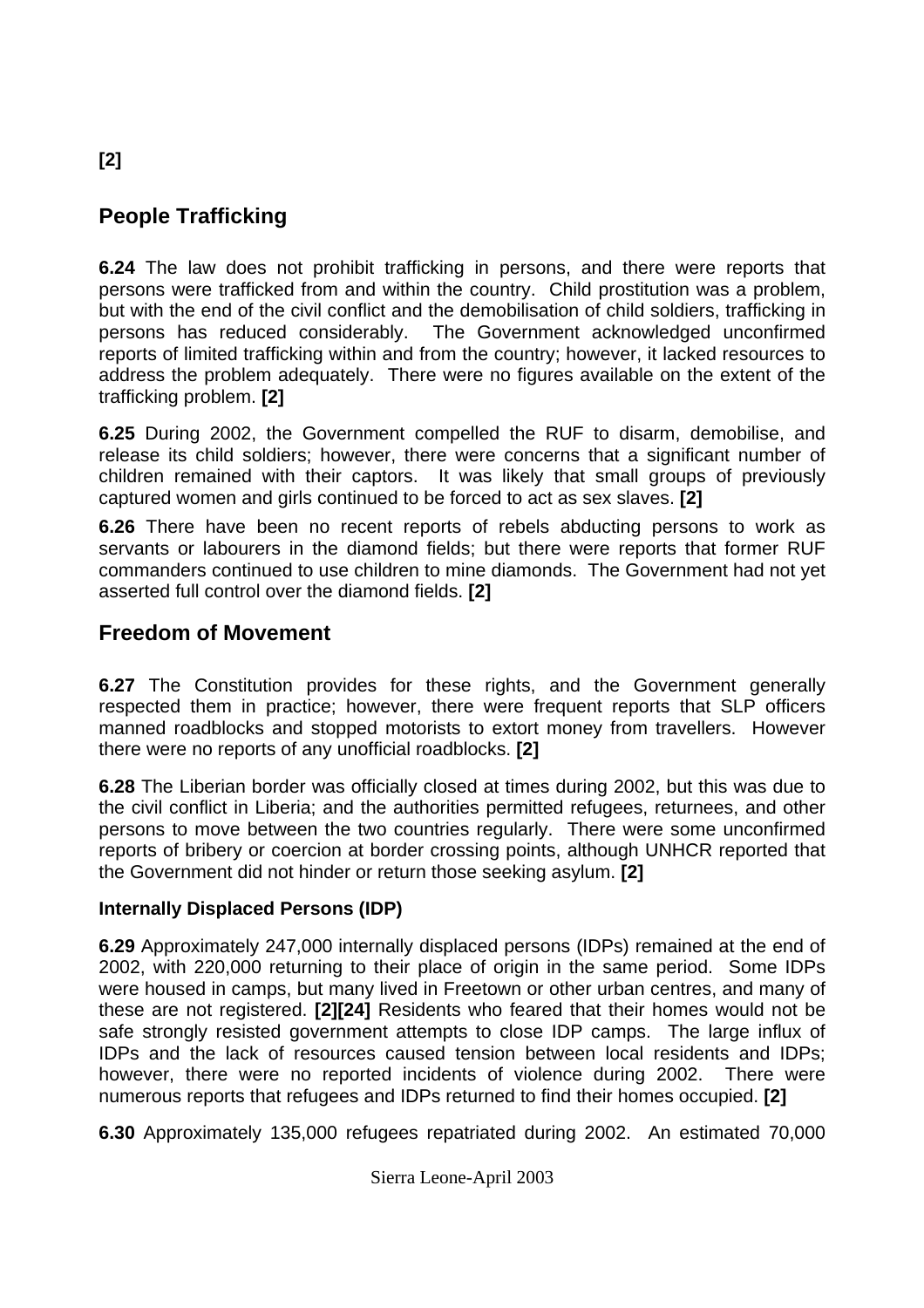# **People Trafficking**

**6.24** The law does not prohibit trafficking in persons, and there were reports that persons were trafficked from and within the country. Child prostitution was a problem, but with the end of the civil conflict and the demobilisation of child soldiers, trafficking in persons has reduced considerably. The Government acknowledged unconfirmed reports of limited trafficking within and from the country; however, it lacked resources to address the problem adequately. There were no figures available on the extent of the trafficking problem. **[2]** 

**6.25** During 2002, the Government compelled the RUF to disarm, demobilise, and release its child soldiers; however, there were concerns that a significant number of children remained with their captors. It was likely that small groups of previously captured women and girls continued to be forced to act as sex slaves. **[2]** 

**6.26** There have been no recent reports of rebels abducting persons to work as servants or labourers in the diamond fields; but there were reports that former RUF commanders continued to use children to mine diamonds. The Government had not yet asserted full control over the diamond fields. **[2]**

## **Freedom of Movement**

**6.27** The Constitution provides for these rights, and the Government generally respected them in practice; however, there were frequent reports that SLP officers manned roadblocks and stopped motorists to extort money from travellers. However there were no reports of any unofficial roadblocks. **[2]** 

**6.28** The Liberian border was officially closed at times during 2002, but this was due to the civil conflict in Liberia; and the authorities permitted refugees, returnees, and other persons to move between the two countries regularly. There were some unconfirmed reports of bribery or coercion at border crossing points, although UNHCR reported that the Government did not hinder or return those seeking asylum. **[2]** 

### **Internally Displaced Persons (IDP)**

**6.29** Approximately 247,000 internally displaced persons (IDPs) remained at the end of 2002, with 220,000 returning to their place of origin in the same period. Some IDPs were housed in camps, but many lived in Freetown or other urban centres, and many of these are not registered. **[2][24]** Residents who feared that their homes would not be safe strongly resisted government attempts to close IDP camps. The large influx of IDPs and the lack of resources caused tension between local residents and IDPs; however, there were no reported incidents of violence during 2002. There were numerous reports that refugees and IDPs returned to find their homes occupied. **[2]**

**6.30** Approximately 135,000 refugees repatriated during 2002. An estimated 70,000

# <span id="page-16-0"></span>**[2]**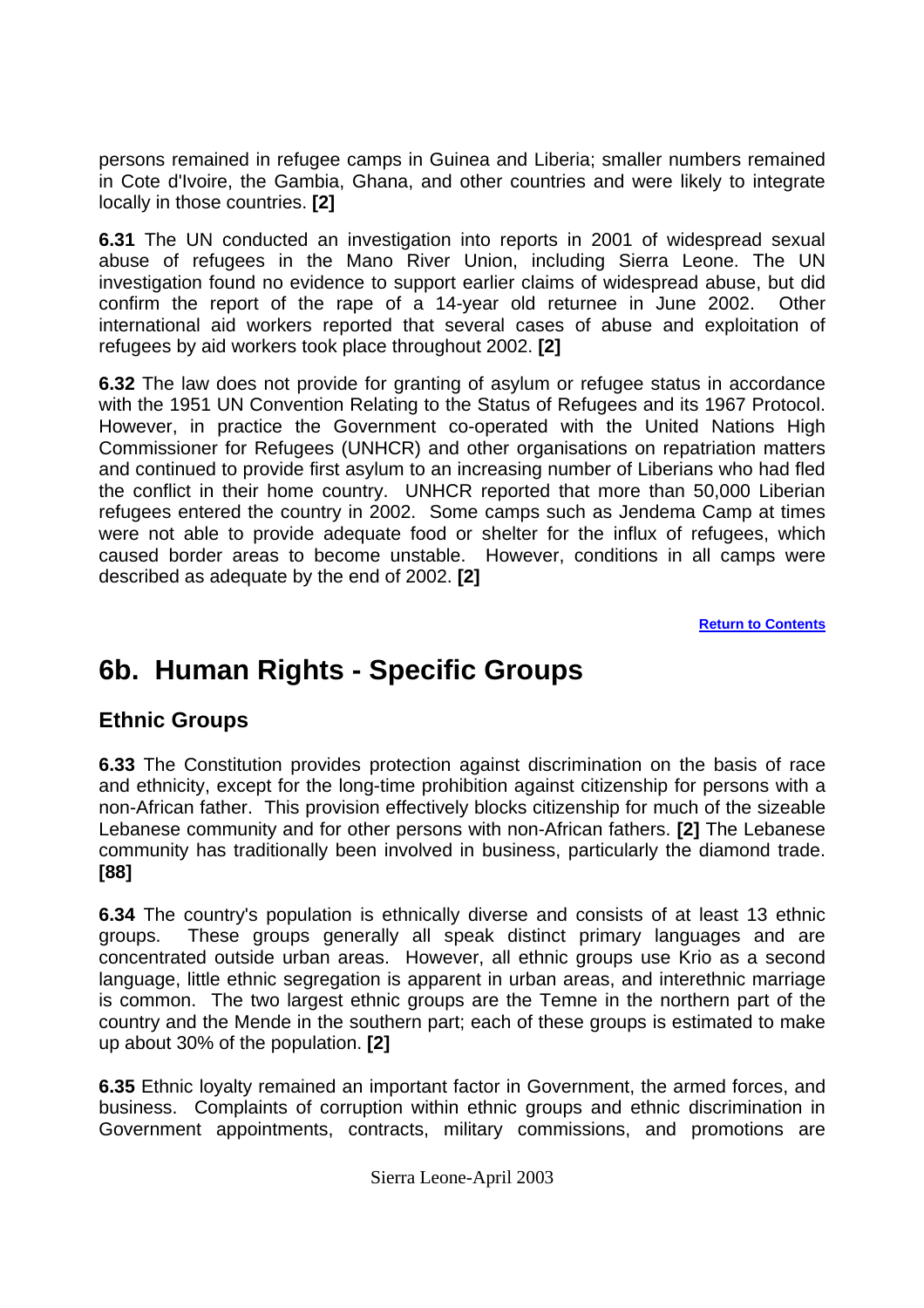<span id="page-17-0"></span>persons remained in refugee camps in Guinea and Liberia; smaller numbers remained in Cote d'Ivoire, the Gambia, Ghana, and other countries and were likely to integrate locally in those countries. **[2]**

**6.31** The UN conducted an investigation into reports in 2001 of widespread sexual abuse of refugees in the Mano River Union, including Sierra Leone. The UN investigation found no evidence to support earlier claims of widespread abuse, but did confirm the report of the rape of a 14-year old returnee in June 2002. Other international aid workers reported that several cases of abuse and exploitation of refugees by aid workers took place throughout 2002. **[2]**

**6.32** The law does not provide for granting of asylum or refugee status in accordance with the 1951 UN Convention Relating to the Status of Refugees and its 1967 Protocol. However, in practice the Government co-operated with the United Nations High Commissioner for Refugees (UNHCR) and other organisations on repatriation matters and continued to provide first asylum to an increasing number of Liberians who had fled the conflict in their home country. UNHCR reported that more than 50,000 Liberian refugees entered the country in 2002. Some camps such as Jendema Camp at times were not able to provide adequate food or shelter for the influx of refugees, which caused border areas to become unstable. However, conditions in all camps were described as adequate by the end of 2002. **[2]**

**[Return to Contents](#page-0-0)**

# **6b. Human Rights - Specific Groups**

## **Ethnic Groups**

**6.33** The Constitution provides protection against discrimination on the basis of race and ethnicity, except for the long-time prohibition against citizenship for persons with a non-African father. This provision effectively blocks citizenship for much of the sizeable Lebanese community and for other persons with non-African fathers. **[2]** The Lebanese community has traditionally been involved in business, particularly the diamond trade. **[88]** 

**6.34** The country's population is ethnically diverse and consists of at least 13 ethnic groups. These groups generally all speak distinct primary languages and are concentrated outside urban areas. However, all ethnic groups use Krio as a second language, little ethnic segregation is apparent in urban areas, and interethnic marriage is common. The two largest ethnic groups are the Temne in the northern part of the country and the Mende in the southern part; each of these groups is estimated to make up about 30% of the population. **[2]** 

**6.35** Ethnic loyalty remained an important factor in Government, the armed forces, and business. Complaints of corruption within ethnic groups and ethnic discrimination in Government appointments, contracts, military commissions, and promotions are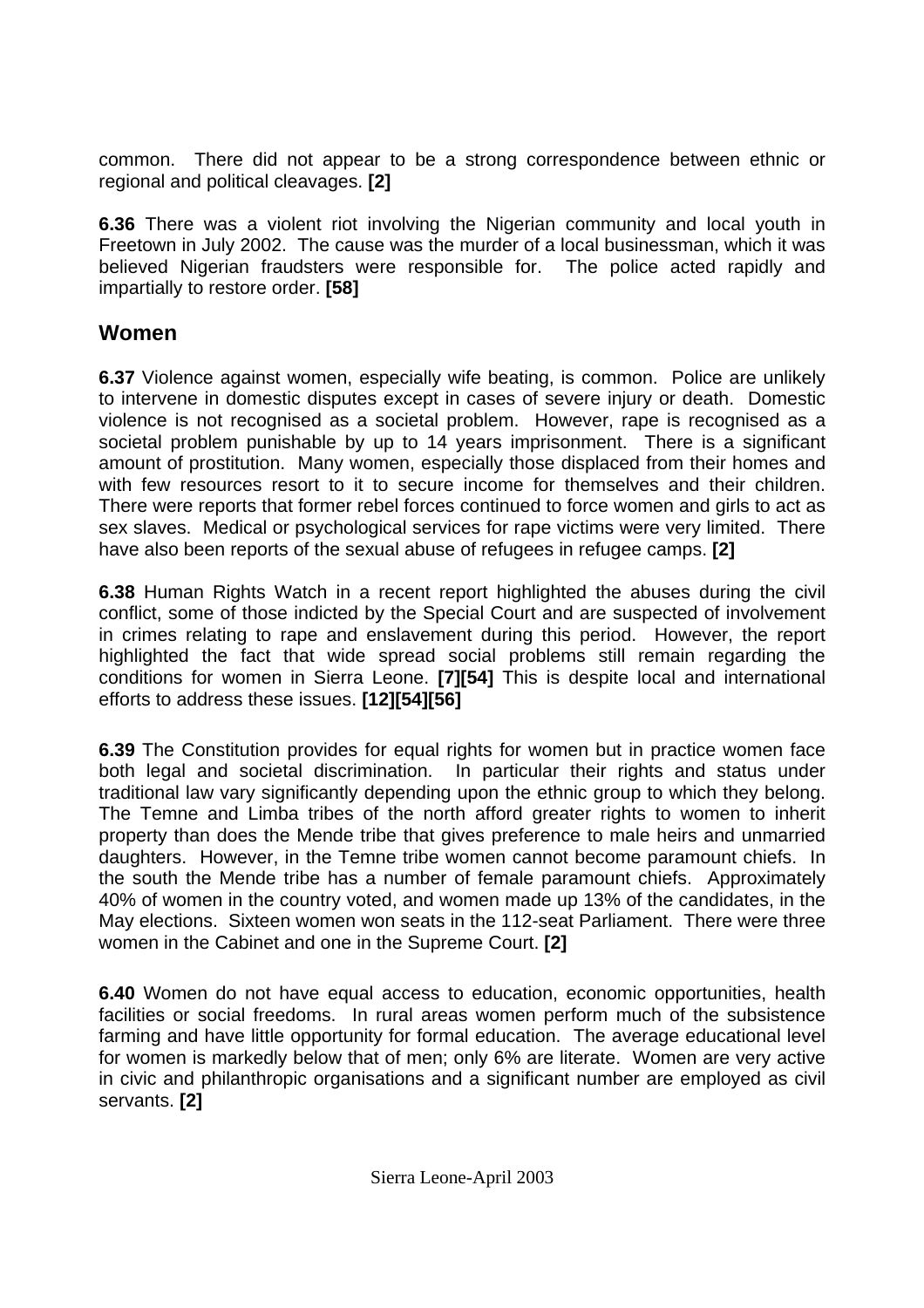<span id="page-18-0"></span>common. There did not appear to be a strong correspondence between ethnic or regional and political cleavages. **[2]** 

**6.36** There was a violent riot involving the Nigerian community and local youth in Freetown in July 2002. The cause was the murder of a local businessman, which it was believed Nigerian fraudsters were responsible for. The police acted rapidly and impartially to restore order. **[58]** 

## **Women**

**6.37** Violence against women, especially wife beating, is common. Police are unlikely to intervene in domestic disputes except in cases of severe injury or death. Domestic violence is not recognised as a societal problem. However, rape is recognised as a societal problem punishable by up to 14 years imprisonment. There is a significant amount of prostitution. Many women, especially those displaced from their homes and with few resources resort to it to secure income for themselves and their children. There were reports that former rebel forces continued to force women and girls to act as sex slaves. Medical or psychological services for rape victims were very limited. There have also been reports of the sexual abuse of refugees in refugee camps. **[2]** 

**6.38** Human Rights Watch in a recent report highlighted the abuses during the civil conflict, some of those indicted by the Special Court and are suspected of involvement in crimes relating to rape and enslavement during this period. However, the report highlighted the fact that wide spread social problems still remain regarding the conditions for women in Sierra Leone. **[7][54]** This is despite local and international efforts to address these issues. **[12][54][56]**

**6.39** The Constitution provides for equal rights for women but in practice women face both legal and societal discrimination. In particular their rights and status under traditional law vary significantly depending upon the ethnic group to which they belong. The Temne and Limba tribes of the north afford greater rights to women to inherit property than does the Mende tribe that gives preference to male heirs and unmarried daughters. However, in the Temne tribe women cannot become paramount chiefs. In the south the Mende tribe has a number of female paramount chiefs. Approximately 40% of women in the country voted, and women made up 13% of the candidates, in the May elections. Sixteen women won seats in the 112-seat Parliament. There were three women in the Cabinet and one in the Supreme Court. **[2]**

**6.40** Women do not have equal access to education, economic opportunities, health facilities or social freedoms. In rural areas women perform much of the subsistence farming and have little opportunity for formal education. The average educational level for women is markedly below that of men; only 6% are literate. Women are very active in civic and philanthropic organisations and a significant number are employed as civil servants. **[2]**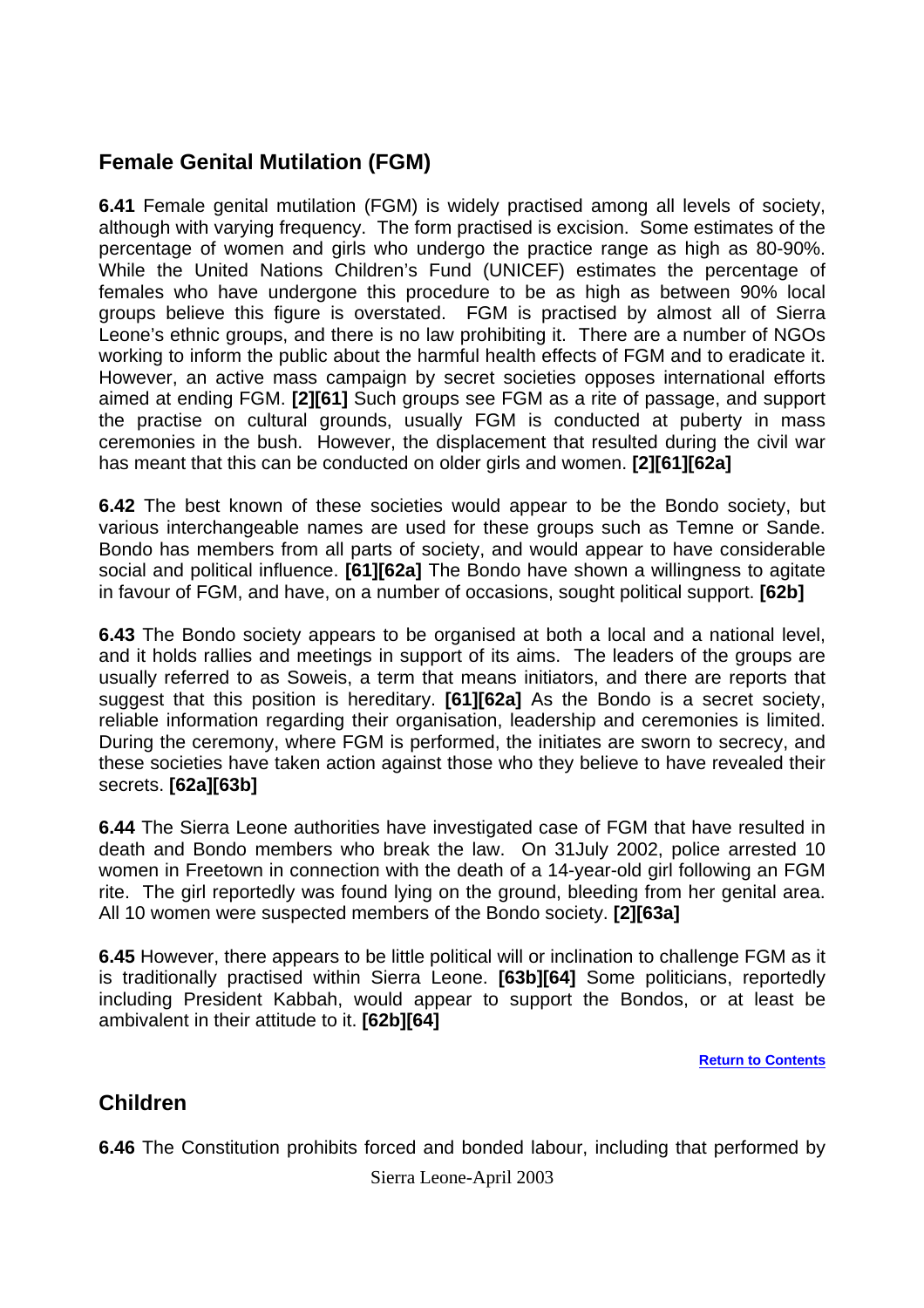## <span id="page-19-0"></span>**Female Genital Mutilation (FGM)**

**6.41** Female genital mutilation (FGM) is widely practised among all levels of society, although with varying frequency. The form practised is excision. Some estimates of the percentage of women and girls who undergo the practice range as high as 80-90%. While the United Nations Children's Fund (UNICEF) estimates the percentage of females who have undergone this procedure to be as high as between 90% local groups believe this figure is overstated. FGM is practised by almost all of Sierra Leone's ethnic groups, and there is no law prohibiting it. There are a number of NGOs working to inform the public about the harmful health effects of FGM and to eradicate it. However, an active mass campaign by secret societies opposes international efforts aimed at ending FGM. **[2][61]** Such groups see FGM as a rite of passage, and support the practise on cultural grounds, usually FGM is conducted at puberty in mass ceremonies in the bush. However, the displacement that resulted during the civil war has meant that this can be conducted on older girls and women. **[2][61][62a]** 

**6.42** The best known of these societies would appear to be the Bondo society, but various interchangeable names are used for these groups such as Temne or Sande. Bondo has members from all parts of society, and would appear to have considerable social and political influence. **[61][62a]** The Bondo have shown a willingness to agitate in favour of FGM, and have, on a number of occasions, sought political support. **[62b]** 

**6.43** The Bondo society appears to be organised at both a local and a national level, and it holds rallies and meetings in support of its aims. The leaders of the groups are usually referred to as Soweis, a term that means initiators, and there are reports that suggest that this position is hereditary. **[61][62a]** As the Bondo is a secret society, reliable information regarding their organisation, leadership and ceremonies is limited. During the ceremony, where FGM is performed, the initiates are sworn to secrecy, and these societies have taken action against those who they believe to have revealed their secrets. **[62a][63b]** 

**6.44** The Sierra Leone authorities have investigated case of FGM that have resulted in death and Bondo members who break the law. On 31July 2002, police arrested 10 women in Freetown in connection with the death of a 14-year-old girl following an FGM rite. The girl reportedly was found lying on the ground, bleeding from her genital area. All 10 women were suspected members of the Bondo society. **[2][63a]**

**6.45** However, there appears to be little political will or inclination to challenge FGM as it is traditionally practised within Sierra Leone. **[63b][64]** Some politicians, reportedly including President Kabbah, would appear to support the Bondos, or at least be ambivalent in their attitude to it. **[62b][64]**

**[Return to Contents](#page-0-0)**

## **Children**

**6.46** The Constitution prohibits forced and bonded labour, including that performed by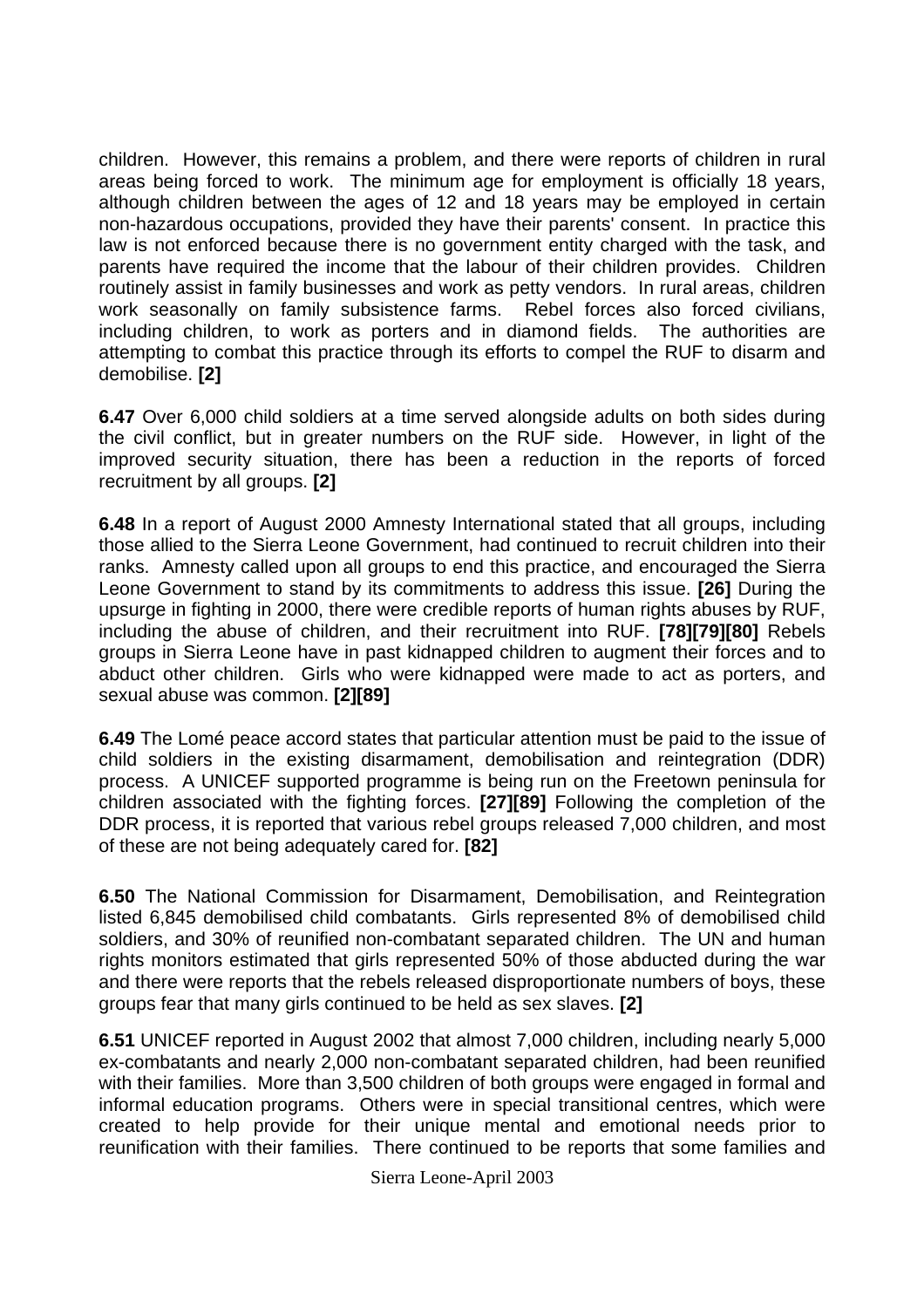children. However, this remains a problem, and there were reports of children in rural areas being forced to work. The minimum age for employment is officially 18 years, although children between the ages of 12 and 18 years may be employed in certain non-hazardous occupations, provided they have their parents' consent. In practice this law is not enforced because there is no government entity charged with the task, and parents have required the income that the labour of their children provides. Children routinely assist in family businesses and work as petty vendors. In rural areas, children work seasonally on family subsistence farms. Rebel forces also forced civilians, including children, to work as porters and in diamond fields. The authorities are attempting to combat this practice through its efforts to compel the RUF to disarm and demobilise. **[2]**

**6.47** Over 6,000 child soldiers at a time served alongside adults on both sides during the civil conflict, but in greater numbers on the RUF side. However, in light of the improved security situation, there has been a reduction in the reports of forced recruitment by all groups. **[2]** 

**6.48** In a report of August 2000 Amnesty International stated that all groups, including those allied to the Sierra Leone Government, had continued to recruit children into their ranks. Amnesty called upon all groups to end this practice, and encouraged the Sierra Leone Government to stand by its commitments to address this issue. **[26]** During the upsurge in fighting in 2000, there were credible reports of human rights abuses by RUF, including the abuse of children, and their recruitment into RUF. **[78][79][80]** Rebels groups in Sierra Leone have in past kidnapped children to augment their forces and to abduct other children. Girls who were kidnapped were made to act as porters, and sexual abuse was common. **[2][89]** 

**6.49** The Lomé peace accord states that particular attention must be paid to the issue of child soldiers in the existing disarmament, demobilisation and reintegration (DDR) process. A UNICEF supported programme is being run on the Freetown peninsula for children associated with the fighting forces. **[27][89]** Following the completion of the DDR process, it is reported that various rebel groups released 7,000 children, and most of these are not being adequately cared for. **[82]** 

**6.50** The National Commission for Disarmament, Demobilisation, and Reintegration listed 6,845 demobilised child combatants. Girls represented 8% of demobilised child soldiers, and 30% of reunified non-combatant separated children. The UN and human rights monitors estimated that girls represented 50% of those abducted during the war and there were reports that the rebels released disproportionate numbers of boys, these groups fear that many girls continued to be held as sex slaves. **[2]**

**6.51** UNICEF reported in August 2002 that almost 7,000 children, including nearly 5,000 ex-combatants and nearly 2,000 non-combatant separated children, had been reunified with their families. More than 3,500 children of both groups were engaged in formal and informal education programs. Others were in special transitional centres, which were created to help provide for their unique mental and emotional needs prior to reunification with their families. There continued to be reports that some families and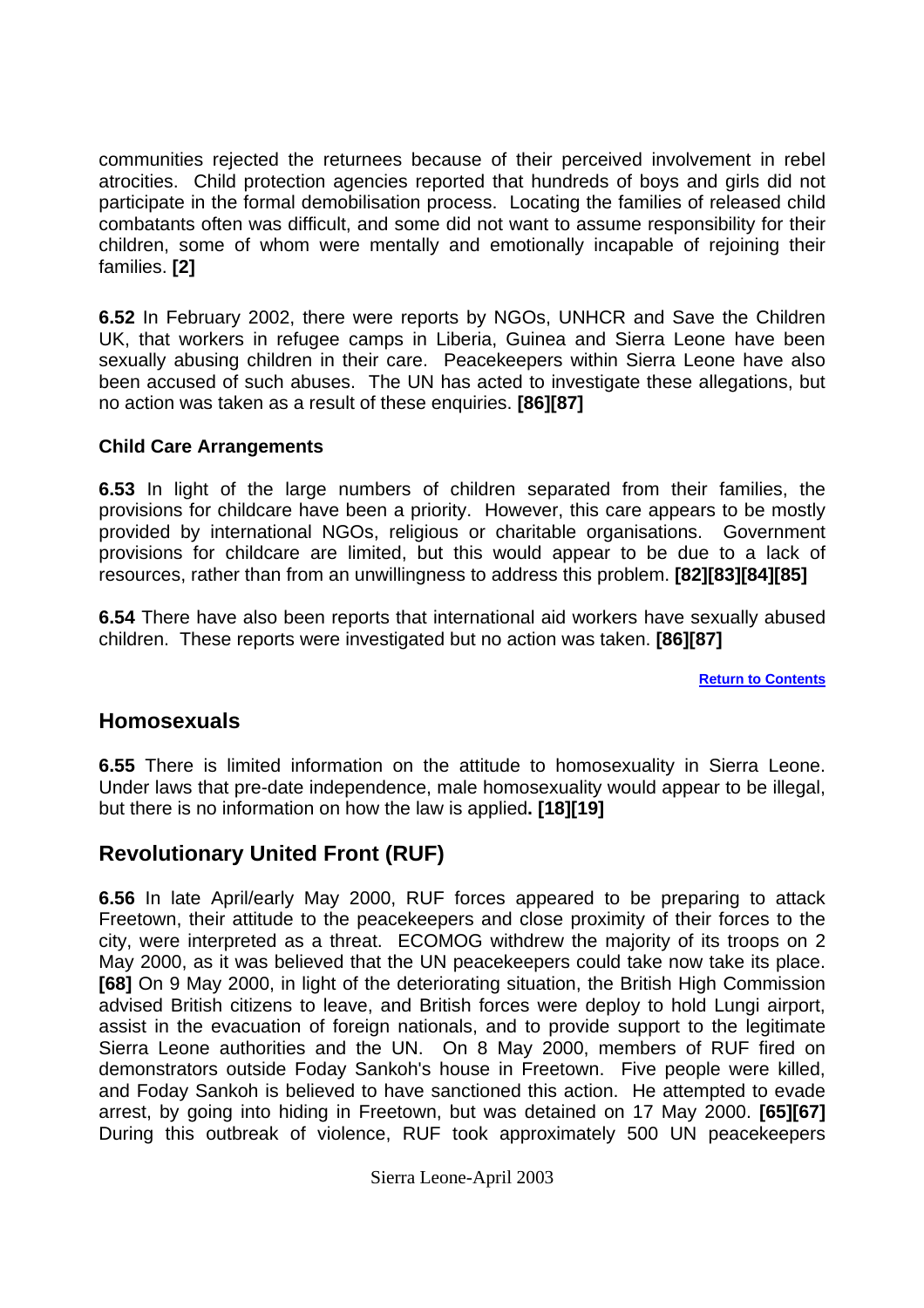<span id="page-21-0"></span>communities rejected the returnees because of their perceived involvement in rebel atrocities. Child protection agencies reported that hundreds of boys and girls did not participate in the formal demobilisation process. Locating the families of released child combatants often was difficult, and some did not want to assume responsibility for their children, some of whom were mentally and emotionally incapable of rejoining their families. **[2]** 

**6.52** In February 2002, there were reports by NGOs, UNHCR and Save the Children UK, that workers in refugee camps in Liberia, Guinea and Sierra Leone have been sexually abusing children in their care. Peacekeepers within Sierra Leone have also been accused of such abuses. The UN has acted to investigate these allegations, but no action was taken as a result of these enquiries. **[86][87]** 

#### **Child Care Arrangements**

**6.53** In light of the large numbers of children separated from their families, the provisions for childcare have been a priority. However, this care appears to be mostly provided by international NGOs, religious or charitable organisations. Government provisions for childcare are limited, but this would appear to be due to a lack of resources, rather than from an unwillingness to address this problem. **[82][83][84][85]** 

**6.54** There have also been reports that international aid workers have sexually abused children. These reports were investigated but no action was taken. **[86][87]** 

**[Return to Contents](#page-0-0)**

### **Homosexuals**

**6.55** There is limited information on the attitude to homosexuality in Sierra Leone. Under laws that pre-date independence, male homosexuality would appear to be illegal, but there is no information on how the law is applied**. [18][19]** 

## **Revolutionary United Front (RUF)**

**6.56** In late April/early May 2000, RUF forces appeared to be preparing to attack Freetown, their attitude to the peacekeepers and close proximity of their forces to the city, were interpreted as a threat. ECOMOG withdrew the majority of its troops on 2 May 2000, as it was believed that the UN peacekeepers could take now take its place. **[68]** On 9 May 2000, in light of the deteriorating situation, the British High Commission advised British citizens to leave, and British forces were deploy to hold Lungi airport, assist in the evacuation of foreign nationals, and to provide support to the legitimate Sierra Leone authorities and the UN. On 8 May 2000, members of RUF fired on demonstrators outside Foday Sankoh's house in Freetown. Five people were killed, and Foday Sankoh is believed to have sanctioned this action. He attempted to evade arrest, by going into hiding in Freetown, but was detained on 17 May 2000. **[65][67]** During this outbreak of violence, RUF took approximately 500 UN peacekeepers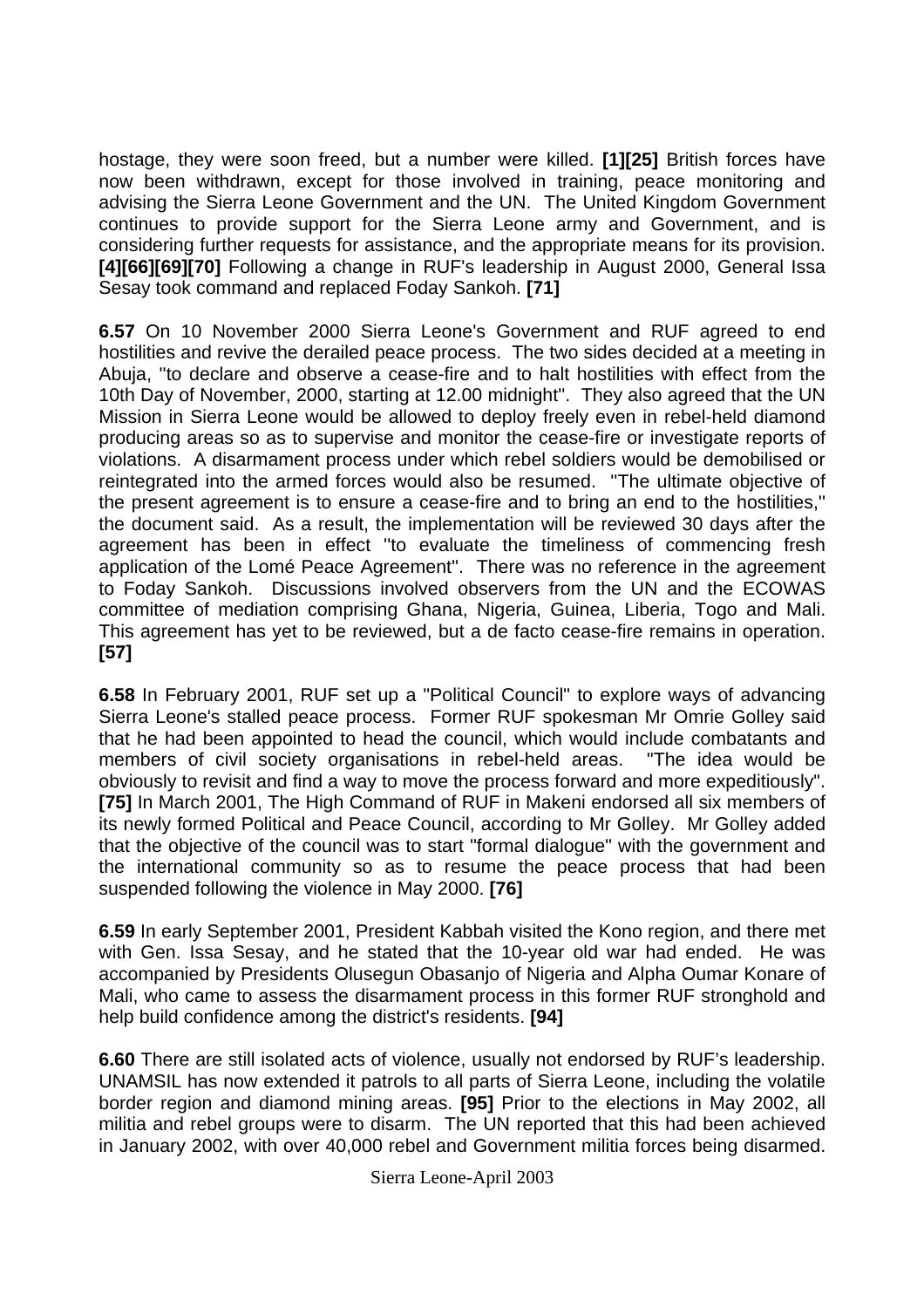hostage, they were soon freed, but a number were killed. **[1][25]** British forces have now been withdrawn, except for those involved in training, peace monitoring and advising the Sierra Leone Government and the UN. The United Kingdom Government continues to provide support for the Sierra Leone army and Government, and is considering further requests for assistance, and the appropriate means for its provision. **[4][66][69][70]** Following a change in RUF's leadership in August 2000, General Issa Sesay took command and replaced Foday Sankoh. **[71]** 

**6.57** On 10 November 2000 Sierra Leone's Government and RUF agreed to end hostilities and revive the derailed peace process. The two sides decided at a meeting in Abuja, ''to declare and observe a cease-fire and to halt hostilities with effect from the 10th Day of November, 2000, starting at 12.00 midnight''. They also agreed that the UN Mission in Sierra Leone would be allowed to deploy freely even in rebel-held diamond producing areas so as to supervise and monitor the cease-fire or investigate reports of violations. A disarmament process under which rebel soldiers would be demobilised or reintegrated into the armed forces would also be resumed. ''The ultimate objective of the present agreement is to ensure a cease-fire and to bring an end to the hostilities,'' the document said. As a result, the implementation will be reviewed 30 days after the agreement has been in effect ''to evaluate the timeliness of commencing fresh application of the Lomé Peace Agreement''. There was no reference in the agreement to Foday Sankoh. Discussions involved observers from the UN and the ECOWAS committee of mediation comprising Ghana, Nigeria, Guinea, Liberia, Togo and Mali. This agreement has yet to be reviewed, but a de facto cease-fire remains in operation. **[57]** 

**6.58** In February 2001, RUF set up a "Political Council" to explore ways of advancing Sierra Leone's stalled peace process. Former RUF spokesman Mr Omrie Golley said that he had been appointed to head the council, which would include combatants and members of civil society organisations in rebel-held areas. "The idea would be obviously to revisit and find a way to move the process forward and more expeditiously". **[75]** In March 2001, The High Command of RUF in Makeni endorsed all six members of its newly formed Political and Peace Council, according to Mr Golley. Mr Golley added that the objective of the council was to start "formal dialogue" with the government and the international community so as to resume the peace process that had been suspended following the violence in May 2000. **[76]** 

**6.59** In early September 2001, President Kabbah visited the Kono region, and there met with Gen. Issa Sesay, and he stated that the 10-year old war had ended. He was accompanied by Presidents Olusegun Obasanjo of Nigeria and Alpha Oumar Konare of Mali, who came to assess the disarmament process in this former RUF stronghold and help build confidence among the district's residents. **[94]** 

**6.60** There are still isolated acts of violence, usually not endorsed by RUF's leadership. UNAMSIL has now extended it patrols to all parts of Sierra Leone, including the volatile border region and diamond mining areas. **[95]** Prior to the elections in May 2002, all militia and rebel groups were to disarm. The UN reported that this had been achieved in January 2002, with over 40,000 rebel and Government militia forces being disarmed.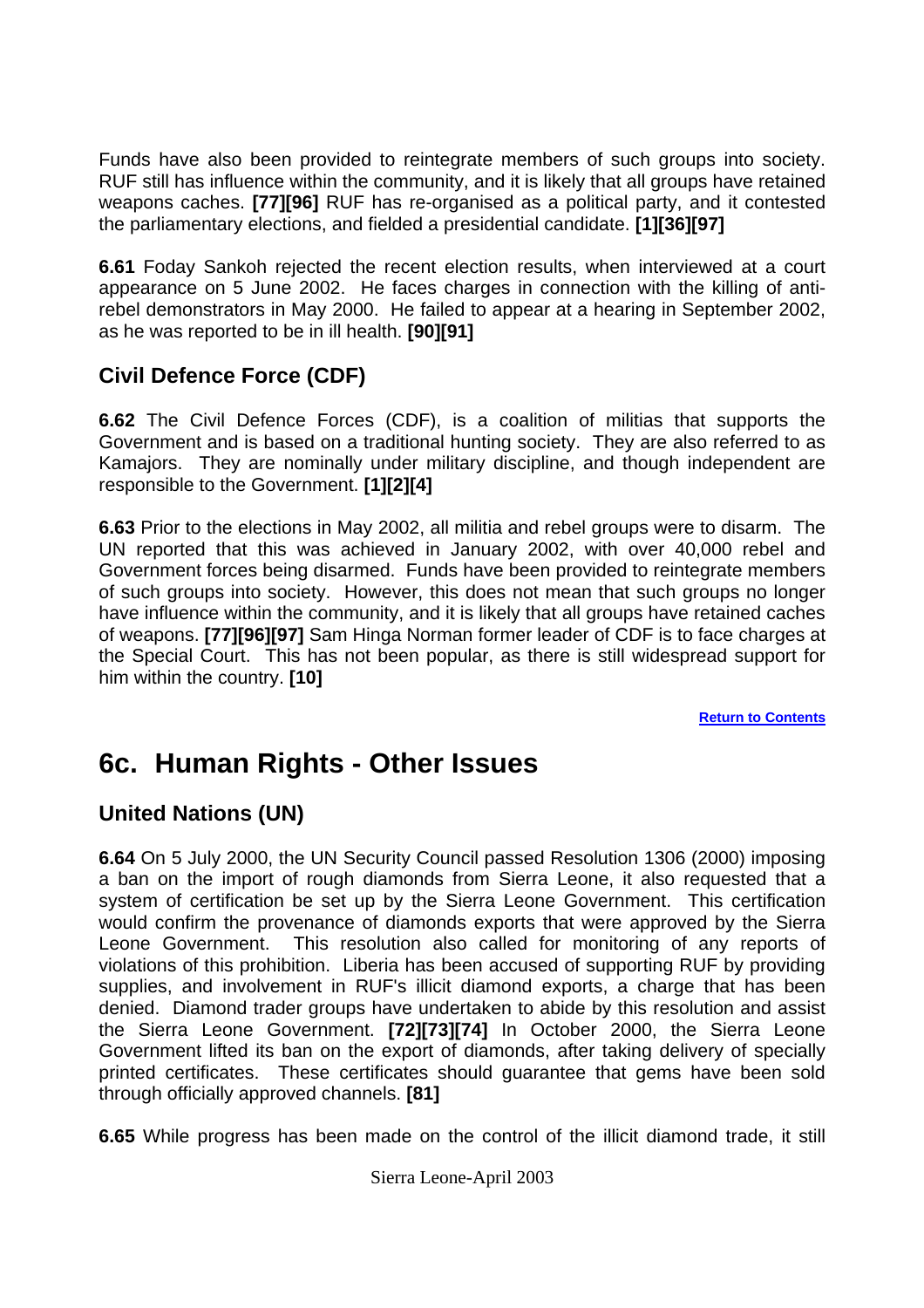<span id="page-23-0"></span>Funds have also been provided to reintegrate members of such groups into society. RUF still has influence within the community, and it is likely that all groups have retained weapons caches. **[77][96]** RUF has re-organised as a political party, and it contested the parliamentary elections, and fielded a presidential candidate. **[1][36][97]** 

**6.61** Foday Sankoh rejected the recent election results, when interviewed at a court appearance on 5 June 2002. He faces charges in connection with the killing of antirebel demonstrators in May 2000. He failed to appear at a hearing in September 2002, as he was reported to be in ill health. **[90][91]** 

# **Civil Defence Force (CDF)**

**6.62** The Civil Defence Forces (CDF), is a coalition of militias that supports the Government and is based on a traditional hunting society. They are also referred to as Kamajors. They are nominally under military discipline, and though independent are responsible to the Government. **[1][2][4]** 

**6.63** Prior to the elections in May 2002, all militia and rebel groups were to disarm. The UN reported that this was achieved in January 2002, with over 40,000 rebel and Government forces being disarmed. Funds have been provided to reintegrate members of such groups into society. However, this does not mean that such groups no longer have influence within the community, and it is likely that all groups have retained caches of weapons. **[77][96][97]** Sam Hinga Norman former leader of CDF is to face charges at the Special Court. This has not been popular, as there is still widespread support for him within the country. **[10]**

**[Return to Contents](#page-0-0)**

# **6c. Human Rights - Other Issues**

# **United Nations (UN)**

**6.64** On 5 July 2000, the UN Security Council passed Resolution 1306 (2000) imposing a ban on the import of rough diamonds from Sierra Leone, it also requested that a system of certification be set up by the Sierra Leone Government. This certification would confirm the provenance of diamonds exports that were approved by the Sierra Leone Government. This resolution also called for monitoring of any reports of violations of this prohibition. Liberia has been accused of supporting RUF by providing supplies, and involvement in RUF's illicit diamond exports, a charge that has been denied. Diamond trader groups have undertaken to abide by this resolution and assist the Sierra Leone Government. **[72][73][74]** In October 2000, the Sierra Leone Government lifted its ban on the export of diamonds, after taking delivery of specially printed certificates. These certificates should guarantee that gems have been sold through officially approved channels. **[81]**

**6.65** While progress has been made on the control of the illicit diamond trade, it still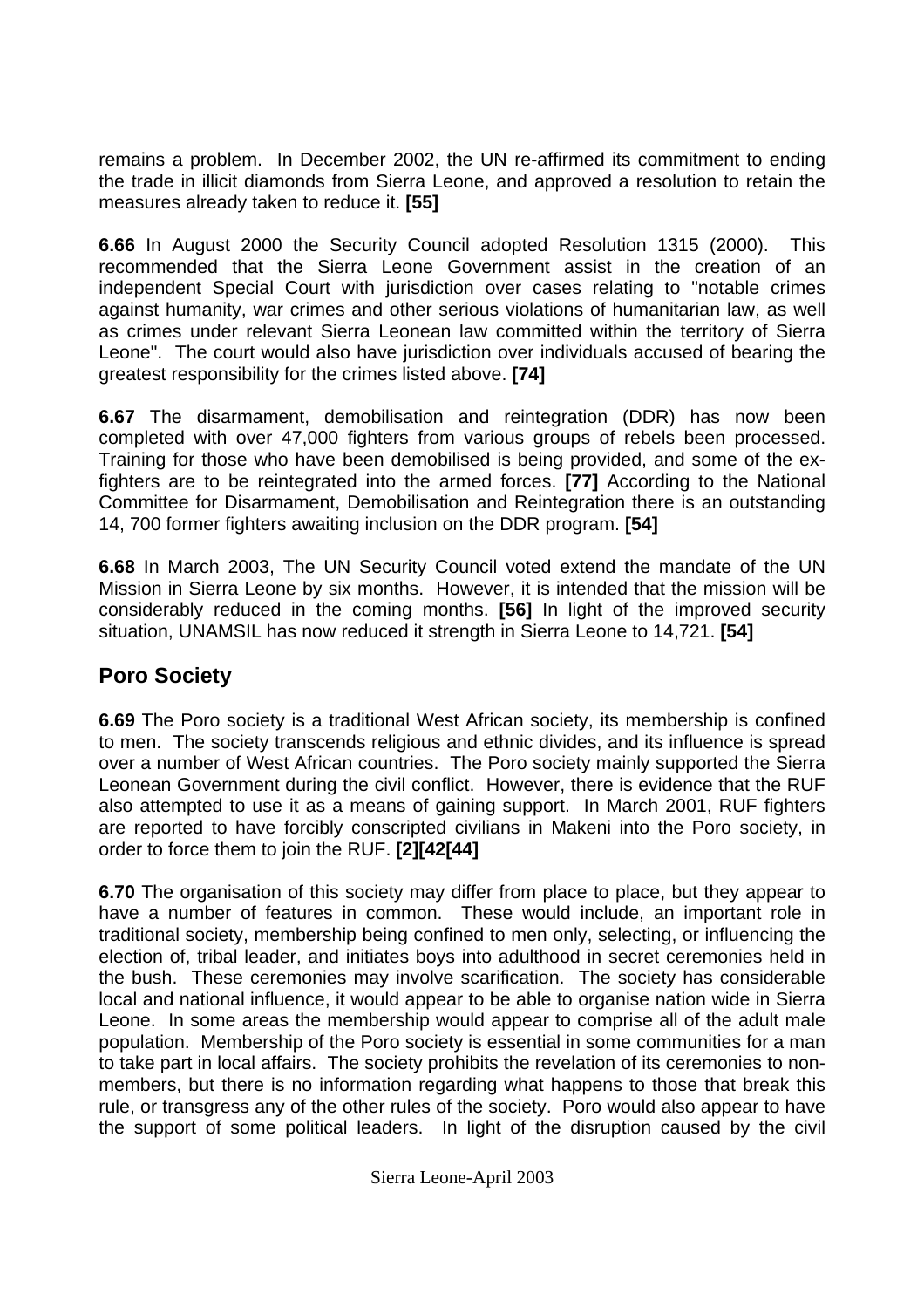<span id="page-24-0"></span>remains a problem. In December 2002, the UN re-affirmed its commitment to ending the trade in illicit diamonds from Sierra Leone, and approved a resolution to retain the measures already taken to reduce it. **[55]** 

**6.66** In August 2000 the Security Council adopted Resolution 1315 (2000). This recommended that the Sierra Leone Government assist in the creation of an independent Special Court with jurisdiction over cases relating to "notable crimes against humanity, war crimes and other serious violations of humanitarian law, as well as crimes under relevant Sierra Leonean law committed within the territory of Sierra Leone". The court would also have jurisdiction over individuals accused of bearing the greatest responsibility for the crimes listed above. **[74]** 

**6.67** The disarmament, demobilisation and reintegration (DDR) has now been completed with over 47,000 fighters from various groups of rebels been processed. Training for those who have been demobilised is being provided, and some of the exfighters are to be reintegrated into the armed forces. **[77]** According to the National Committee for Disarmament, Demobilisation and Reintegration there is an outstanding 14, 700 former fighters awaiting inclusion on the DDR program. **[54]**

**6.68** In March 2003, The UN Security Council voted extend the mandate of the UN Mission in Sierra Leone by six months. However, it is intended that the mission will be considerably reduced in the coming months. **[56]** In light of the improved security situation, UNAMSIL has now reduced it strength in Sierra Leone to 14,721. **[54]** 

## **Poro Society**

**6.69** The Poro society is a traditional West African society, its membership is confined to men. The society transcends religious and ethnic divides, and its influence is spread over a number of West African countries. The Poro society mainly supported the Sierra Leonean Government during the civil conflict. However, there is evidence that the RUF also attempted to use it as a means of gaining support. In March 2001, RUF fighters are reported to have forcibly conscripted civilians in Makeni into the Poro society, in order to force them to join the RUF. **[2][42[44]**

**6.70** The organisation of this society may differ from place to place, but they appear to have a number of features in common. These would include, an important role in traditional society, membership being confined to men only, selecting, or influencing the election of, tribal leader, and initiates boys into adulthood in secret ceremonies held in the bush. These ceremonies may involve scarification. The society has considerable local and national influence, it would appear to be able to organise nation wide in Sierra Leone. In some areas the membership would appear to comprise all of the adult male population. Membership of the Poro society is essential in some communities for a man to take part in local affairs. The society prohibits the revelation of its ceremonies to nonmembers, but there is no information regarding what happens to those that break this rule, or transgress any of the other rules of the society. Poro would also appear to have the support of some political leaders. In light of the disruption caused by the civil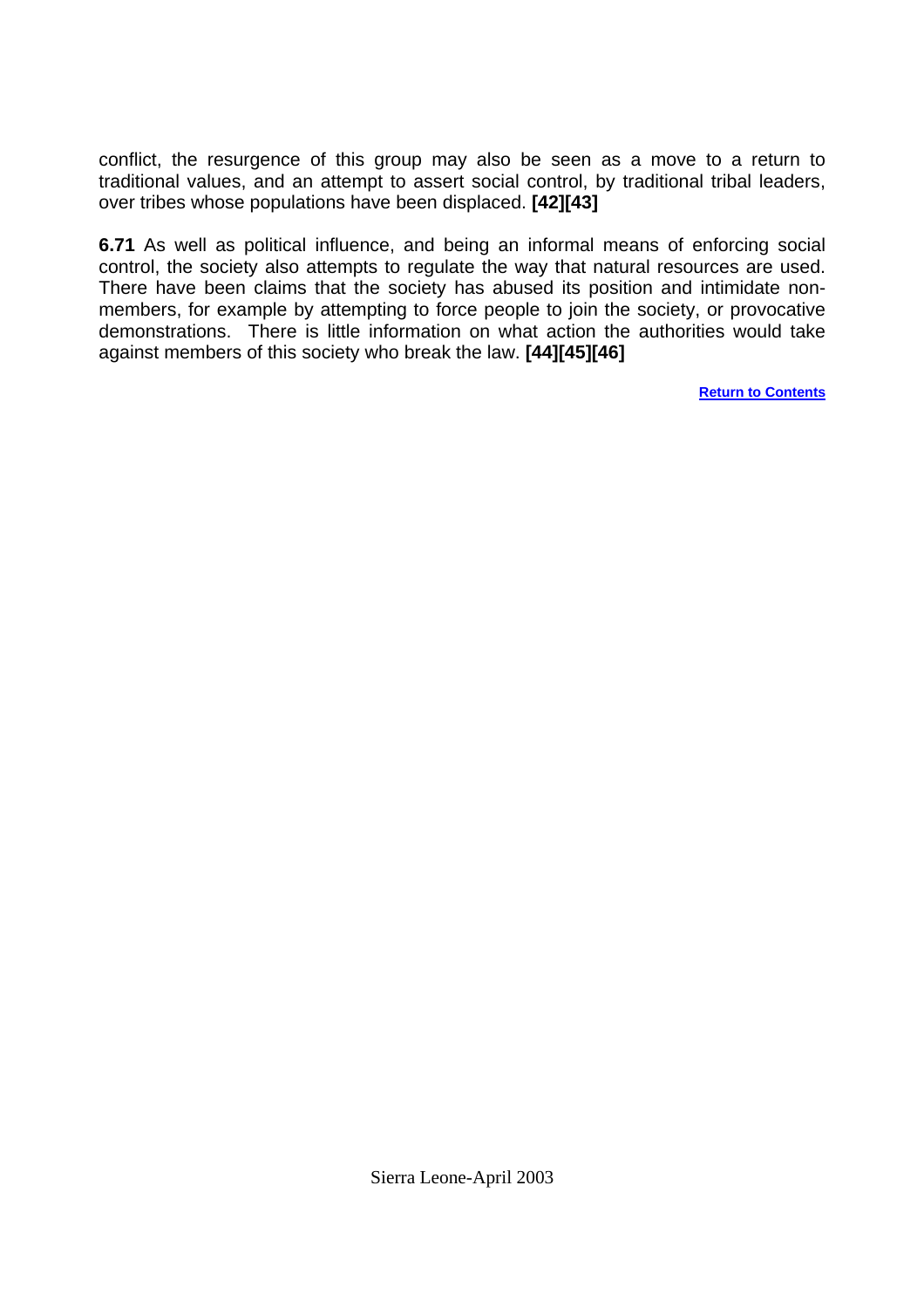conflict, the resurgence of this group may also be seen as a move to a return to traditional values, and an attempt to assert social control, by traditional tribal leaders, over tribes whose populations have been displaced. **[42][43]**

**6.71** As well as political influence, and being an informal means of enforcing social control, the society also attempts to regulate the way that natural resources are used. There have been claims that the society has abused its position and intimidate nonmembers, for example by attempting to force people to join the society, or provocative demonstrations. There is little information on what action the authorities would take against members of this society who break the law. **[44][45][46]** 

**[Return to Contents](#page-0-0)**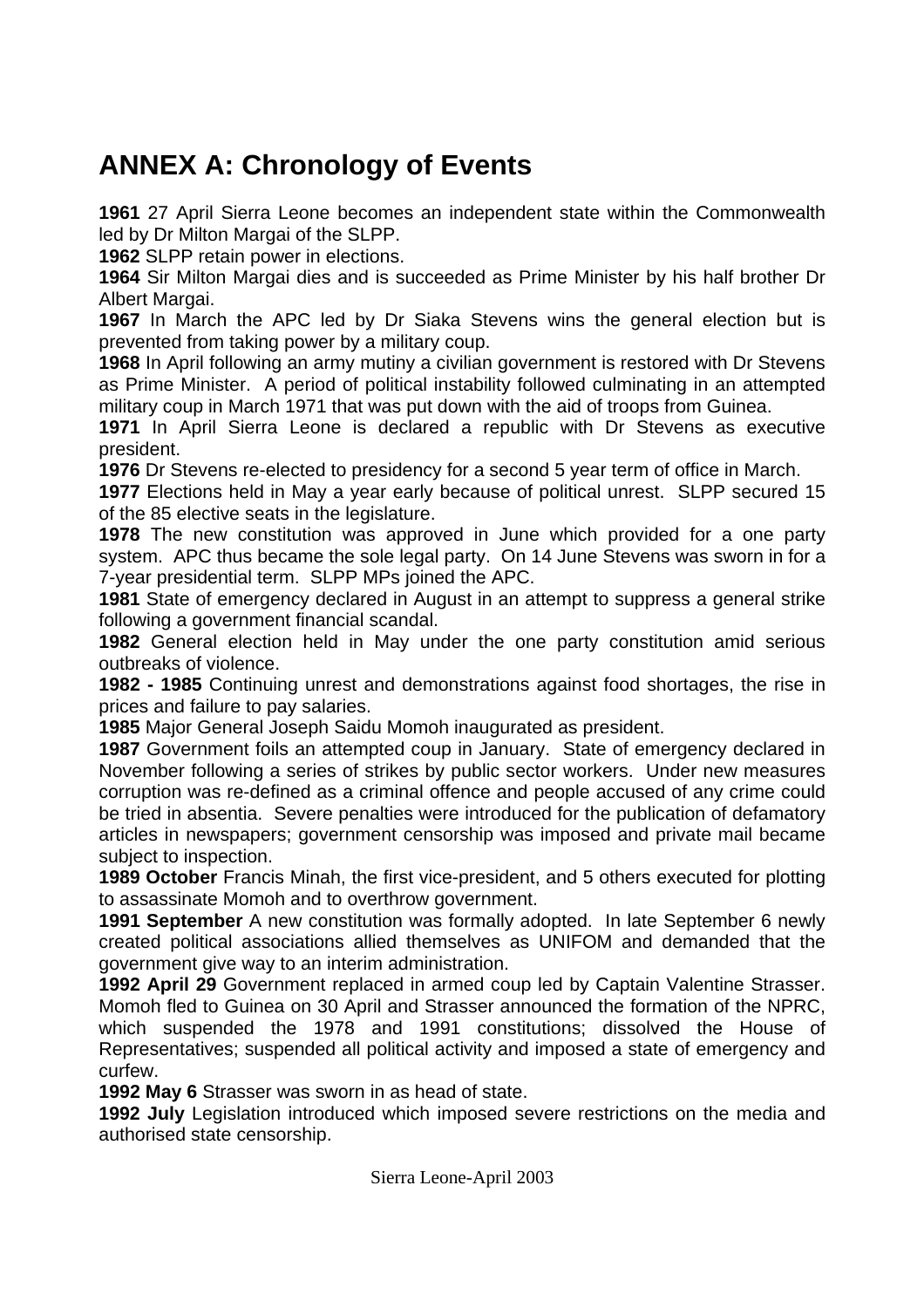# <span id="page-26-0"></span>**ANNEX A: Chronology of Events**

**1961** 27 April Sierra Leone becomes an independent state within the Commonwealth led by Dr Milton Margai of the SLPP.

**1962** SLPP retain power in elections.

**1964** Sir Milton Margai dies and is succeeded as Prime Minister by his half brother Dr Albert Margai.

**1967** In March the APC led by Dr Siaka Stevens wins the general election but is prevented from taking power by a military coup.

**1968** In April following an army mutiny a civilian government is restored with Dr Stevens as Prime Minister. A period of political instability followed culminating in an attempted military coup in March 1971 that was put down with the aid of troops from Guinea.

**1971** In April Sierra Leone is declared a republic with Dr Stevens as executive president.

**1976** Dr Stevens re-elected to presidency for a second 5 year term of office in March.

**1977** Elections held in May a year early because of political unrest. SLPP secured 15 of the 85 elective seats in the legislature.

**1978** The new constitution was approved in June which provided for a one party system. APC thus became the sole legal party. On 14 June Stevens was sworn in for a 7-year presidential term. SLPP MPs joined the APC.

**1981** State of emergency declared in August in an attempt to suppress a general strike following a government financial scandal.

**1982** General election held in May under the one party constitution amid serious outbreaks of violence.

**1982 - 1985** Continuing unrest and demonstrations against food shortages, the rise in prices and failure to pay salaries.

**1985** Major General Joseph Saidu Momoh inaugurated as president.

**1987** Government foils an attempted coup in January. State of emergency declared in November following a series of strikes by public sector workers. Under new measures corruption was re-defined as a criminal offence and people accused of any crime could be tried in absentia. Severe penalties were introduced for the publication of defamatory articles in newspapers; government censorship was imposed and private mail became subject to inspection.

**1989 October** Francis Minah, the first vice-president, and 5 others executed for plotting to assassinate Momoh and to overthrow government.

**1991 September** A new constitution was formally adopted. In late September 6 newly created political associations allied themselves as UNIFOM and demanded that the government give way to an interim administration.

**1992 April 29** Government replaced in armed coup led by Captain Valentine Strasser. Momoh fled to Guinea on 30 April and Strasser announced the formation of the NPRC, which suspended the 1978 and 1991 constitutions; dissolved the House of Representatives; suspended all political activity and imposed a state of emergency and curfew.

**1992 May 6** Strasser was sworn in as head of state.

**1992 July** Legislation introduced which imposed severe restrictions on the media and authorised state censorship.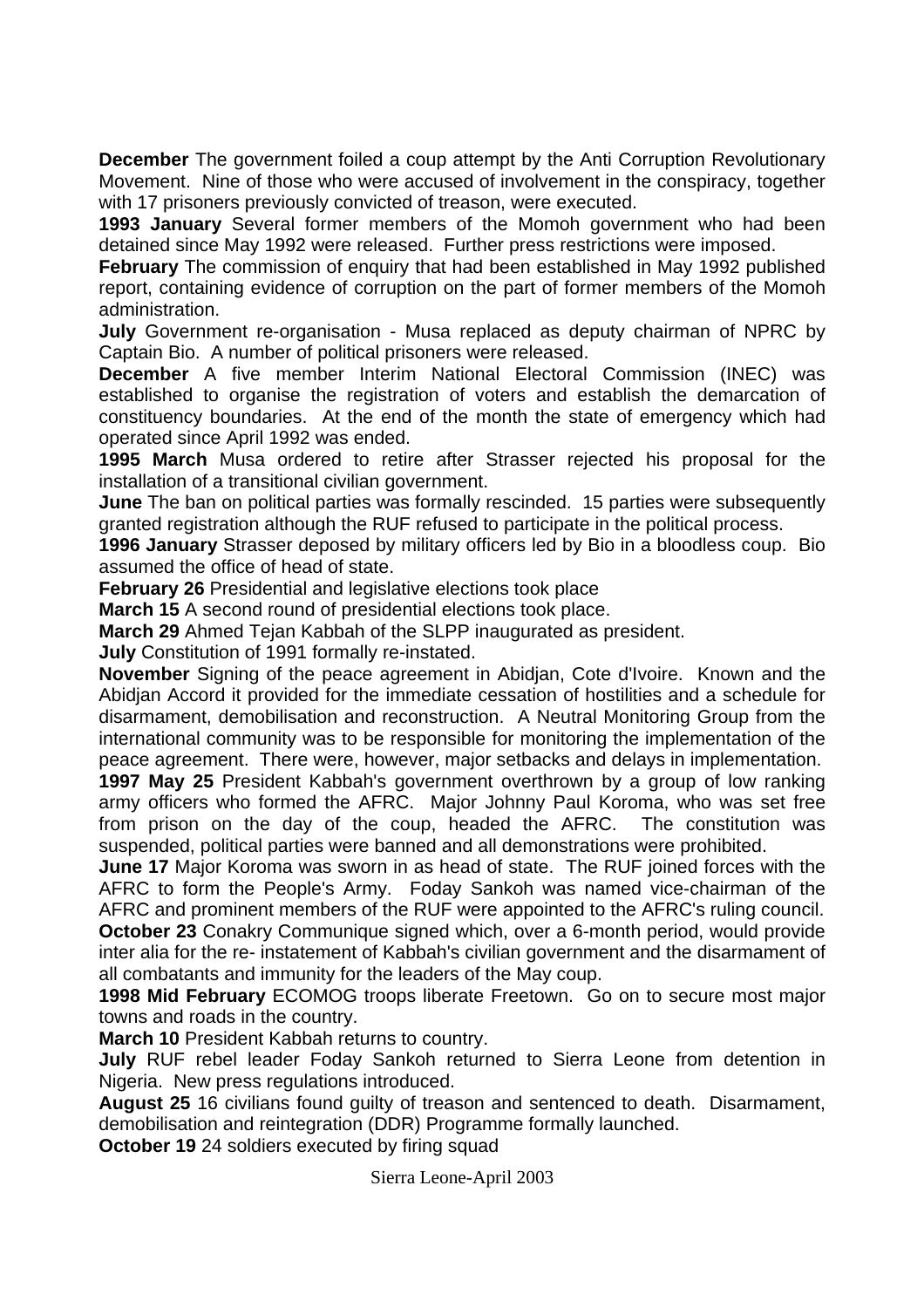**December** The government foiled a coup attempt by the Anti Corruption Revolutionary Movement. Nine of those who were accused of involvement in the conspiracy, together with 17 prisoners previously convicted of treason, were executed.

**1993 January** Several former members of the Momoh government who had been detained since May 1992 were released. Further press restrictions were imposed.

**February** The commission of enquiry that had been established in May 1992 published report, containing evidence of corruption on the part of former members of the Momoh administration.

**July** Government re-organisation - Musa replaced as deputy chairman of NPRC by Captain Bio. A number of political prisoners were released.

**December** A five member Interim National Electoral Commission (INEC) was established to organise the registration of voters and establish the demarcation of constituency boundaries. At the end of the month the state of emergency which had operated since April 1992 was ended.

**1995 March** Musa ordered to retire after Strasser rejected his proposal for the installation of a transitional civilian government.

**June** The ban on political parties was formally rescinded. 15 parties were subsequently granted registration although the RUF refused to participate in the political process.

**1996 January** Strasser deposed by military officers led by Bio in a bloodless coup. Bio assumed the office of head of state.

**February 26** Presidential and legislative elections took place

**March 15** A second round of presidential elections took place.

**March 29** Ahmed Tejan Kabbah of the SLPP inaugurated as president.

**July** Constitution of 1991 formally re-instated.

**November** Signing of the peace agreement in Abidjan, Cote d'Ivoire. Known and the Abidjan Accord it provided for the immediate cessation of hostilities and a schedule for disarmament, demobilisation and reconstruction. A Neutral Monitoring Group from the international community was to be responsible for monitoring the implementation of the peace agreement. There were, however, major setbacks and delays in implementation.

**1997 May 25** President Kabbah's government overthrown by a group of low ranking army officers who formed the AFRC. Major Johnny Paul Koroma, who was set free from prison on the day of the coup, headed the AFRC. The constitution was suspended, political parties were banned and all demonstrations were prohibited.

**June 17** Major Koroma was sworn in as head of state. The RUF joined forces with the AFRC to form the People's Army. Foday Sankoh was named vice-chairman of the AFRC and prominent members of the RUF were appointed to the AFRC's ruling council. **October 23** Conakry Communique signed which, over a 6-month period, would provide inter alia for the re- instatement of Kabbah's civilian government and the disarmament of all combatants and immunity for the leaders of the May coup.

**1998 Mid February** ECOMOG troops liberate Freetown. Go on to secure most major towns and roads in the country.

**March 10** President Kabbah returns to country.

**July** RUF rebel leader Foday Sankoh returned to Sierra Leone from detention in Nigeria. New press regulations introduced.

**August 25** 16 civilians found guilty of treason and sentenced to death. Disarmament, demobilisation and reintegration (DDR) Programme formally launched.

**October 19** 24 soldiers executed by firing squad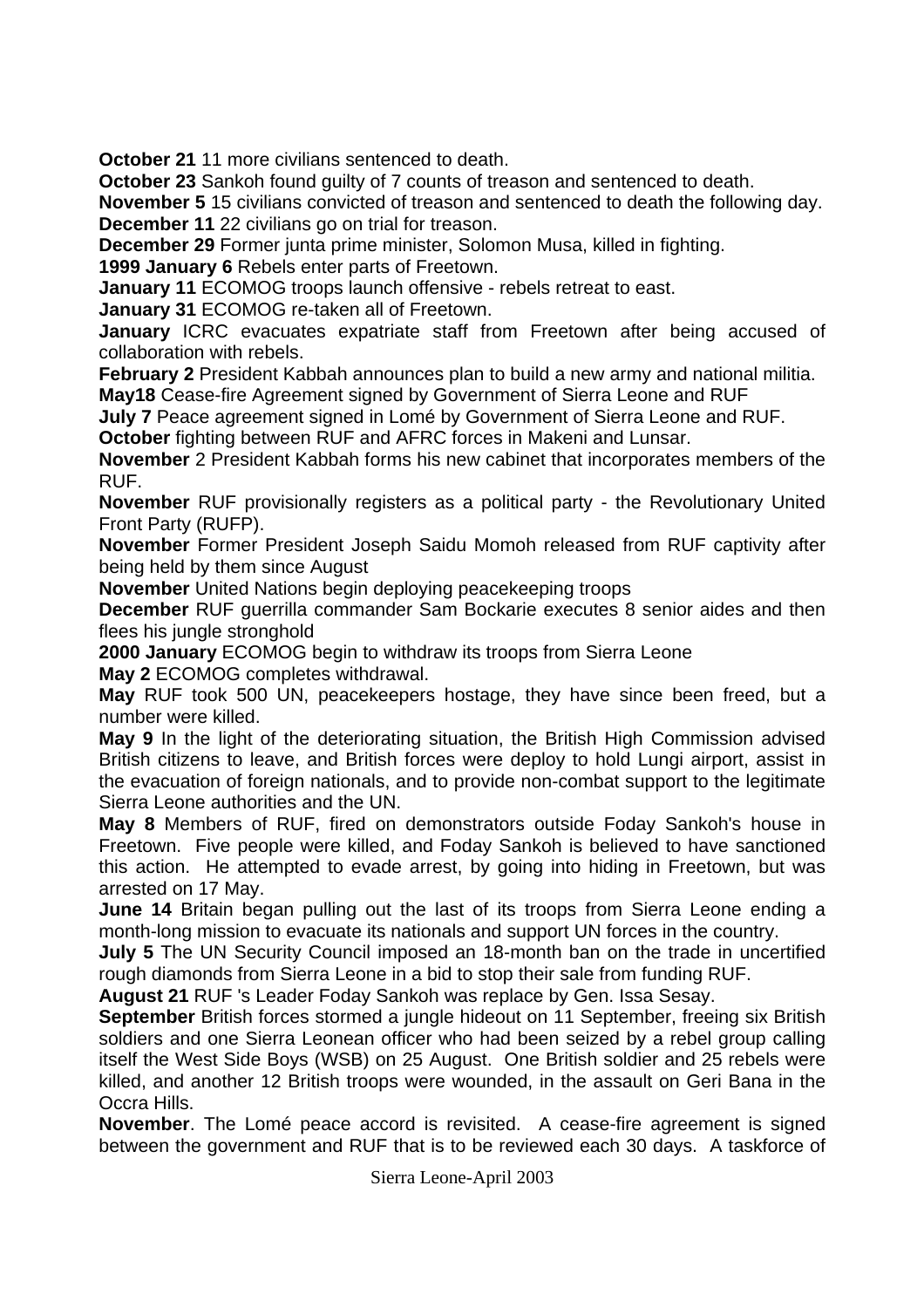**October 21** 11 more civilians sentenced to death.

**October 23** Sankoh found guilty of 7 counts of treason and sentenced to death.

**November 5** 15 civilians convicted of treason and sentenced to death the following day. **December 11** 22 civilians go on trial for treason.

**December 29** Former junta prime minister, Solomon Musa, killed in fighting.

**1999 January 6** Rebels enter parts of Freetown.

**January 11** ECOMOG troops launch offensive - rebels retreat to east.

**January 31** ECOMOG re-taken all of Freetown.

**January** ICRC evacuates expatriate staff from Freetown after being accused of collaboration with rebels.

**February 2** President Kabbah announces plan to build a new army and national militia.

**May18** Cease-fire Agreement signed by Government of Sierra Leone and RUF

**July 7** Peace agreement signed in Lomé by Government of Sierra Leone and RUF.

**October** fighting between RUF and AFRC forces in Makeni and Lunsar.

**November** 2 President Kabbah forms his new cabinet that incorporates members of the RUF.

**November** RUF provisionally registers as a political party - the Revolutionary United Front Party (RUFP).

**November** Former President Joseph Saidu Momoh released from RUF captivity after being held by them since August

**November** United Nations begin deploying peacekeeping troops

**December** RUF guerrilla commander Sam Bockarie executes 8 senior aides and then flees his jungle stronghold

**2000 January** ECOMOG begin to withdraw its troops from Sierra Leone

**May 2** ECOMOG completes withdrawal.

**May** RUF took 500 UN, peacekeepers hostage, they have since been freed, but a number were killed.

**May 9** In the light of the deteriorating situation, the British High Commission advised British citizens to leave, and British forces were deploy to hold Lungi airport, assist in the evacuation of foreign nationals, and to provide non-combat support to the legitimate Sierra Leone authorities and the UN.

**May 8** Members of RUF, fired on demonstrators outside Foday Sankoh's house in Freetown. Five people were killed, and Foday Sankoh is believed to have sanctioned this action. He attempted to evade arrest, by going into hiding in Freetown, but was arrested on 17 May.

**June 14** Britain began pulling out the last of its troops from Sierra Leone ending a month-long mission to evacuate its nationals and support UN forces in the country.

**July 5** The UN Security Council imposed an 18-month ban on the trade in uncertified rough diamonds from Sierra Leone in a bid to stop their sale from funding RUF.

**August 21** RUF 's Leader Foday Sankoh was replace by Gen. Issa Sesay.

**September** British forces stormed a jungle hideout on 11 September, freeing six British soldiers and one Sierra Leonean officer who had been seized by a rebel group calling itself the West Side Boys (WSB) on 25 August. One British soldier and 25 rebels were killed, and another 12 British troops were wounded, in the assault on Geri Bana in the Occra Hills.

**November**. The Lomé peace accord is revisited. A cease-fire agreement is signed between the government and RUF that is to be reviewed each 30 days. A taskforce of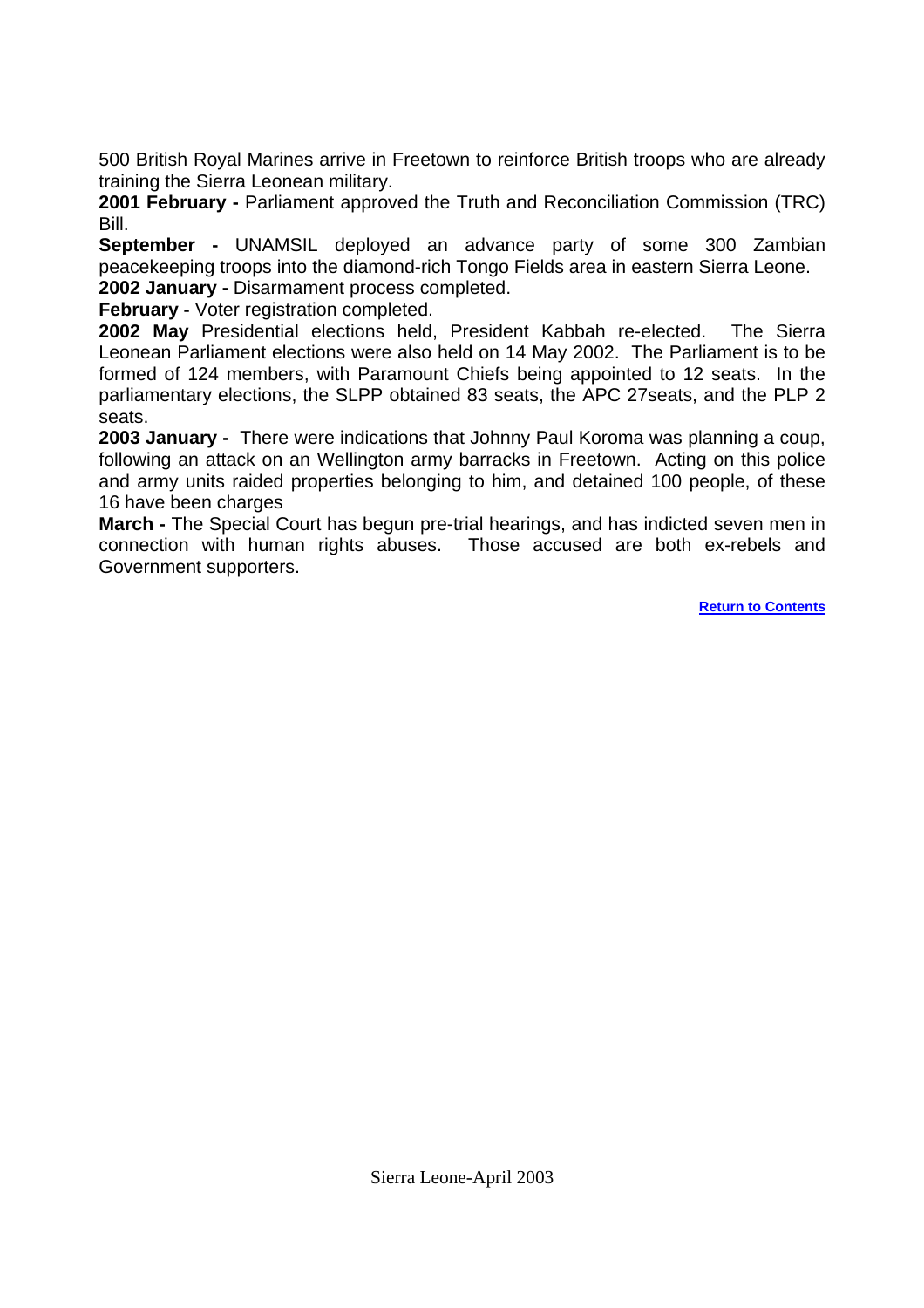500 British Royal Marines arrive in Freetown to reinforce British troops who are already training the Sierra Leonean military.

2001 February - Parliament approved the Truth and Reconciliation Commission (TRC) Bill.

**September -** UNAMSIL deployed an advance party of some 300 Zambian peacekeeping troops into the diamond-rich Tongo Fields area in eastern Sierra Leone. **2002 January -** Disarmament process completed.

**February -** Voter registration completed.

**2002 May** Presidential elections held, President Kabbah re-elected. The Sierra Leonean Parliament elections were also held on 14 May 2002. The Parliament is to be formed of 124 members, with Paramount Chiefs being appointed to 12 seats. In the parliamentary elections, the SLPP obtained 83 seats, the APC 27seats, and the PLP 2 seats.

**2003 January -** There were indications that Johnny Paul Koroma was planning a coup, following an attack on an Wellington army barracks in Freetown. Acting on this police and army units raided properties belonging to him, and detained 100 people, of these 16 have been charges

**March -** The Special Court has begun pre-trial hearings, and has indicted seven men in connection with human rights abuses. Those accused are both ex-rebels and Government supporters.

**[Return to Contents](#page-0-0)**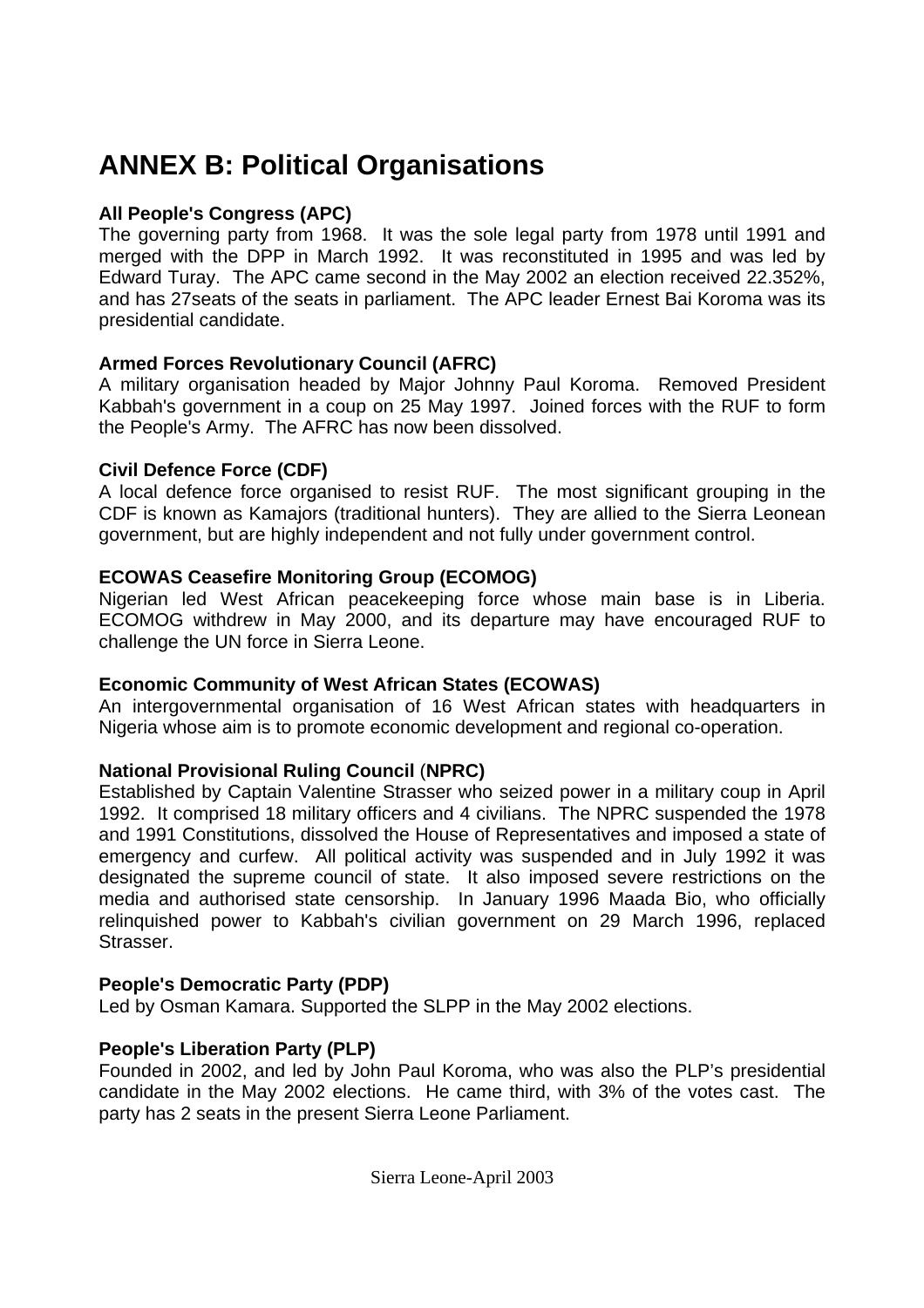# <span id="page-30-0"></span>**ANNEX B: Political Organisations**

### **All People's Congress (APC)**

The governing party from 1968. It was the sole legal party from 1978 until 1991 and merged with the DPP in March 1992. It was reconstituted in 1995 and was led by Edward Turay. The APC came second in the May 2002 an election received 22.352%, and has 27seats of the seats in parliament. The APC leader Ernest Bai Koroma was its presidential candidate.

### **Armed Forces Revolutionary Council (AFRC)**

A military organisation headed by Major Johnny Paul Koroma. Removed President Kabbah's government in a coup on 25 May 1997. Joined forces with the RUF to form the People's Army. The AFRC has now been dissolved.

### **Civil Defence Force (CDF)**

A local defence force organised to resist RUF. The most significant grouping in the CDF is known as Kamajors (traditional hunters). They are allied to the Sierra Leonean government, but are highly independent and not fully under government control.

### **ECOWAS Ceasefire Monitoring Group (ECOMOG)**

Nigerian led West African peacekeeping force whose main base is in Liberia. ECOMOG withdrew in May 2000, and its departure may have encouraged RUF to challenge the UN force in Sierra Leone.

### **Economic Community of West African States (ECOWAS)**

An intergovernmental organisation of 16 West African states with headquarters in Nigeria whose aim is to promote economic development and regional co-operation.

### **National Provisional Ruling Council** (**NPRC)**

Established by Captain Valentine Strasser who seized power in a military coup in April 1992. It comprised 18 military officers and 4 civilians. The NPRC suspended the 1978 and 1991 Constitutions, dissolved the House of Representatives and imposed a state of emergency and curfew. All political activity was suspended and in July 1992 it was designated the supreme council of state. It also imposed severe restrictions on the media and authorised state censorship. In January 1996 Maada Bio, who officially relinquished power to Kabbah's civilian government on 29 March 1996, replaced Strasser.

### **People's Democratic Party (PDP)**

Led by Osman Kamara. Supported the SLPP in the May 2002 elections.

### **People's Liberation Party (PLP)**

Founded in 2002, and led by John Paul Koroma, who was also the PLP's presidential candidate in the May 2002 elections. He came third, with 3% of the votes cast. The party has 2 seats in the present Sierra Leone Parliament.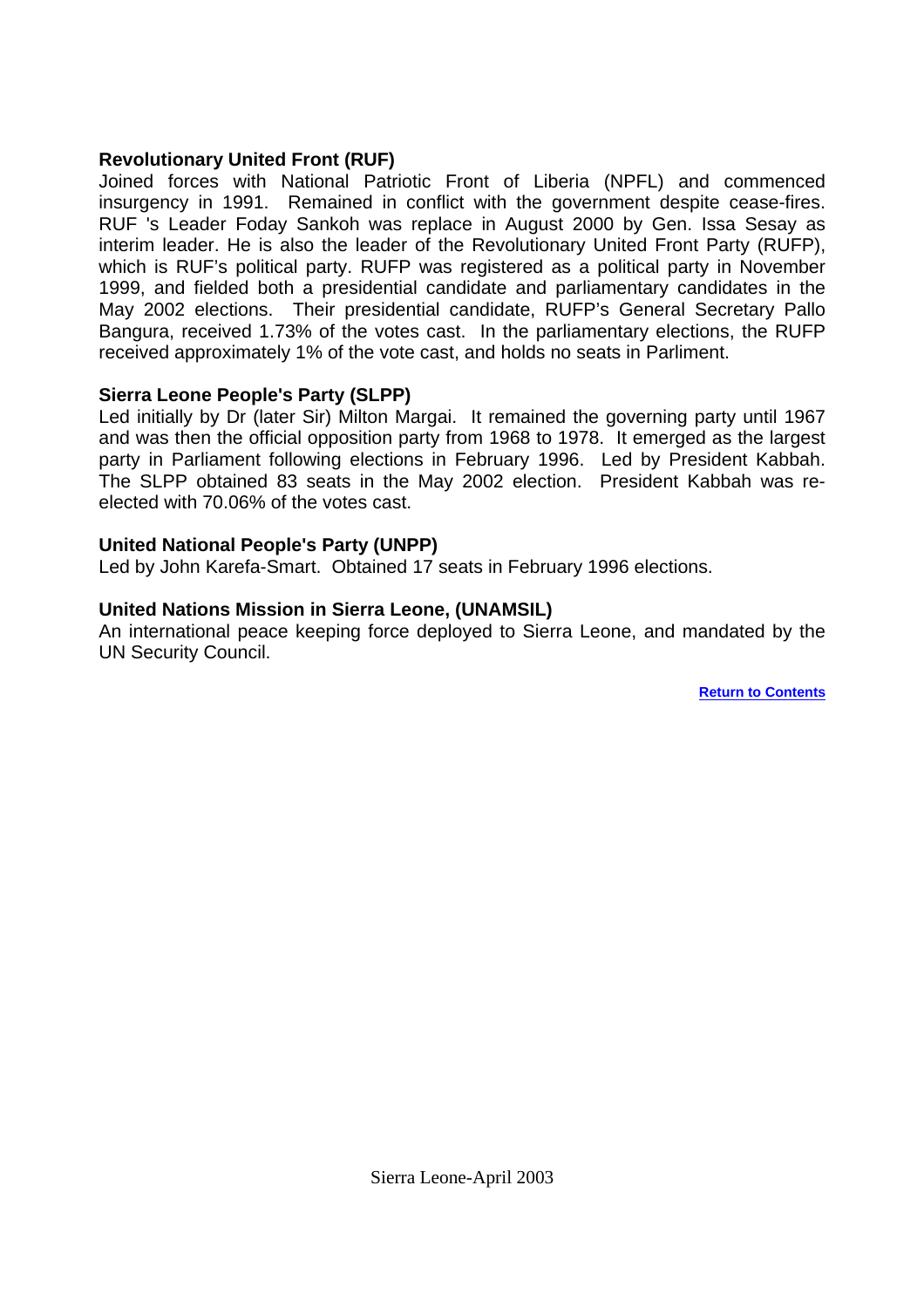#### **Revolutionary United Front (RUF)**

Joined forces with National Patriotic Front of Liberia (NPFL) and commenced insurgency in 1991. Remained in conflict with the government despite cease-fires. RUF 's Leader Foday Sankoh was replace in August 2000 by Gen. Issa Sesay as interim leader. He is also the leader of the Revolutionary United Front Party (RUFP), which is RUF's political party. RUFP was registered as a political party in November 1999, and fielded both a presidential candidate and parliamentary candidates in the May 2002 elections. Their presidential candidate, RUFP's General Secretary Pallo Bangura, received 1.73% of the votes cast. In the parliamentary elections, the RUFP received approximately 1% of the vote cast, and holds no seats in Parliment.

#### **Sierra Leone People's Party (SLPP)**

Led initially by Dr (later Sir) Milton Margai. It remained the governing party until 1967 and was then the official opposition party from 1968 to 1978. It emerged as the largest party in Parliament following elections in February 1996. Led by President Kabbah. The SLPP obtained 83 seats in the May 2002 election. President Kabbah was reelected with 70.06% of the votes cast.

#### **United National People's Party (UNPP)**

Led by John Karefa-Smart. Obtained 17 seats in February 1996 elections.

#### **United Nations Mission in Sierra Leone, (UNAMSIL)**

An international peace keeping force deployed to Sierra Leone, and mandated by the UN Security Council.

**[Return to Contents](#page-0-0)**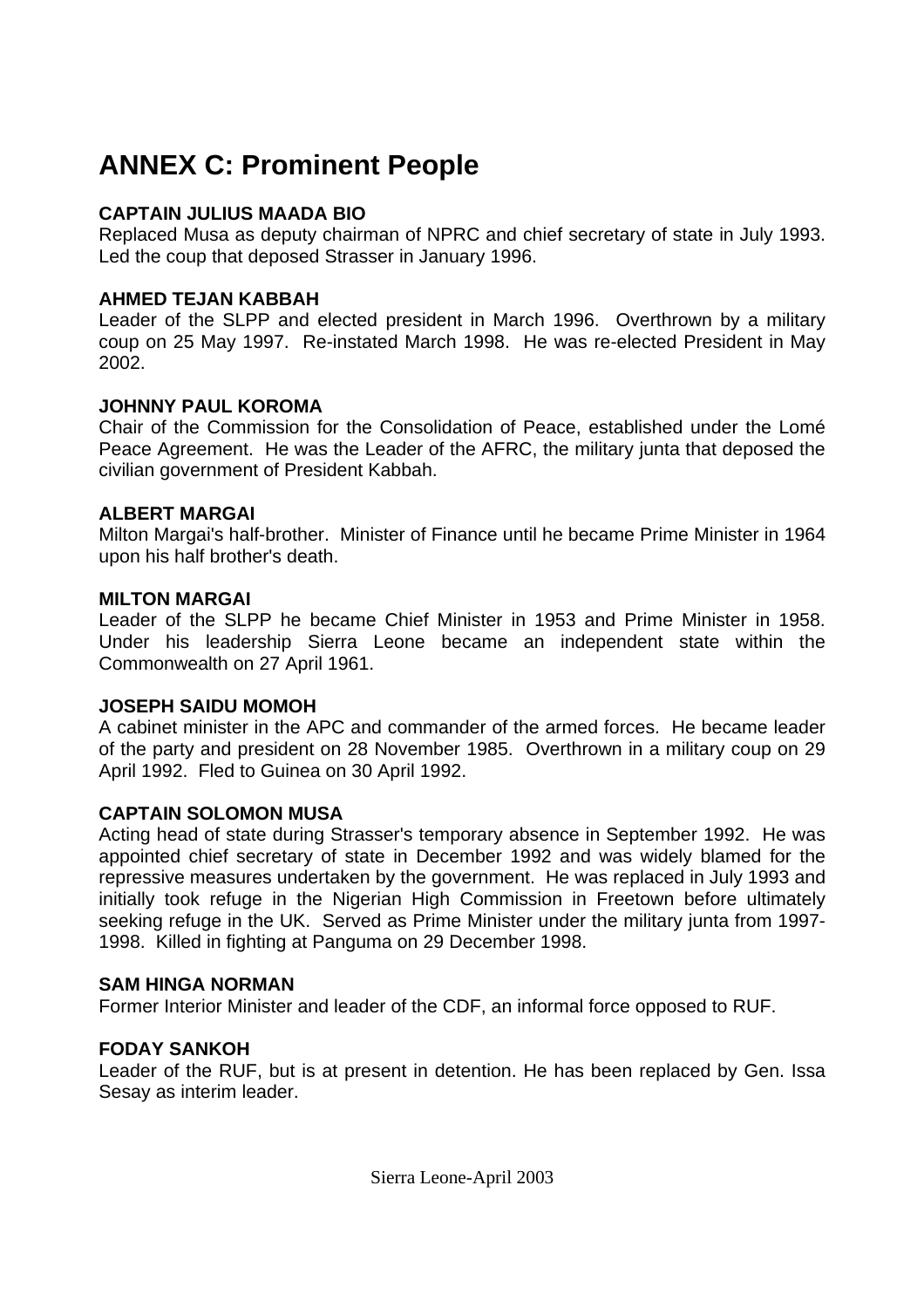# <span id="page-32-0"></span>**ANNEX C: Prominent People**

#### **CAPTAIN JULIUS MAADA BIO**

Replaced Musa as deputy chairman of NPRC and chief secretary of state in July 1993. Led the coup that deposed Strasser in January 1996.

#### **AHMED TEJAN KABBAH**

Leader of the SLPP and elected president in March 1996. Overthrown by a military coup on 25 May 1997. Re-instated March 1998. He was re-elected President in May 2002.

### **JOHNNY PAUL KOROMA**

Chair of the Commission for the Consolidation of Peace, established under the Lomé Peace Agreement. He was the Leader of the AFRC, the military junta that deposed the civilian government of President Kabbah.

#### **ALBERT MARGAI**

Milton Margai's half-brother. Minister of Finance until he became Prime Minister in 1964 upon his half brother's death.

#### **MILTON MARGAI**

Leader of the SLPP he became Chief Minister in 1953 and Prime Minister in 1958. Under his leadership Sierra Leone became an independent state within the Commonwealth on 27 April 1961.

#### **JOSEPH SAIDU MOMOH**

A cabinet minister in the APC and commander of the armed forces. He became leader of the party and president on 28 November 1985. Overthrown in a military coup on 29 April 1992. Fled to Guinea on 30 April 1992.

#### **CAPTAIN SOLOMON MUSA**

Acting head of state during Strasser's temporary absence in September 1992. He was appointed chief secretary of state in December 1992 and was widely blamed for the repressive measures undertaken by the government. He was replaced in July 1993 and initially took refuge in the Nigerian High Commission in Freetown before ultimately seeking refuge in the UK. Served as Prime Minister under the military junta from 1997- 1998. Killed in fighting at Panguma on 29 December 1998.

#### **SAM HINGA NORMAN**

Former Interior Minister and leader of the CDF, an informal force opposed to RUF.

### **FODAY SANKOH**

Leader of the RUF, but is at present in detention. He has been replaced by Gen. Issa Sesay as interim leader.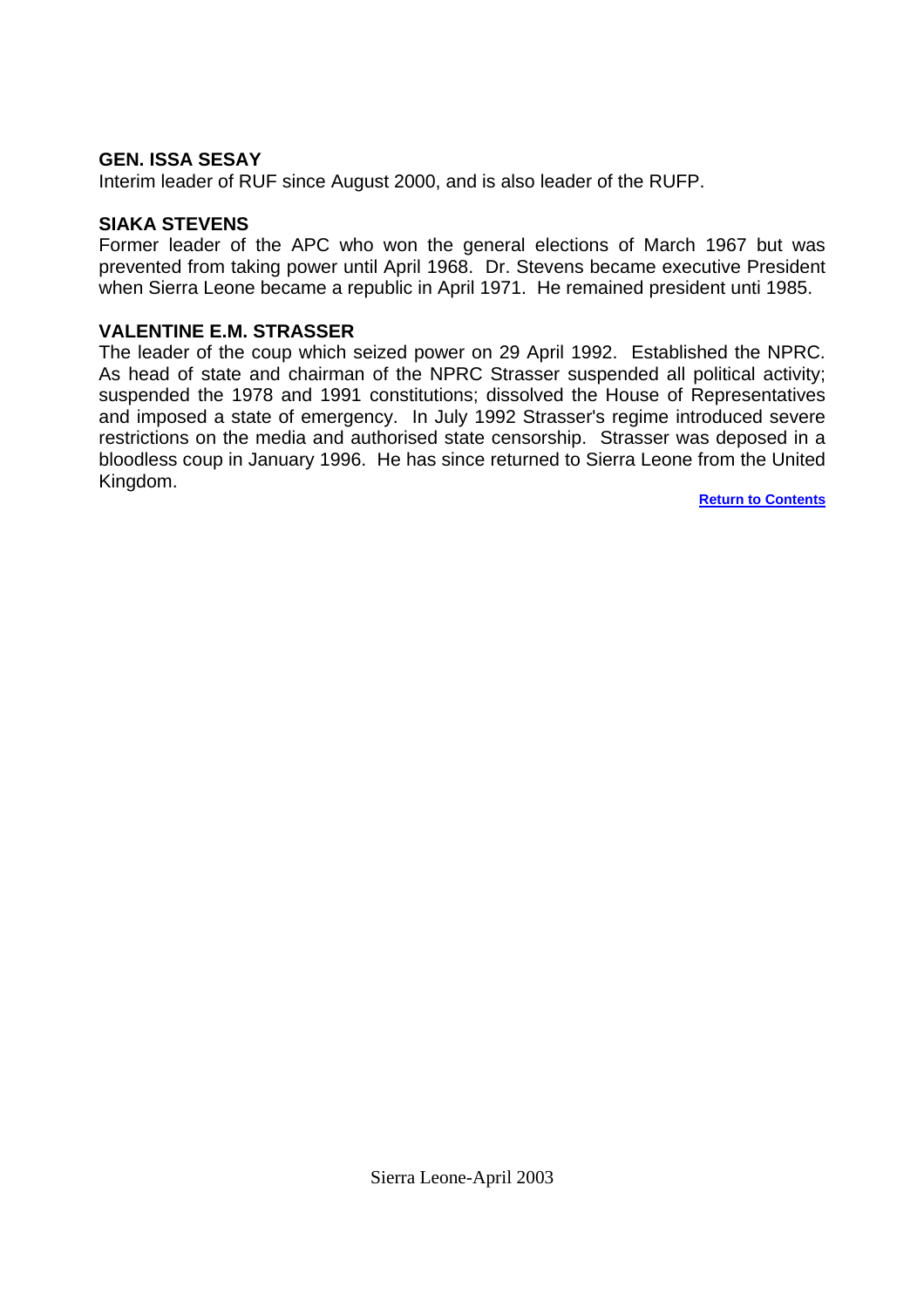#### **GEN. ISSA SESAY**

Interim leader of RUF since August 2000, and is also leader of the RUFP.

#### **SIAKA STEVENS**

Former leader of the APC who won the general elections of March 1967 but was prevented from taking power until April 1968. Dr. Stevens became executive President when Sierra Leone became a republic in April 1971. He remained president unti 1985.

#### **VALENTINE E.M. STRASSER**

The leader of the coup which seized power on 29 April 1992. Established the NPRC. As head of state and chairman of the NPRC Strasser suspended all political activity; suspended the 1978 and 1991 constitutions; dissolved the House of Representatives and imposed a state of emergency. In July 1992 Strasser's regime introduced severe restrictions on the media and authorised state censorship. Strasser was deposed in a bloodless coup in January 1996. He has since returned to Sierra Leone from the United Kingdom.

**[Return to Contents](#page-0-0)**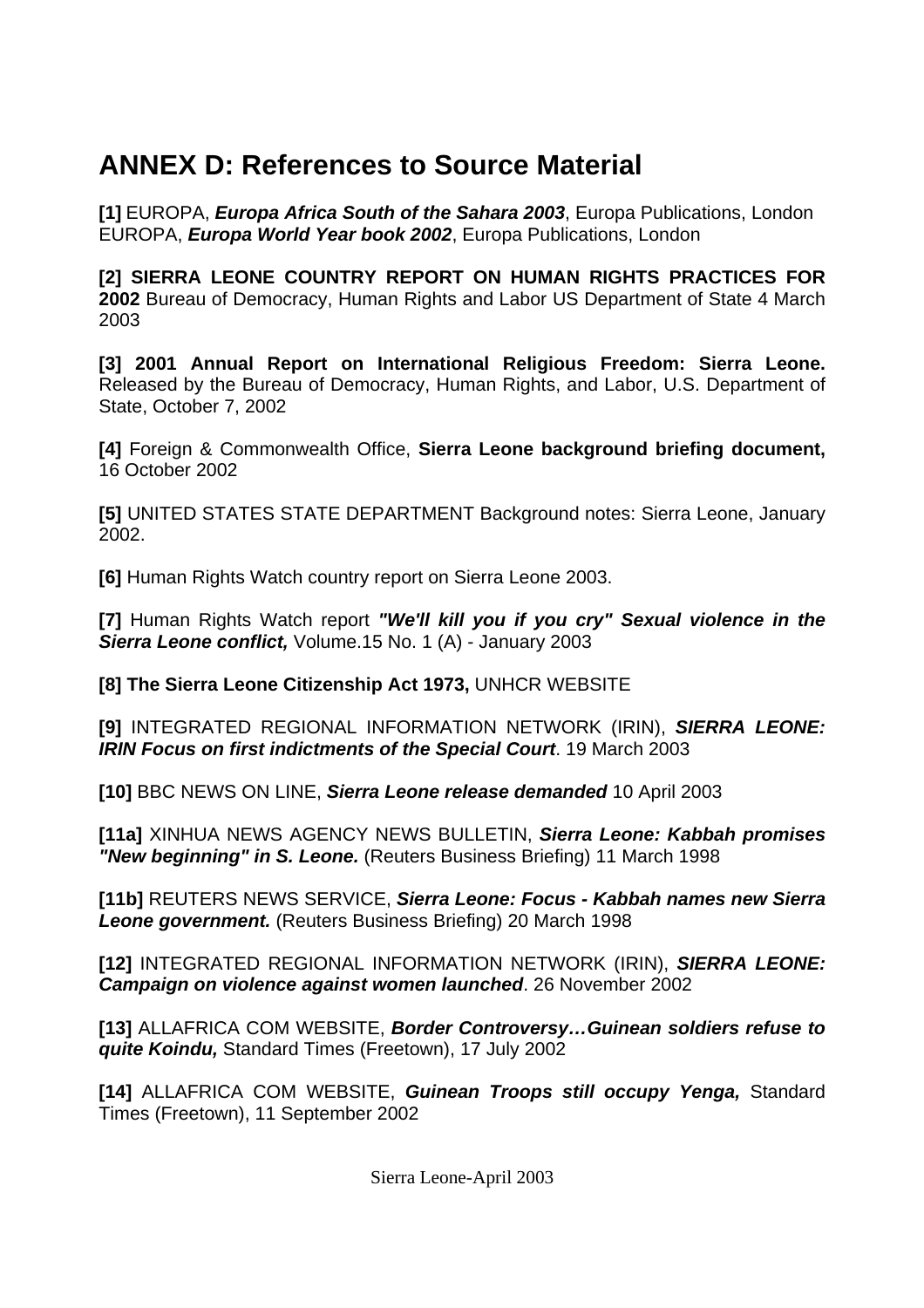# <span id="page-34-0"></span>**ANNEX D: References to Source Material**

**[1]** EUROPA, *Europa Africa South of the Sahara 2003*, Europa Publications, London EUROPA, *Europa World Year book 2002*, Europa Publications, London

**[2] SIERRA LEONE COUNTRY REPORT ON HUMAN RIGHTS PRACTICES FOR 2002** Bureau of Democracy, Human Rights and Labor US Department of State 4 March 2003

**[3] 2001 Annual Report on International Religious Freedom: Sierra Leone.**  Released by the Bureau of Democracy, Human Rights, and Labor, U.S. Department of State, October 7, 2002

**[4]** Foreign & Commonwealth Office, **Sierra Leone background briefing document,**  16 October 2002

**[5]** UNITED STATES STATE DEPARTMENT Background notes: Sierra Leone, January 2002.

**[6]** Human Rights Watch country report on Sierra Leone 2003.

**[7]** Human Rights Watch report *"We'll kill you if you cry" Sexual violence in the Sierra Leone conflict,* Volume.15 No. 1 (A) - January 2003

**[8] The Sierra Leone Citizenship Act 1973,** UNHCR WEBSITE

**[9]** INTEGRATED REGIONAL INFORMATION NETWORK (IRIN), *SIERRA LEONE: IRIN Focus on first indictments of the Special Court*. 19 March 2003

**[10]** BBC NEWS ON LINE, *Sierra Leone release demanded* 10 April 2003

**[11a]** XINHUA NEWS AGENCY NEWS BULLETIN, *Sierra Leone: Kabbah promises "New beginning" in S. Leone.* (Reuters Business Briefing) 11 March 1998

**[11b]** REUTERS NEWS SERVICE, *Sierra Leone: Focus - Kabbah names new Sierra Leone government.* (Reuters Business Briefing) 20 March 1998

**[12]** INTEGRATED REGIONAL INFORMATION NETWORK (IRIN), *SIERRA LEONE: Campaign on violence against women launched*. 26 November 2002

**[13]** ALLAFRICA COM WEBSITE, *Border Controversy…Guinean soldiers refuse to quite Koindu,* Standard Times (Freetown), 17 July 2002

**[14]** ALLAFRICA COM WEBSITE, *Guinean Troops still occupy Yenga,* Standard Times (Freetown), 11 September 2002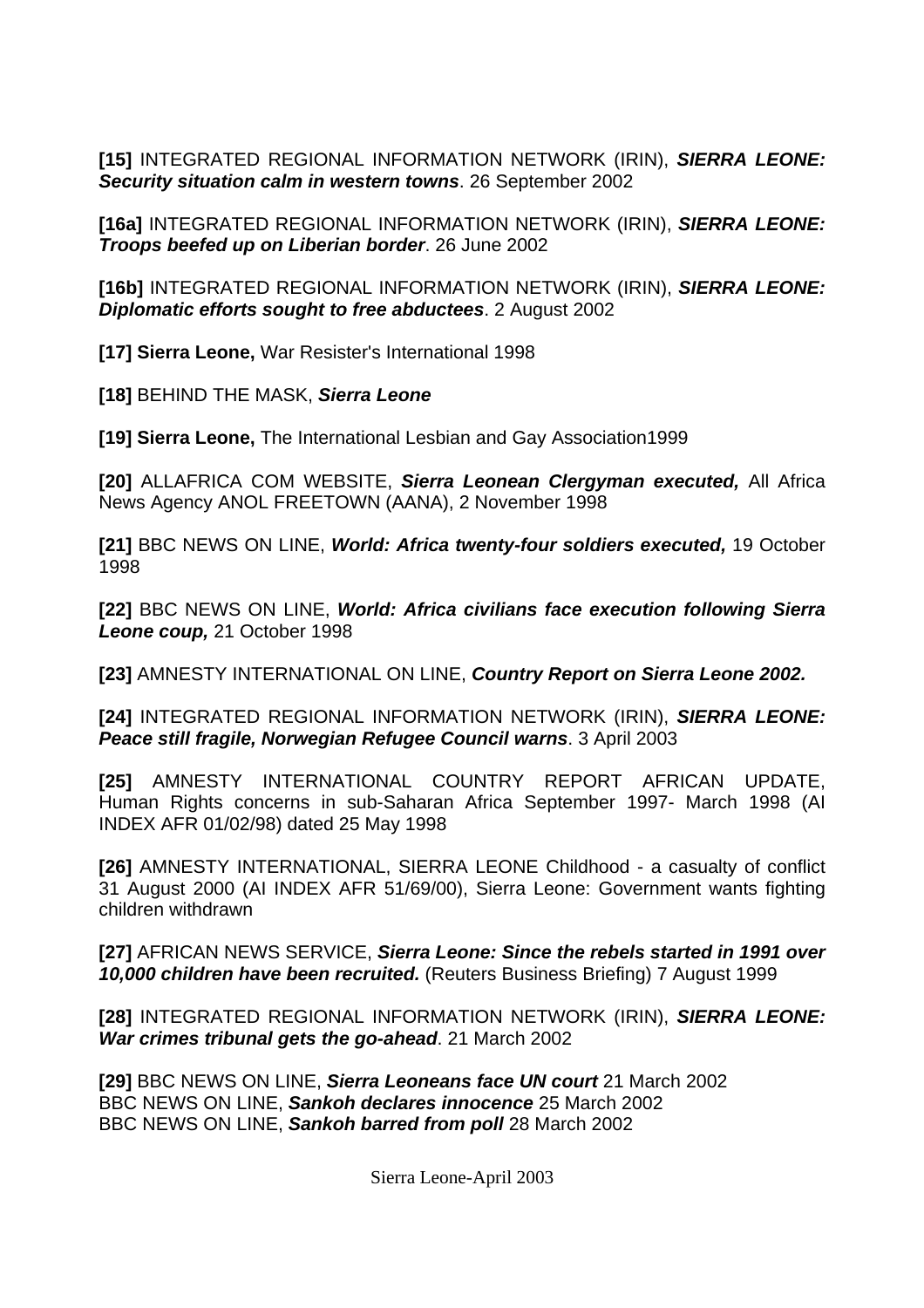**[15]** INTEGRATED REGIONAL INFORMATION NETWORK (IRIN), *SIERRA LEONE: Security situation calm in western towns*. 26 September 2002

**[16a]** INTEGRATED REGIONAL INFORMATION NETWORK (IRIN), *SIERRA LEONE: Troops beefed up on Liberian border*. 26 June 2002

**[16b]** INTEGRATED REGIONAL INFORMATION NETWORK (IRIN), *SIERRA LEONE: Diplomatic efforts sought to free abductees*. 2 August 2002

**[17] Sierra Leone,** War Resister's International 1998

**[18]** BEHIND THE MASK, *Sierra Leone* 

**[19] Sierra Leone,** The International Lesbian and Gay Association1999

**[20]** ALLAFRICA COM WEBSITE, *Sierra Leonean Clergyman executed,* All Africa News Agency ANOL FREETOWN (AANA), 2 November 1998

**[21]** BBC NEWS ON LINE, *World: Africa twenty-four soldiers executed,* 19 October 1998

**[22]** BBC NEWS ON LINE, *World: Africa civilians face execution following Sierra Leone coup,* 21 October 1998

**[23]** AMNESTY INTERNATIONAL ON LINE, *Country Report on Sierra Leone 2002.*

**[24]** INTEGRATED REGIONAL INFORMATION NETWORK (IRIN), *SIERRA LEONE: Peace still fragile, Norwegian Refugee Council warns*. 3 April 2003

**[25]** AMNESTY INTERNATIONAL COUNTRY REPORT AFRICAN UPDATE, Human Rights concerns in sub-Saharan Africa September 1997- March 1998 (AI INDEX AFR 01/02/98) dated 25 May 1998

**[26]** AMNESTY INTERNATIONAL, SIERRA LEONE Childhood - a casualty of conflict 31 August 2000 (AI INDEX AFR 51/69/00), Sierra Leone: Government wants fighting children withdrawn

**[27]** AFRICAN NEWS SERVICE, *Sierra Leone: Since the rebels started in 1991 over 10,000 children have been recruited.* (Reuters Business Briefing) 7 August 1999

**[28]** INTEGRATED REGIONAL INFORMATION NETWORK (IRIN), *SIERRA LEONE: War crimes tribunal gets the go-ahead*. 21 March 2002

**[29]** BBC NEWS ON LINE, *Sierra Leoneans face UN court* 21 March 2002 BBC NEWS ON LINE, *Sankoh declares innocence* 25 March 2002 BBC NEWS ON LINE, *Sankoh barred from poll* 28 March 2002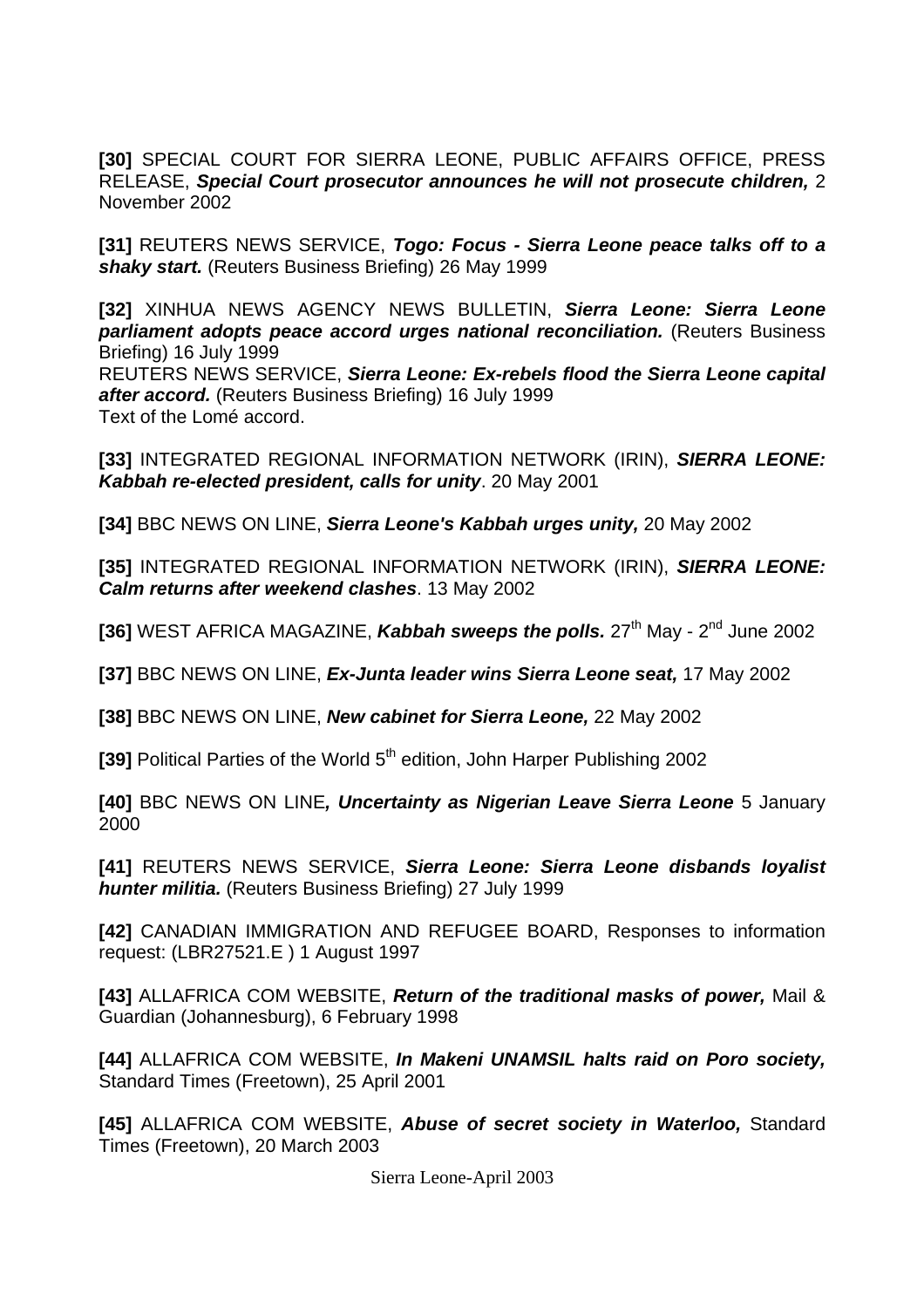**[30]** SPECIAL COURT FOR SIERRA LEONE, PUBLIC AFFAIRS OFFICE, PRESS RELEASE, *Special Court prosecutor announces he will not prosecute children,* 2 November 2002

**[31]** REUTERS NEWS SERVICE, *Togo: Focus - Sierra Leone peace talks off to a shaky start.* (Reuters Business Briefing) 26 May 1999

**[32]** XINHUA NEWS AGENCY NEWS BULLETIN, *Sierra Leone: Sierra Leone*  **parliament adopts peace accord urges national reconciliation.** (Reuters Business Briefing) 16 July 1999

REUTERS NEWS SERVICE, *Sierra Leone: Ex-rebels flood the Sierra Leone capital after accord.* (Reuters Business Briefing) 16 July 1999 Text of the Lomé accord.

**[33]** INTEGRATED REGIONAL INFORMATION NETWORK (IRIN), *SIERRA LEONE: Kabbah re-elected president, calls for unity*. 20 May 2001

**[34]** BBC NEWS ON LINE, *Sierra Leone's Kabbah urges unity,* 20 May 2002

**[35]** INTEGRATED REGIONAL INFORMATION NETWORK (IRIN), *SIERRA LEONE: Calm returns after weekend clashes*. 13 May 2002

**[36]** WEST AFRICA MAGAZINE, **Kabbah sweeps the polls.** 27<sup>th</sup> May - 2<sup>nd</sup> June 2002

**[37]** BBC NEWS ON LINE, *Ex-Junta leader wins Sierra Leone seat,* 17 May 2002

**[38]** BBC NEWS ON LINE, *New cabinet for Sierra Leone,* 22 May 2002

**[39] Political Parties of the World 5<sup>th</sup> edition, John Harper Publishing 2002** 

**[40]** BBC NEWS ON LINE*, Uncertainty as Nigerian Leave Sierra Leone* 5 January 2000

**[41]** REUTERS NEWS SERVICE, *Sierra Leone: Sierra Leone disbands loyalist hunter militia.* (Reuters Business Briefing) 27 July 1999

**[42]** CANADIAN IMMIGRATION AND REFUGEE BOARD, Responses to information request: (LBR27521.E ) 1 August 1997

**[43]** ALLAFRICA COM WEBSITE, *Return of the traditional masks of power,* Mail & Guardian (Johannesburg), 6 February 1998

**[44]** ALLAFRICA COM WEBSITE, *In Makeni UNAMSIL halts raid on Poro society,*  Standard Times (Freetown), 25 April 2001

**[45]** ALLAFRICA COM WEBSITE, *Abuse of secret society in Waterloo,* Standard Times (Freetown), 20 March 2003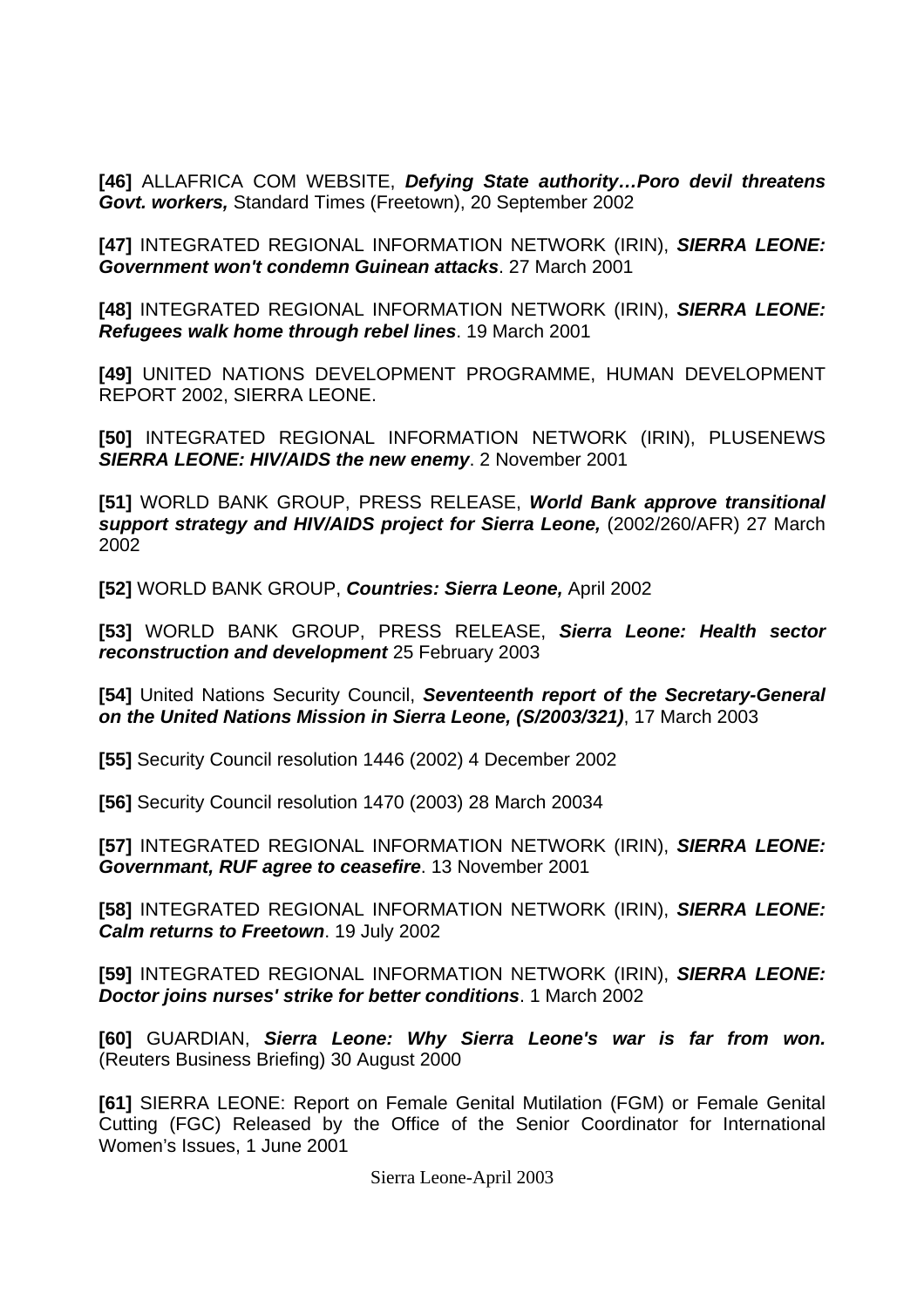**[46]** ALLAFRICA COM WEBSITE, *Defying State authority…Poro devil threatens Govt. workers,* Standard Times (Freetown), 20 September 2002

**[47]** INTEGRATED REGIONAL INFORMATION NETWORK (IRIN), *SIERRA LEONE: Government won't condemn Guinean attacks*. 27 March 2001

**[48]** INTEGRATED REGIONAL INFORMATION NETWORK (IRIN), *SIERRA LEONE: Refugees walk home through rebel lines*. 19 March 2001

**[49]** UNITED NATIONS DEVELOPMENT PROGRAMME, HUMAN DEVELOPMENT REPORT 2002, SIERRA LEONE.

**[50]** INTEGRATED REGIONAL INFORMATION NETWORK (IRIN), PLUSENEWS *SIERRA LEONE: HIV/AIDS the new enemy*. 2 November 2001

**[51]** WORLD BANK GROUP, PRESS RELEASE, *World Bank approve transitional support strategy and HIV/AIDS project for Sierra Leone,* (2002/260/AFR) 27 March 2002

**[52]** WORLD BANK GROUP, *Countries: Sierra Leone,* April 2002

**[53]** WORLD BANK GROUP, PRESS RELEASE, *Sierra Leone: Health sector reconstruction and development* 25 February 2003

**[54]** United Nations Security Council, *Seventeenth report of the Secretary-General on the United Nations Mission in Sierra Leone, (S/2003/321)*, 17 March 2003

**[55]** Security Council resolution 1446 (2002) 4 December 2002

**[56]** Security Council resolution 1470 (2003) 28 March 20034

**[57]** INTEGRATED REGIONAL INFORMATION NETWORK (IRIN), *SIERRA LEONE: Governmant, RUF agree to ceasefire*. 13 November 2001

**[58]** INTEGRATED REGIONAL INFORMATION NETWORK (IRIN), *SIERRA LEONE: Calm returns to Freetown*. 19 July 2002

**[59]** INTEGRATED REGIONAL INFORMATION NETWORK (IRIN), *SIERRA LEONE: Doctor joins nurses' strike for better conditions*. 1 March 2002

**[60]** GUARDIAN, *Sierra Leone: Why Sierra Leone's war is far from won.*  (Reuters Business Briefing) 30 August 2000

**[61]** SIERRA LEONE: Report on Female Genital Mutilation (FGM) or Female Genital Cutting (FGC) Released by the Office of the Senior Coordinator for International Women's Issues, 1 June 2001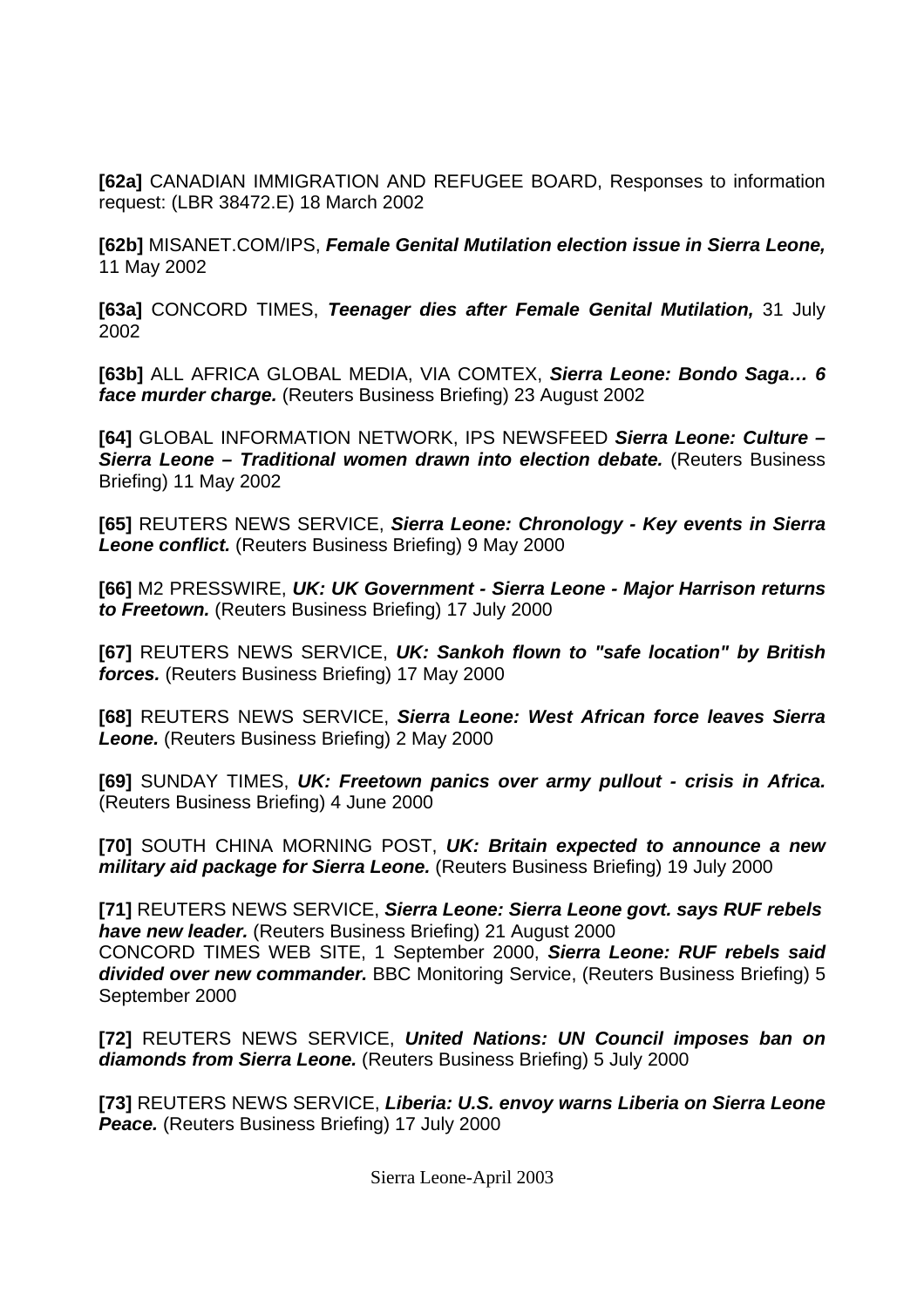**[62a]** CANADIAN IMMIGRATION AND REFUGEE BOARD, Responses to information request: (LBR 38472.E) 18 March 2002

**[62b]** MISANET.COM/IPS, *Female Genital Mutilation election issue in Sierra Leone,*  11 May 2002

**[63a]** CONCORD TIMES, *Teenager dies after Female Genital Mutilation,* 31 July 2002

**[63b]** ALL AFRICA GLOBAL MEDIA, VIA COMTEX, *Sierra Leone: Bondo Saga… 6 face murder charge.* (Reuters Business Briefing) 23 August 2002

**[64]** GLOBAL INFORMATION NETWORK, IPS NEWSFEED *Sierra Leone: Culture –*  **Sierra Leone – Traditional women drawn into election debate.** (Reuters Business Briefing) 11 May 2002

**[65]** REUTERS NEWS SERVICE, *Sierra Leone: Chronology - Key events in Sierra*  **Leone conflict.** (Reuters Business Briefing) 9 May 2000

**[66]** M2 PRESSWIRE, *UK: UK Government - Sierra Leone - Major Harrison returns to Freetown.* (Reuters Business Briefing) 17 July 2000

**[67]** REUTERS NEWS SERVICE, *UK: Sankoh flown to "safe location" by British forces.* (Reuters Business Briefing) 17 May 2000

**[68]** REUTERS NEWS SERVICE, *Sierra Leone: West African force leaves Sierra Leone.* (Reuters Business Briefing) 2 May 2000

**[69]** SUNDAY TIMES, *UK: Freetown panics over army pullout - crisis in Africa.*  (Reuters Business Briefing) 4 June 2000

**[70]** SOUTH CHINA MORNING POST, *UK: Britain expected to announce a new military aid package for Sierra Leone.* (Reuters Business Briefing) 19 July 2000

**[71]** REUTERS NEWS SERVICE, *Sierra Leone: Sierra Leone govt. says RUF rebels have new leader.* (Reuters Business Briefing) 21 August 2000 CONCORD TIMES WEB SITE, 1 September 2000, *Sierra Leone: RUF rebels said divided over new commander.* BBC Monitoring Service, (Reuters Business Briefing) 5 September 2000

**[72]** REUTERS NEWS SERVICE, *United Nations: UN Council imposes ban on diamonds from Sierra Leone.* (Reuters Business Briefing) 5 July 2000

**[73]** REUTERS NEWS SERVICE, *Liberia: U.S. envoy warns Liberia on Sierra Leone*  Peace. (Reuters Business Briefing) 17 July 2000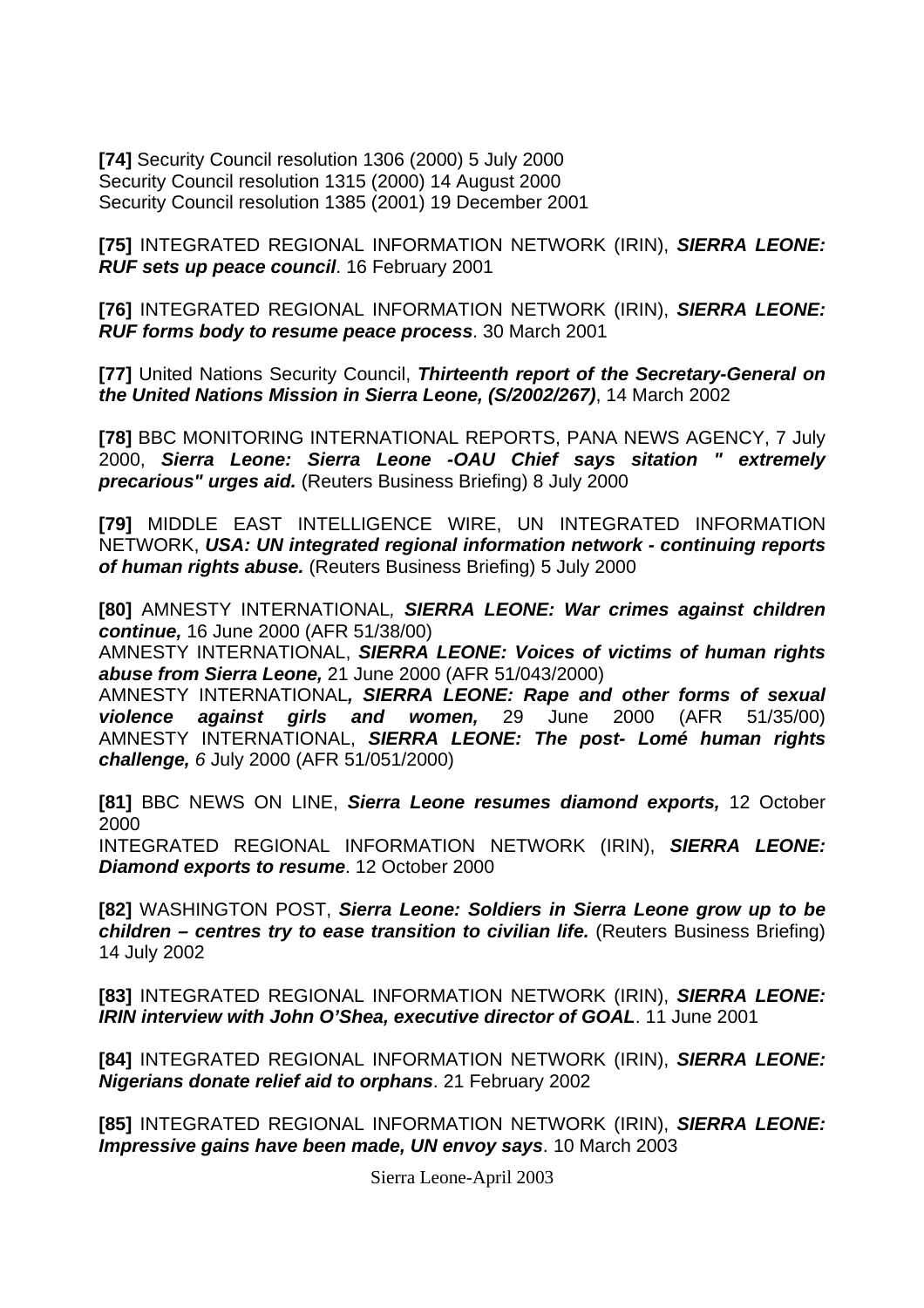**[74]** Security Council resolution 1306 (2000) 5 July 2000 Security Council resolution 1315 (2000) 14 August 2000 Security Council resolution 1385 (2001) 19 December 2001

**[75]** INTEGRATED REGIONAL INFORMATION NETWORK (IRIN), *SIERRA LEONE: RUF sets up peace council*. 16 February 2001

**[76]** INTEGRATED REGIONAL INFORMATION NETWORK (IRIN), *SIERRA LEONE: RUF forms body to resume peace process*. 30 March 2001

**[77]** United Nations Security Council, *Thirteenth report of the Secretary-General on the United Nations Mission in Sierra Leone, (S/2002/267)*, 14 March 2002

**[78]** BBC MONITORING INTERNATIONAL REPORTS, PANA NEWS AGENCY, 7 July 2000, *Sierra Leone: Sierra Leone -OAU Chief says sitation " extremely precarious" urges aid.* (Reuters Business Briefing) 8 July 2000

**[79]** MIDDLE EAST INTELLIGENCE WIRE, UN INTEGRATED INFORMATION NETWORK, *USA: UN integrated regional information network - continuing reports of human rights abuse.* (Reuters Business Briefing) 5 July 2000

**[80]** AMNESTY INTERNATIONAL*, SIERRA LEONE: War crimes against children continue,* 16 June 2000 (AFR 51/38/00)

AMNESTY INTERNATIONAL, *SIERRA LEONE: Voices of victims of human rights abuse from Sierra Leone,* 21 June 2000 (AFR 51/043/2000)

AMNESTY INTERNATIONAL*, SIERRA LEONE: Rape and other forms of sexual violence against girls and women,* 29 June 2000 (AFR 51/35/00) AMNESTY INTERNATIONAL, *SIERRA LEONE: The post- Lomé human rights challenge, 6* July 2000 (AFR 51/051/2000)

**[81]** BBC NEWS ON LINE, *Sierra Leone resumes diamond exports,* 12 October 2000

INTEGRATED REGIONAL INFORMATION NETWORK (IRIN), *SIERRA LEONE: Diamond exports to resume*. 12 October 2000

**[82]** WASHINGTON POST, *Sierra Leone: Soldiers in Sierra Leone grow up to be children – centres try to ease transition to civilian life.* (Reuters Business Briefing) 14 July 2002

**[83]** INTEGRATED REGIONAL INFORMATION NETWORK (IRIN), *SIERRA LEONE: IRIN interview with John O'Shea, executive director of GOAL*. 11 June 2001

**[84]** INTEGRATED REGIONAL INFORMATION NETWORK (IRIN), *SIERRA LEONE: Nigerians donate relief aid to orphans*. 21 February 2002

**[85]** INTEGRATED REGIONAL INFORMATION NETWORK (IRIN), *SIERRA LEONE: Impressive gains have been made, UN envoy says*. 10 March 2003